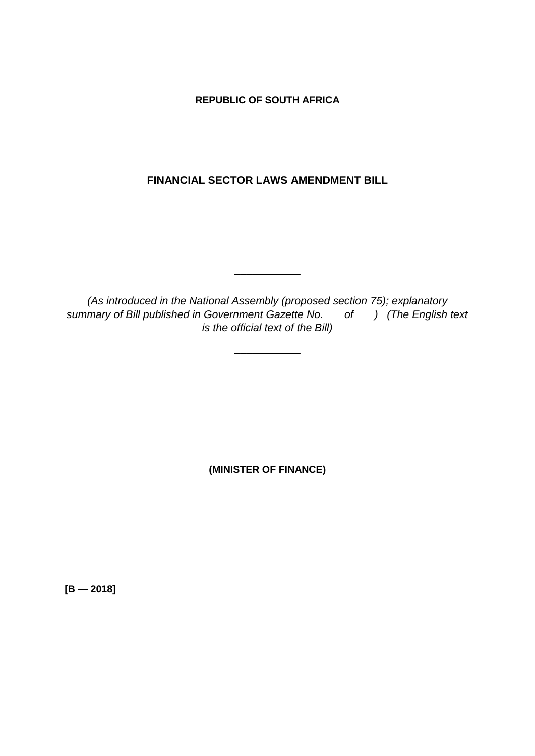**REPUBLIC OF SOUTH AFRICA**

**FINANCIAL SECTOR LAWS AMENDMENT BILL**

*(As introduced in the National Assembly (proposed section 75); explanatory summary of Bill published in Government Gazette No. of ) (The English text is the official text of the Bill)*

\_\_\_\_\_\_\_\_\_\_\_

\_\_\_\_\_\_\_\_\_\_\_

**(MINISTER OF FINANCE)**

**[B — 2018]**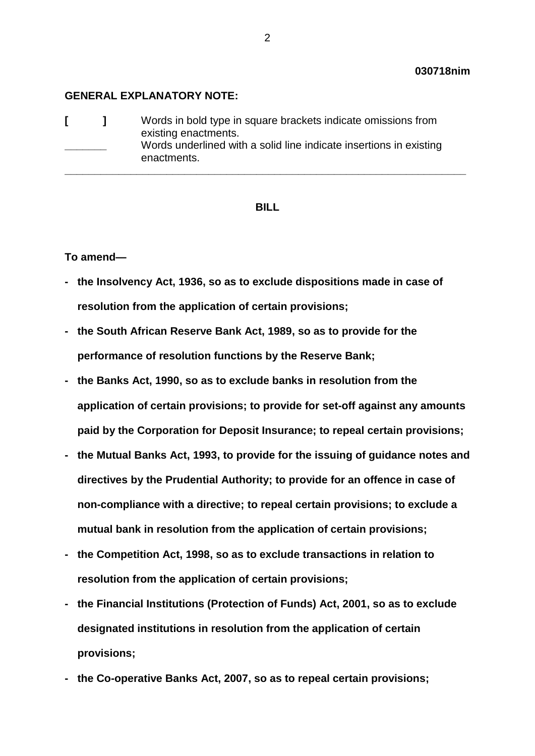#### **GENERAL EXPLANATORY NOTE:**

|  |  | Words in bold type in square brackets indicate omissions from<br>existing enactments.<br>Words underlined with a solid line indicate insertions in existing<br>enactments. |
|--|--|----------------------------------------------------------------------------------------------------------------------------------------------------------------------------|
|--|--|----------------------------------------------------------------------------------------------------------------------------------------------------------------------------|

#### **BILL**

#### **To amend—**

- **- the Insolvency Act, 1936, so as to exclude dispositions made in case of resolution from the application of certain provisions;**
- **- the South African Reserve Bank Act, 1989, so as to provide for the performance of resolution functions by the Reserve Bank;**
- **- the Banks Act, 1990, so as to exclude banks in resolution from the application of certain provisions; to provide for set-off against any amounts paid by the Corporation for Deposit Insurance; to repeal certain provisions;**
- **- the Mutual Banks Act, 1993, to provide for the issuing of guidance notes and directives by the Prudential Authority; to provide for an offence in case of non-compliance with a directive; to repeal certain provisions; to exclude a mutual bank in resolution from the application of certain provisions;**
- **- the Competition Act, 1998, so as to exclude transactions in relation to resolution from the application of certain provisions;**
- **- the Financial Institutions (Protection of Funds) Act, 2001, so as to exclude designated institutions in resolution from the application of certain provisions;**
- **- the Co-operative Banks Act, 2007, so as to repeal certain provisions;**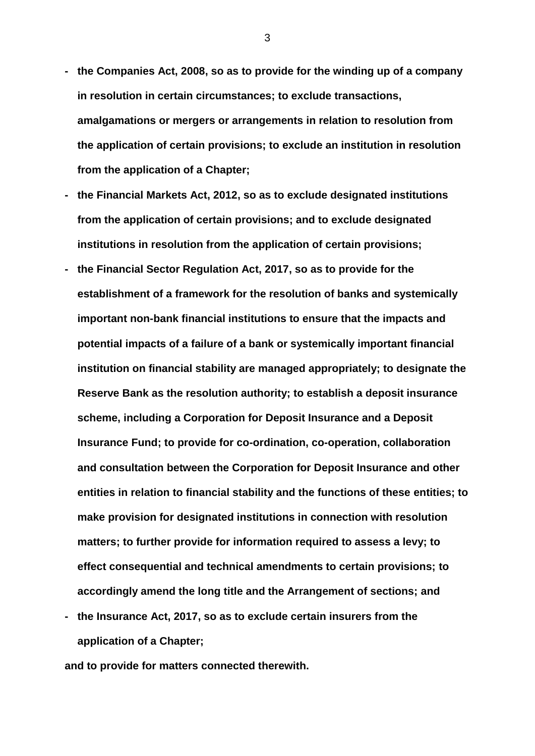- **- the Companies Act, 2008, so as to provide for the winding up of a company in resolution in certain circumstances; to exclude transactions, amalgamations or mergers or arrangements in relation to resolution from the application of certain provisions; to exclude an institution in resolution from the application of a Chapter;**
- **- the Financial Markets Act, 2012, so as to exclude designated institutions from the application of certain provisions; and to exclude designated institutions in resolution from the application of certain provisions;**
- **- the Financial Sector Regulation Act, 2017, so as to provide for the establishment of a framework for the resolution of banks and systemically important non-bank financial institutions to ensure that the impacts and potential impacts of a failure of a bank or systemically important financial institution on financial stability are managed appropriately; to designate the Reserve Bank as the resolution authority; to establish a deposit insurance scheme, including a Corporation for Deposit Insurance and a Deposit Insurance Fund; to provide for co-ordination, co-operation, collaboration and consultation between the Corporation for Deposit Insurance and other entities in relation to financial stability and the functions of these entities; to make provision for designated institutions in connection with resolution matters; to further provide for information required to assess a levy; to effect consequential and technical amendments to certain provisions; to accordingly amend the long title and the Arrangement of sections; and**
- **- the Insurance Act, 2017, so as to exclude certain insurers from the application of a Chapter;**

**and to provide for matters connected therewith.**

3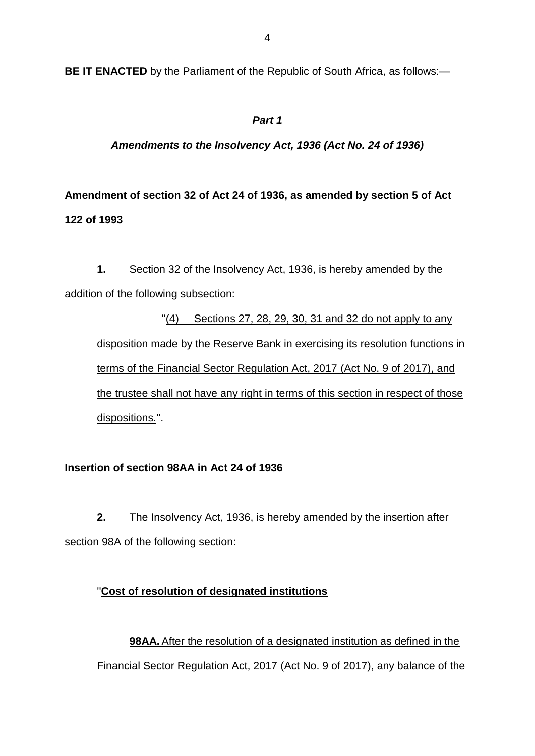**BE IT ENACTED** by the Parliament of the Republic of South Africa, as follows:—

## *Part 1*

## *Amendments to the Insolvency Act, 1936 (Act No. 24 of 1936)*

## **Amendment of section 32 of Act 24 of 1936, as amended by section 5 of Act 122 of 1993**

**1.** Section 32 of the Insolvency Act, 1936, is hereby amended by the addition of the following subsection:

 $''(4)$  Sections 27, 28, 29, 30, 31 and 32 do not apply to any disposition made by the Reserve Bank in exercising its resolution functions in terms of the Financial Sector Regulation Act, 2017 (Act No. 9 of 2017), and the trustee shall not have any right in terms of this section in respect of those dispositions.''.

## **Insertion of section 98AA in Act 24 of 1936**

**2.** The Insolvency Act, 1936, is hereby amended by the insertion after section 98A of the following section:

## ''**Cost of resolution of designated institutions**

**98AA.** After the resolution of a designated institution as defined in the Financial Sector Regulation Act, 2017 (Act No. 9 of 2017), any balance of the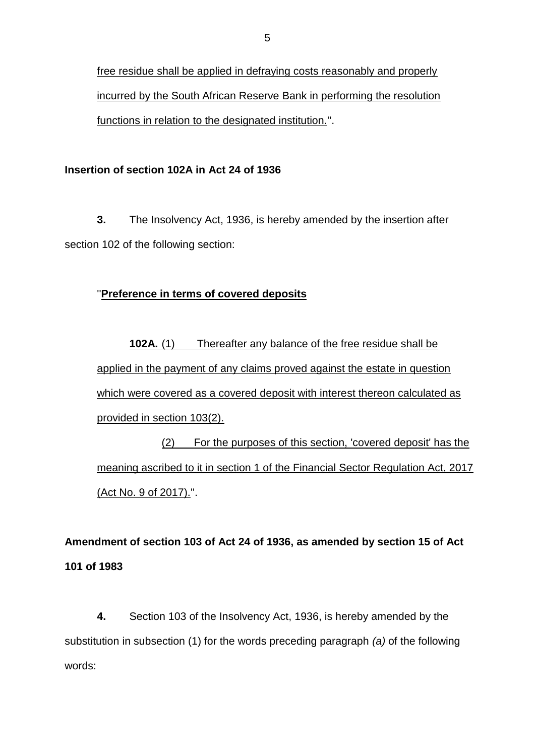free residue shall be applied in defraying costs reasonably and properly incurred by the South African Reserve Bank in performing the resolution functions in relation to the designated institution.''.

### **Insertion of section 102A in Act 24 of 1936**

**3.** The Insolvency Act, 1936, is hereby amended by the insertion after section 102 of the following section:

### ''**Preference in terms of covered deposits**

**102A.** (1) Thereafter any balance of the free residue shall be applied in the payment of any claims proved against the estate in question which were covered as a covered deposit with interest thereon calculated as provided in section 103(2).

(2) For the purposes of this section, 'covered deposit' has the meaning ascribed to it in section 1 of the Financial Sector Regulation Act, 2017 (Act No. 9 of 2017).''.

**Amendment of section 103 of Act 24 of 1936, as amended by section 15 of Act 101 of 1983**

**4.** Section 103 of the Insolvency Act, 1936, is hereby amended by the substitution in subsection (1) for the words preceding paragraph *(a)* of the following words: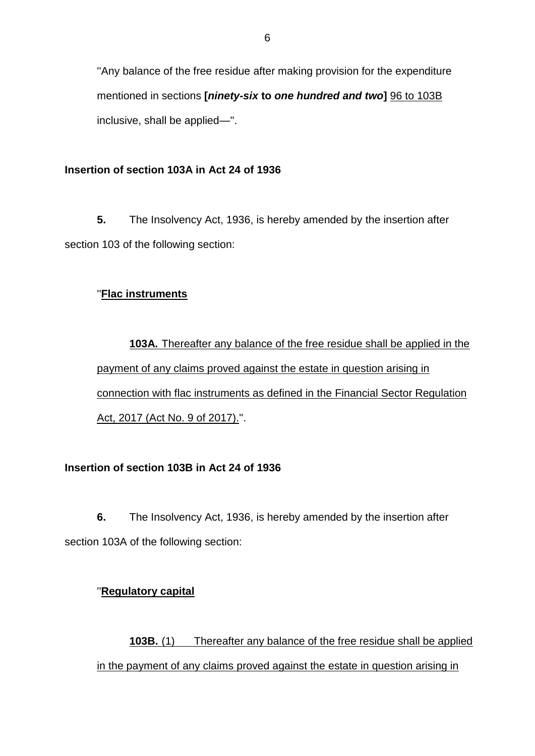''Any balance of the free residue after making provision for the expenditure mentioned in sections **[***ninety-six* **to** *one hundred and two***]** 96 to 103B inclusive, shall be applied—''.

#### **Insertion of section 103A in Act 24 of 1936**

**5.** The Insolvency Act, 1936, is hereby amended by the insertion after section 103 of the following section:

#### ''**Flac instruments**

**103A.** Thereafter any balance of the free residue shall be applied in the payment of any claims proved against the estate in question arising in connection with flac instruments as defined in the Financial Sector Regulation Act, 2017 (Act No. 9 of 2017).''.

### **Insertion of section 103B in Act 24 of 1936**

**6.** The Insolvency Act, 1936, is hereby amended by the insertion after section 103A of the following section:

#### ''**Regulatory capital**

**103B.** (1) Thereafter any balance of the free residue shall be applied in the payment of any claims proved against the estate in question arising in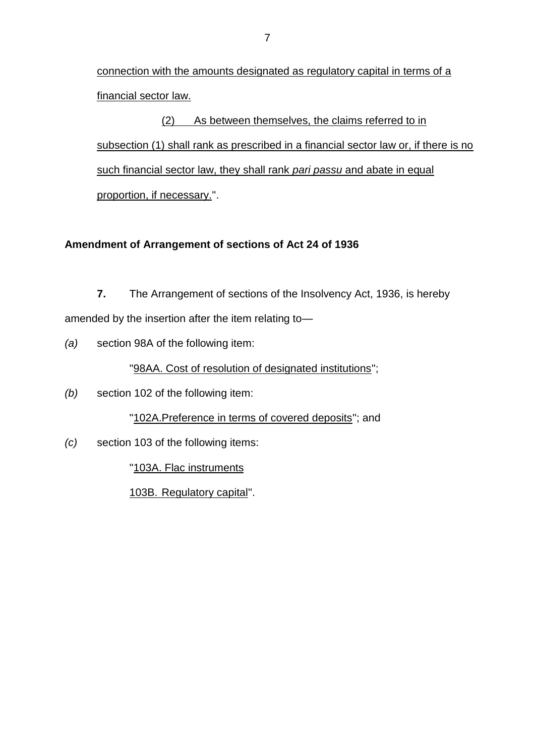connection with the amounts designated as regulatory capital in terms of a financial sector law.

(2) As between themselves, the claims referred to in subsection (1) shall rank as prescribed in a financial sector law or, if there is no such financial sector law, they shall rank *pari passu* and abate in equal proportion, if necessary.''.

## **Amendment of Arrangement of sections of Act 24 of 1936**

**7.** The Arrangement of sections of the Insolvency Act, 1936, is hereby amended by the insertion after the item relating to—

*(a)* section 98A of the following item:

''98AA. Cost of resolution of designated institutions'';

*(b)* section 102 of the following item:

"102A.Preference in terms of covered deposits"; and

*(c)* section 103 of the following items:

''103A. Flac instruments

103B. Regulatory capital''.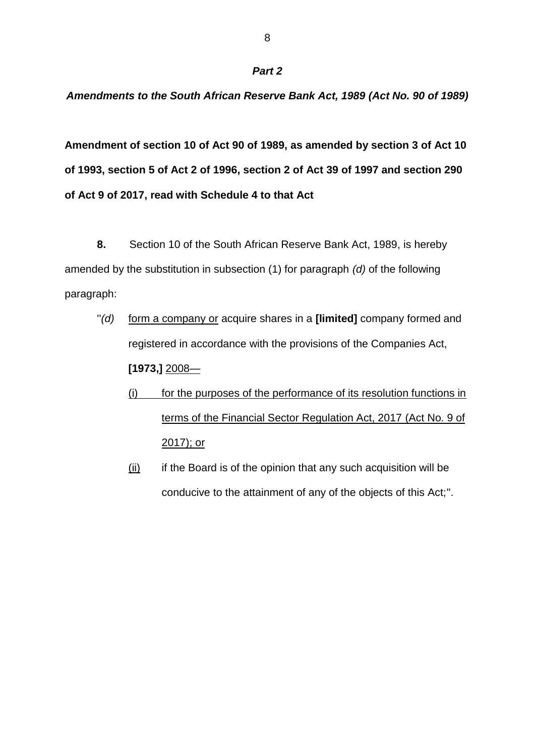#### *Amendments to the South African Reserve Bank Act, 1989 (Act No. 90 of 1989)*

**Amendment of section 10 of Act 90 of 1989, as amended by section 3 of Act 10 of 1993, section 5 of Act 2 of 1996, section 2 of Act 39 of 1997 and section 290 of Act 9 of 2017, read with Schedule 4 to that Act**

**8.** Section 10 of the South African Reserve Bank Act, 1989, is hereby amended by the substitution in subsection (1) for paragraph *(d)* of the following paragraph:

- ''*(d)* form a company or acquire shares in a **[limited]** company formed and registered in accordance with the provisions of the Companies Act, **[1973,]** 2008—
	- (i) for the purposes of the performance of its resolution functions in terms of the Financial Sector Regulation Act, 2017 (Act No. 9 of 2017); or
	- (ii) if the Board is of the opinion that any such acquisition will be conducive to the attainment of any of the objects of this Act;''.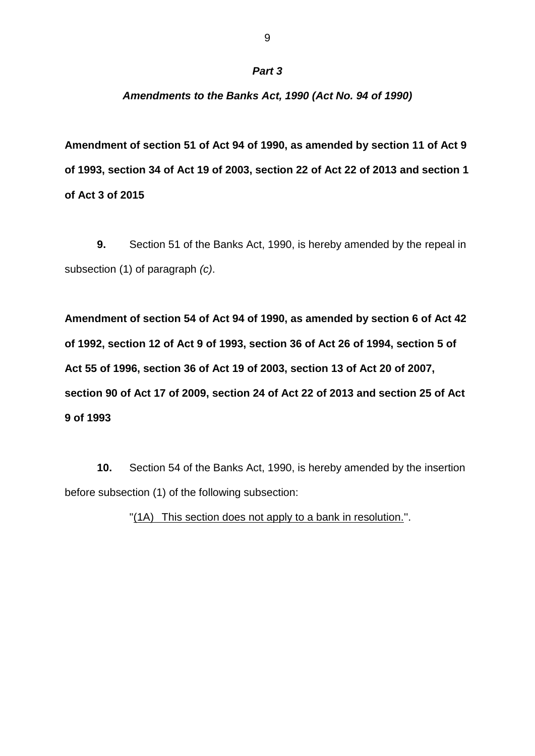#### *Amendments to the Banks Act, 1990 (Act No. 94 of 1990)*

**Amendment of section 51 of Act 94 of 1990, as amended by section 11 of Act 9 of 1993, section 34 of Act 19 of 2003, section 22 of Act 22 of 2013 and section 1 of Act 3 of 2015**

**9.** Section 51 of the Banks Act, 1990, is hereby amended by the repeal in subsection (1) of paragraph *(c)*.

**Amendment of section 54 of Act 94 of 1990, as amended by section 6 of Act 42 of 1992, section 12 of Act 9 of 1993, section 36 of Act 26 of 1994, section 5 of Act 55 of 1996, section 36 of Act 19 of 2003, section 13 of Act 20 of 2007, section 90 of Act 17 of 2009, section 24 of Act 22 of 2013 and section 25 of Act 9 of 1993**

**10.** Section 54 of the Banks Act, 1990, is hereby amended by the insertion before subsection (1) of the following subsection:

"(1A) This section does not apply to a bank in resolution.".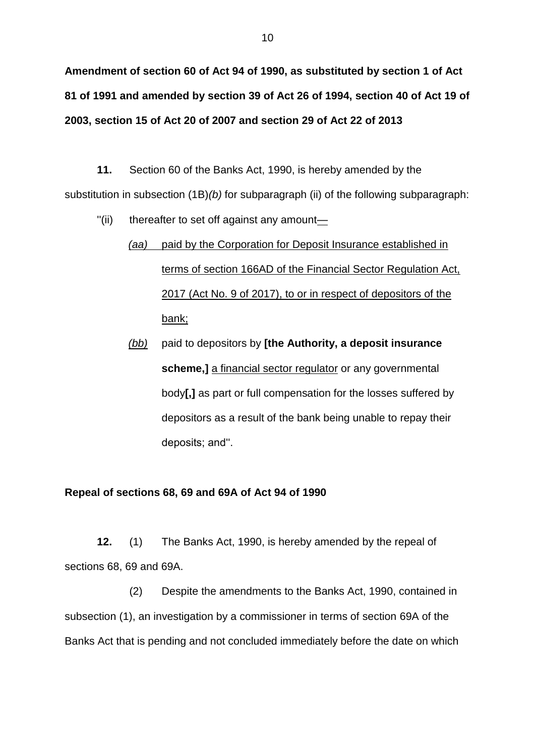**Amendment of section 60 of Act 94 of 1990, as substituted by section 1 of Act 81 of 1991 and amended by section 39 of Act 26 of 1994, section 40 of Act 19 of 2003, section 15 of Act 20 of 2007 and section 29 of Act 22 of 2013**

**11.** Section 60 of the Banks Act, 1990, is hereby amended by the substitution in subsection (1B)*(b)* for subparagraph (ii) of the following subparagraph:

 $'$ (ii) thereafter to set off against any amount—

# *(aa)* paid by the Corporation for Deposit Insurance established in terms of section 166AD of the Financial Sector Regulation Act, 2017 (Act No. 9 of 2017), to or in respect of depositors of the bank;

*(bb)* paid to depositors by **[the Authority, a deposit insurance scheme,]** a financial sector regulator or any governmental body**[,]** as part or full compensation for the losses suffered by depositors as a result of the bank being unable to repay their deposits; and''.

#### **Repeal of sections 68, 69 and 69A of Act 94 of 1990**

**12.** (1) The Banks Act, 1990, is hereby amended by the repeal of sections 68, 69 and 69A.

(2) Despite the amendments to the Banks Act, 1990, contained in subsection (1), an investigation by a commissioner in terms of section 69A of the Banks Act that is pending and not concluded immediately before the date on which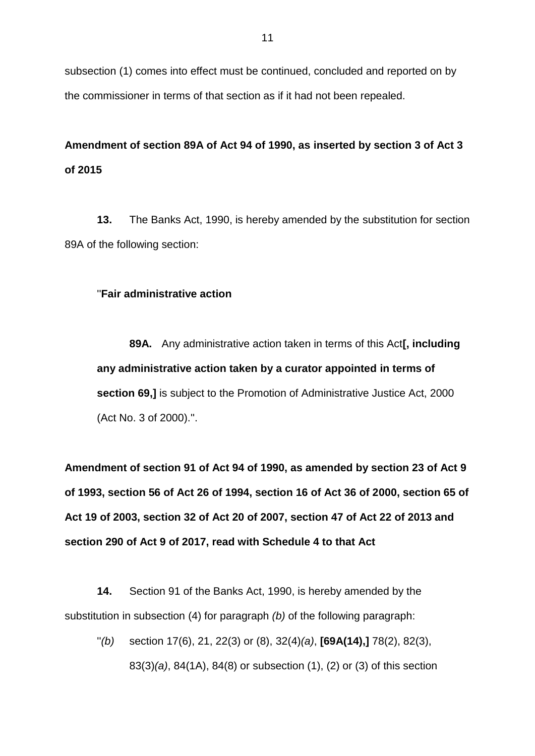subsection (1) comes into effect must be continued, concluded and reported on by the commissioner in terms of that section as if it had not been repealed.

## **Amendment of section 89A of Act 94 of 1990, as inserted by section 3 of Act 3 of 2015**

**13.** The Banks Act, 1990, is hereby amended by the substitution for section 89A of the following section:

#### ''**Fair administrative action**

**89A.** Any administrative action taken in terms of this Act**[, including any administrative action taken by a curator appointed in terms of section 69,]** is subject to the Promotion of Administrative Justice Act, 2000 (Act No. 3 of 2000).''.

**Amendment of section 91 of Act 94 of 1990, as amended by section 23 of Act 9 of 1993, section 56 of Act 26 of 1994, section 16 of Act 36 of 2000, section 65 of Act 19 of 2003, section 32 of Act 20 of 2007, section 47 of Act 22 of 2013 and section 290 of Act 9 of 2017, read with Schedule 4 to that Act**

**14.** Section 91 of the Banks Act, 1990, is hereby amended by the substitution in subsection (4) for paragraph *(b)* of the following paragraph:

''*(b)* section 17(6), 21, 22(3) or (8), 32(4)*(a)*, **[69A(14),]** 78(2), 82(3), 83(3)*(a)*, 84(1A), 84(8) or subsection (1), (2) or (3) of this section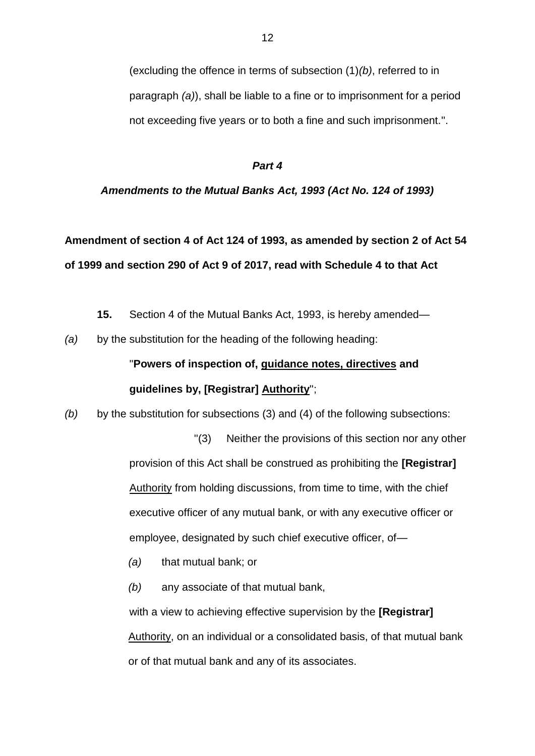(excluding the offence in terms of subsection (1)*(b)*, referred to in paragraph *(a)*), shall be liable to a fine or to imprisonment for a period not exceeding five years or to both a fine and such imprisonment.''.

#### *Part 4*

#### *Amendments to the Mutual Banks Act, 1993 (Act No. 124 of 1993)*

## **Amendment of section 4 of Act 124 of 1993, as amended by section 2 of Act 54 of 1999 and section 290 of Act 9 of 2017, read with Schedule 4 to that Act**

- **15.** Section 4 of the Mutual Banks Act, 1993, is hereby amended—
- *(a)* by the substitution for the heading of the following heading:

## ''**Powers of inspection of, guidance notes, directives and guidelines by, [Registrar] Authority**'';

*(b)* by the substitution for subsections (3) and (4) of the following subsections:

''(3) Neither the provisions of this section nor any other provision of this Act shall be construed as prohibiting the **[Registrar]** Authority from holding discussions, from time to time, with the chief executive officer of any mutual bank, or with any executive officer or employee, designated by such chief executive officer, of—

- *(a)* that mutual bank; or
- *(b)* any associate of that mutual bank,

with a view to achieving effective supervision by the **[Registrar]** Authority, on an individual or a consolidated basis, of that mutual bank or of that mutual bank and any of its associates.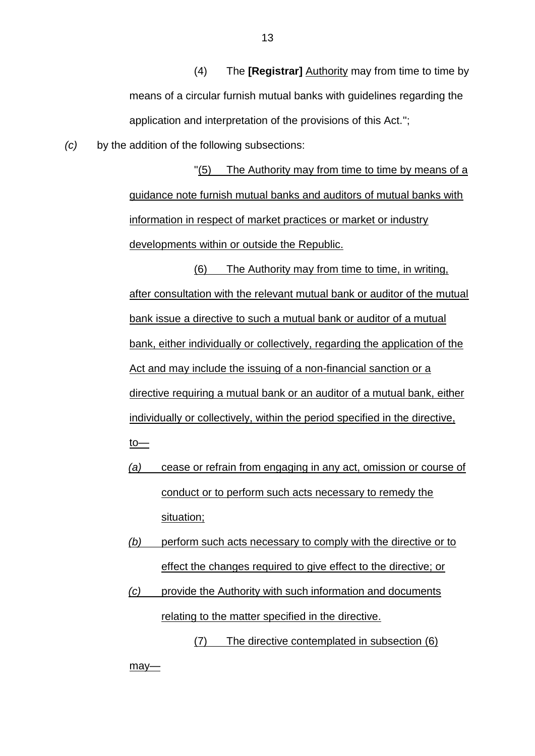(4) The **[Registrar]** Authority may from time to time by means of a circular furnish mutual banks with guidelines regarding the application and interpretation of the provisions of this Act.'';

*(c)* by the addition of the following subsections:

''(5) The Authority may from time to time by means of a guidance note furnish mutual banks and auditors of mutual banks with information in respect of market practices or market or industry developments within or outside the Republic.

(6) The Authority may from time to time, in writing, after consultation with the relevant mutual bank or auditor of the mutual bank issue a directive to such a mutual bank or auditor of a mutual bank, either individually or collectively, regarding the application of the Act and may include the issuing of a non-financial sanction or a directive requiring a mutual bank or an auditor of a mutual bank, either individually or collectively, within the period specified in the directive, to—

- *(a)* cease or refrain from engaging in any act, omission or course of conduct or to perform such acts necessary to remedy the situation;
- *(b)* perform such acts necessary to comply with the directive or to effect the changes required to give effect to the directive; or
- *(c)* provide the Authority with such information and documents relating to the matter specified in the directive.
	- (7) The directive contemplated in subsection (6)

may-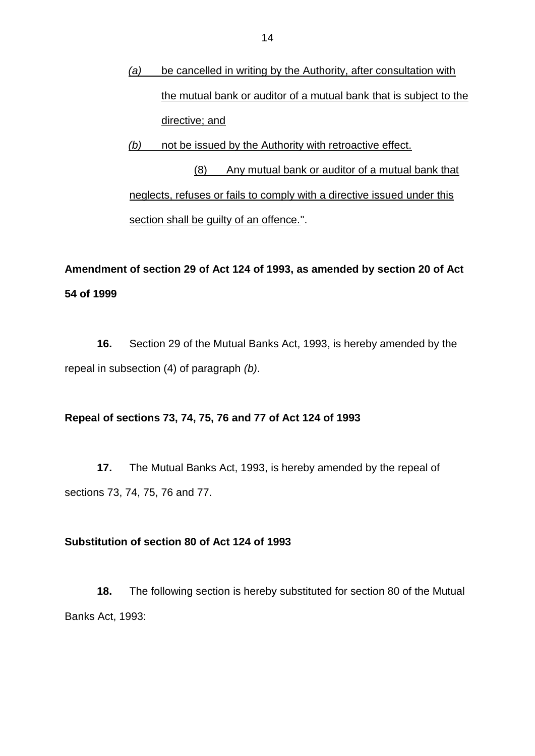- *(a)* be cancelled in writing by the Authority, after consultation with the mutual bank or auditor of a mutual bank that is subject to the directive; and
- *(b)* not be issued by the Authority with retroactive effect.

(8) Any mutual bank or auditor of a mutual bank that neglects, refuses or fails to comply with a directive issued under this section shall be guilty of an offence.".

## **Amendment of section 29 of Act 124 of 1993, as amended by section 20 of Act 54 of 1999**

**16.** Section 29 of the Mutual Banks Act, 1993, is hereby amended by the repeal in subsection (4) of paragraph *(b)*.

### **Repeal of sections 73, 74, 75, 76 and 77 of Act 124 of 1993**

**17.** The Mutual Banks Act, 1993, is hereby amended by the repeal of sections 73, 74, 75, 76 and 77.

#### **Substitution of section 80 of Act 124 of 1993**

**18.** The following section is hereby substituted for section 80 of the Mutual Banks Act, 1993: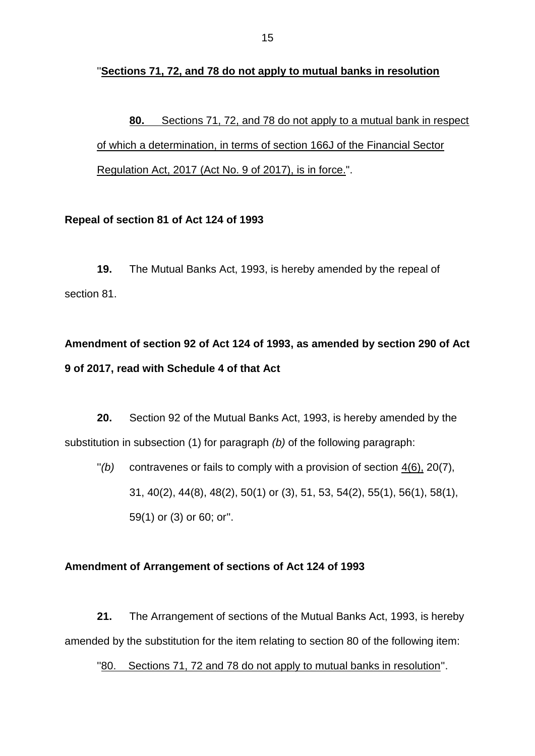''**Sections 71, 72, and 78 do not apply to mutual banks in resolution**

**80.** Sections 71, 72, and 78 do not apply to a mutual bank in respect of which a determination, in terms of section 166J of the Financial Sector Regulation Act, 2017 (Act No. 9 of 2017), is in force.".

### **Repeal of section 81 of Act 124 of 1993**

**19.** The Mutual Banks Act, 1993, is hereby amended by the repeal of section 81.

## **Amendment of section 92 of Act 124 of 1993, as amended by section 290 of Act 9 of 2017, read with Schedule 4 of that Act**

**20.** Section 92 of the Mutual Banks Act, 1993, is hereby amended by the substitution in subsection (1) for paragraph *(b)* of the following paragraph:

''*(b)* contravenes or fails to comply with a provision of section 4(6), 20(7), 31, 40(2), 44(8), 48(2), 50(1) or (3), 51, 53, 54(2), 55(1), 56(1), 58(1), 59(1) or (3) or 60; or''.

## **Amendment of Arrangement of sections of Act 124 of 1993**

**21.** The Arrangement of sections of the Mutual Banks Act, 1993, is hereby amended by the substitution for the item relating to section 80 of the following item:

"80. Sections 71, 72 and 78 do not apply to mutual banks in resolution".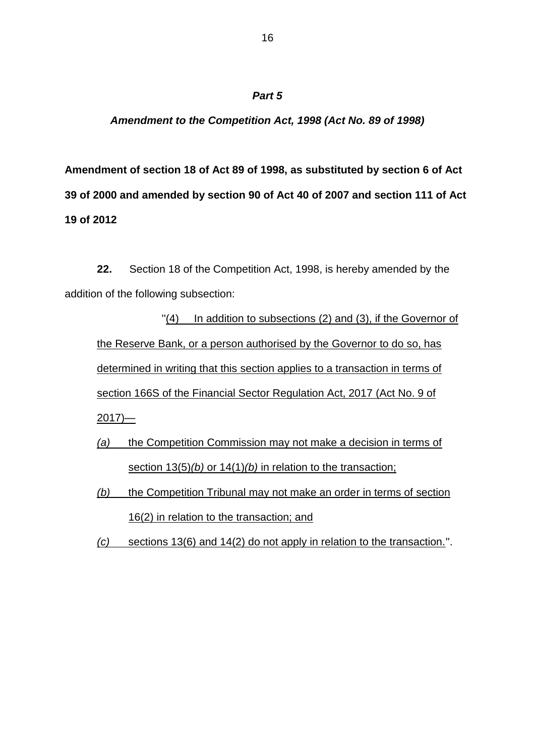## *Amendment to the Competition Act, 1998 (Act No. 89 of 1998)*

**Amendment of section 18 of Act 89 of 1998, as substituted by section 6 of Act 39 of 2000 and amended by section 90 of Act 40 of 2007 and section 111 of Act 19 of 2012**

**22.** Section 18 of the Competition Act, 1998, is hereby amended by the addition of the following subsection:

''(4) In addition to subsections (2) and (3), if the Governor of the Reserve Bank, or a person authorised by the Governor to do so, has determined in writing that this section applies to a transaction in terms of section 166S of the Financial Sector Regulation Act, 2017 (Act No. 9 of  $2017$ )—

- *(a)* the Competition Commission may not make a decision in terms of section 13(5)*(b)* or 14(1)*(b)* in relation to the transaction;
- *(b)* the Competition Tribunal may not make an order in terms of section 16(2) in relation to the transaction; and
- *(c)* sections 13(6) and 14(2) do not apply in relation to the transaction.''.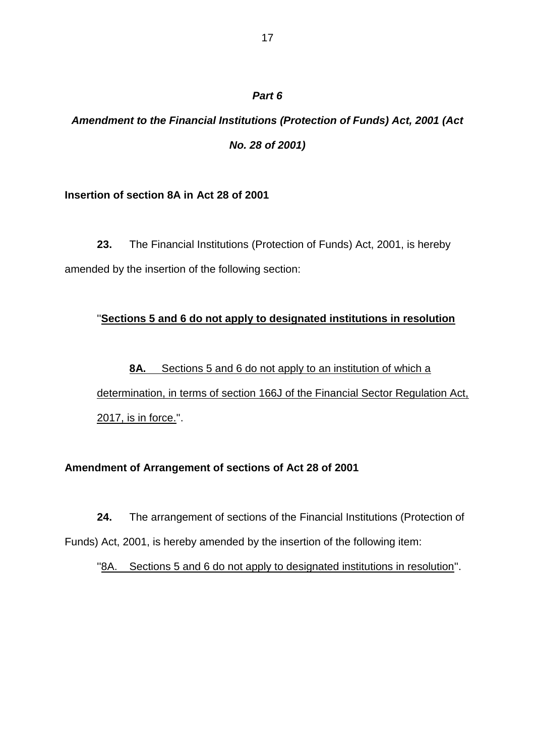## *Amendment to the Financial Institutions (Protection of Funds) Act, 2001 (Act No. 28 of 2001)*

### **Insertion of section 8A in Act 28 of 2001**

**23.** The Financial Institutions (Protection of Funds) Act, 2001, is hereby amended by the insertion of the following section:

## ''**Sections 5 and 6 do not apply to designated institutions in resolution**

**8A.** Sections 5 and 6 do not apply to an institution of which a determination, in terms of section 166J of the Financial Sector Regulation Act, 2017, is in force.''.

## **Amendment of Arrangement of sections of Act 28 of 2001**

**24.** The arrangement of sections of the Financial Institutions (Protection of Funds) Act, 2001, is hereby amended by the insertion of the following item:

''8A. Sections 5 and 6 do not apply to designated institutions in resolution''.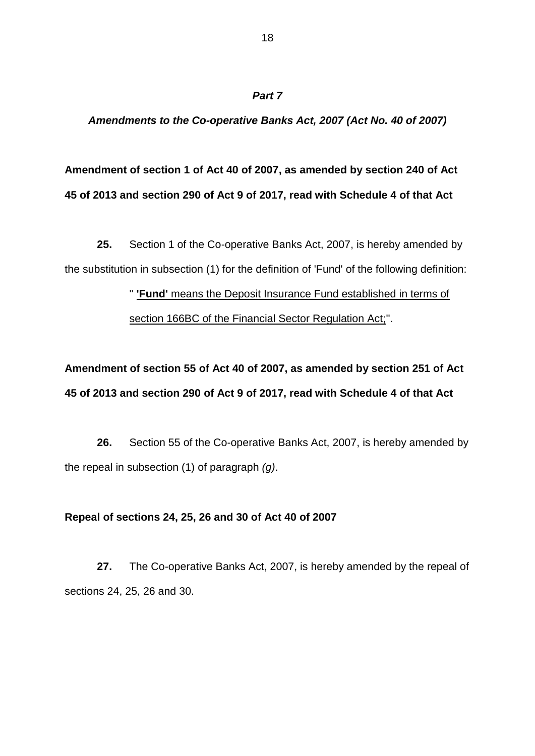#### *Amendments to the Co-operative Banks Act, 2007 (Act No. 40 of 2007)*

## **Amendment of section 1 of Act 40 of 2007, as amended by section 240 of Act 45 of 2013 and section 290 of Act 9 of 2017, read with Schedule 4 of that Act**

**25.** Section 1 of the Co-operative Banks Act, 2007, is hereby amended by the substitution in subsection (1) for the definition of 'Fund' of the following definition:

> '' **'Fund'** means the Deposit Insurance Fund established in terms of section 166BC of the Financial Sector Regulation Act;''.

**Amendment of section 55 of Act 40 of 2007, as amended by section 251 of Act 45 of 2013 and section 290 of Act 9 of 2017, read with Schedule 4 of that Act** 

**26.** Section 55 of the Co-operative Banks Act, 2007, is hereby amended by the repeal in subsection (1) of paragraph *(g)*.

#### **Repeal of sections 24, 25, 26 and 30 of Act 40 of 2007**

**27.** The Co-operative Banks Act, 2007, is hereby amended by the repeal of sections 24, 25, 26 and 30.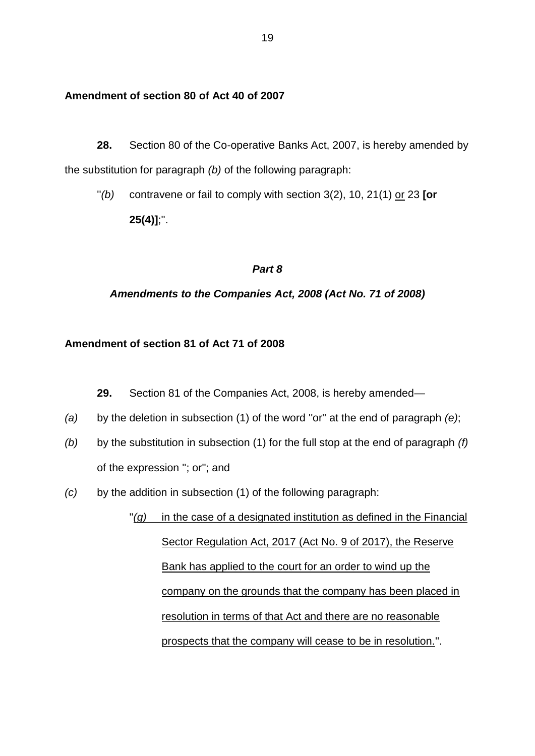#### **Amendment of section 80 of Act 40 of 2007**

**28.** Section 80 of the Co-operative Banks Act, 2007, is hereby amended by the substitution for paragraph *(b)* of the following paragraph:

''*(b)* contravene or fail to comply with section 3(2), 10, 21(1) or 23 **[or 25(4)]**;''.

#### *Part 8*

#### *Amendments to the Companies Act, 2008 (Act No. 71 of 2008)*

#### **Amendment of section 81 of Act 71 of 2008**

**29.** Section 81 of the Companies Act, 2008, is hereby amended—

- *(a)* by the deletion in subsection (1) of the word ''or'' at the end of paragraph *(e)*;
- *(b)* by the substitution in subsection (1) for the full stop at the end of paragraph *(f)* of the expression ''; or''; and
- *(c)* by the addition in subsection (1) of the following paragraph:

"(g) in the case of a designated institution as defined in the Financial Sector Regulation Act, 2017 (Act No. 9 of 2017), the Reserve Bank has applied to the court for an order to wind up the company on the grounds that the company has been placed in resolution in terms of that Act and there are no reasonable prospects that the company will cease to be in resolution.''.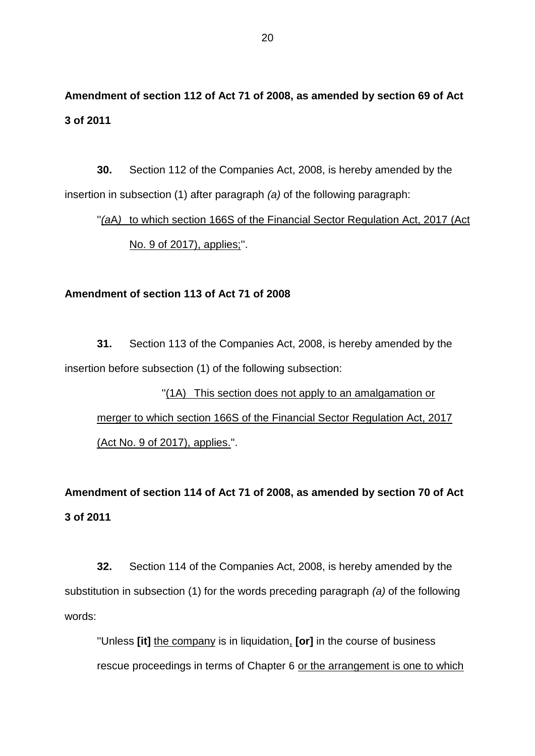## **Amendment of section 112 of Act 71 of 2008, as amended by section 69 of Act 3 of 2011**

**30.** Section 112 of the Companies Act, 2008, is hereby amended by the insertion in subsection (1) after paragraph *(a)* of the following paragraph:

## "*(aA)* to which section 166S of the Financial Sector Regulation Act, 2017 (Act No. 9 of 2017), applies;''.

#### **Amendment of section 113 of Act 71 of 2008**

**31.** Section 113 of the Companies Act, 2008, is hereby amended by the insertion before subsection (1) of the following subsection:

''(1A) This section does not apply to an amalgamation or merger to which section 166S of the Financial Sector Regulation Act, 2017 (Act No. 9 of 2017), applies.''.

**Amendment of section 114 of Act 71 of 2008, as amended by section 70 of Act 3 of 2011**

**32.** Section 114 of the Companies Act, 2008, is hereby amended by the substitution in subsection (1) for the words preceding paragraph *(a)* of the following words:

''Unless **[it]** the company is in liquidation, **[or]** in the course of business rescue proceedings in terms of Chapter 6 or the arrangement is one to which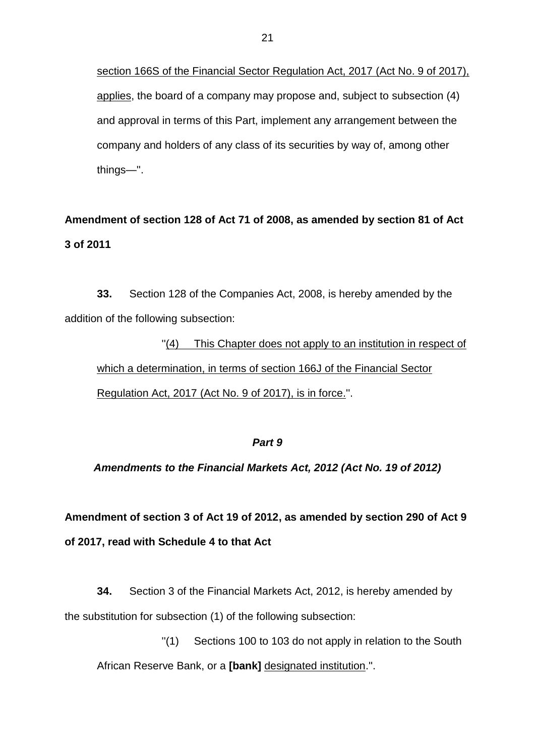section 166S of the Financial Sector Regulation Act, 2017 (Act No. 9 of 2017), applies, the board of a company may propose and, subject to subsection (4) and approval in terms of this Part, implement any arrangement between the company and holders of any class of its securities by way of, among other things—''.

**Amendment of section 128 of Act 71 of 2008, as amended by section 81 of Act 3 of 2011**

**33.** Section 128 of the Companies Act, 2008, is hereby amended by the addition of the following subsection:

"(4) This Chapter does not apply to an institution in respect of which a determination, in terms of section 166J of the Financial Sector Regulation Act, 2017 (Act No. 9 of 2017), is in force.''.

#### *Part 9*

*Amendments to the Financial Markets Act, 2012 (Act No. 19 of 2012)*

**Amendment of section 3 of Act 19 of 2012, as amended by section 290 of Act 9 of 2017, read with Schedule 4 to that Act**

**34.** Section 3 of the Financial Markets Act, 2012, is hereby amended by the substitution for subsection (1) of the following subsection:

''(1) Sections 100 to 103 do not apply in relation to the South African Reserve Bank, or a **[bank]** designated institution.''.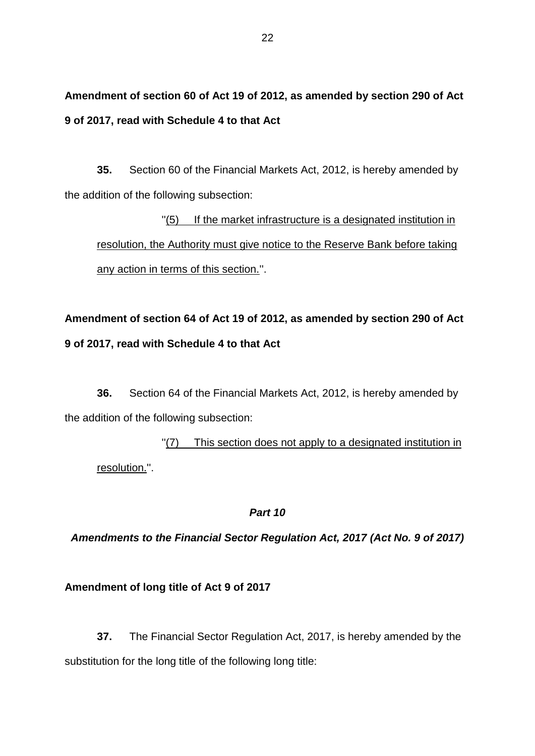**Amendment of section 60 of Act 19 of 2012, as amended by section 290 of Act 9 of 2017, read with Schedule 4 to that Act**

**35.** Section 60 of the Financial Markets Act, 2012, is hereby amended by the addition of the following subsection:

''(5) If the market infrastructure is a designated institution in resolution, the Authority must give notice to the Reserve Bank before taking any action in terms of this section.''.

**Amendment of section 64 of Act 19 of 2012, as amended by section 290 of Act 9 of 2017, read with Schedule 4 to that Act**

**36.** Section 64 of the Financial Markets Act, 2012, is hereby amended by the addition of the following subsection:

''(7) This section does not apply to a designated institution in resolution.''.

### *Part 10*

*Amendments to the Financial Sector Regulation Act, 2017 (Act No. 9 of 2017)*

### **Amendment of long title of Act 9 of 2017**

**37.** The Financial Sector Regulation Act, 2017, is hereby amended by the substitution for the long title of the following long title: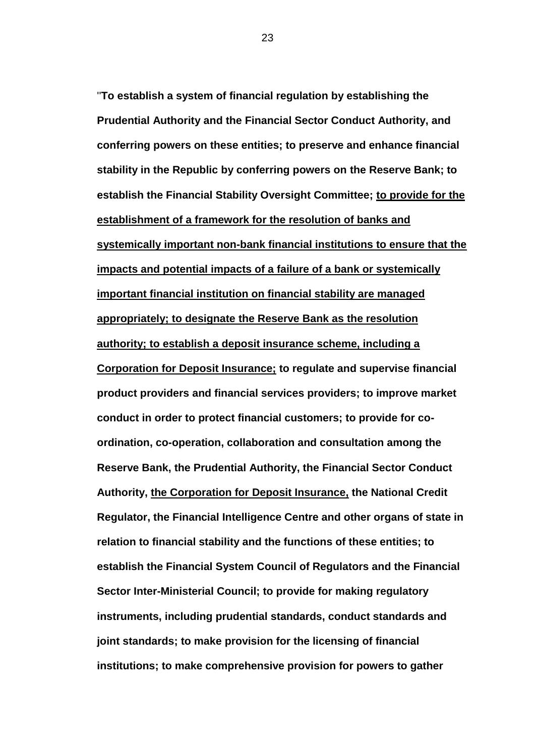''**To establish a system of financial regulation by establishing the Prudential Authority and the Financial Sector Conduct Authority, and conferring powers on these entities; to preserve and enhance financial stability in the Republic by conferring powers on the Reserve Bank; to establish the Financial Stability Oversight Committee; to provide for the establishment of a framework for the resolution of banks and systemically important non-bank financial institutions to ensure that the impacts and potential impacts of a failure of a bank or systemically important financial institution on financial stability are managed appropriately; to designate the Reserve Bank as the resolution authority; to establish a deposit insurance scheme, including a Corporation for Deposit Insurance; to regulate and supervise financial product providers and financial services providers; to improve market conduct in order to protect financial customers; to provide for coordination, co-operation, collaboration and consultation among the Reserve Bank, the Prudential Authority, the Financial Sector Conduct Authority, the Corporation for Deposit Insurance, the National Credit Regulator, the Financial Intelligence Centre and other organs of state in relation to financial stability and the functions of these entities; to establish the Financial System Council of Regulators and the Financial Sector Inter-Ministerial Council; to provide for making regulatory instruments, including prudential standards, conduct standards and joint standards; to make provision for the licensing of financial institutions; to make comprehensive provision for powers to gather** 

23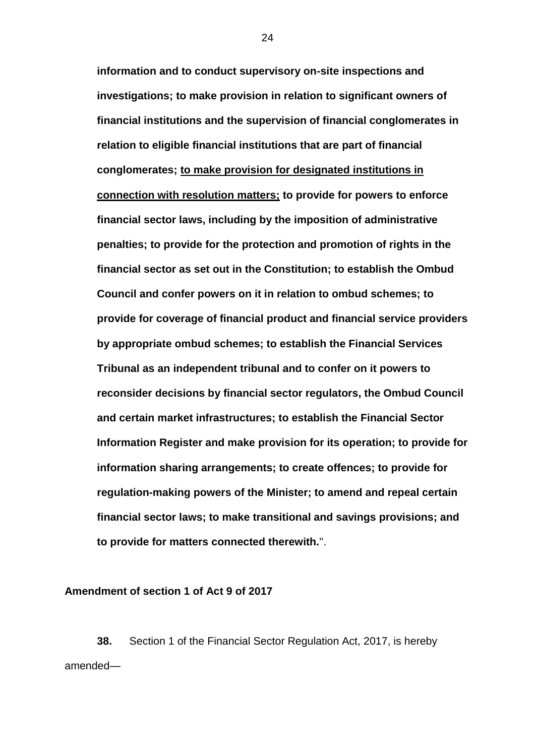**information and to conduct supervisory on-site inspections and investigations; to make provision in relation to significant owners of financial institutions and the supervision of financial conglomerates in relation to eligible financial institutions that are part of financial conglomerates; to make provision for designated institutions in connection with resolution matters; to provide for powers to enforce financial sector laws, including by the imposition of administrative penalties; to provide for the protection and promotion of rights in the financial sector as set out in the Constitution; to establish the Ombud Council and confer powers on it in relation to ombud schemes; to provide for coverage of financial product and financial service providers by appropriate ombud schemes; to establish the Financial Services Tribunal as an independent tribunal and to confer on it powers to reconsider decisions by financial sector regulators, the Ombud Council and certain market infrastructures; to establish the Financial Sector Information Register and make provision for its operation; to provide for information sharing arrangements; to create offences; to provide for regulation-making powers of the Minister; to amend and repeal certain financial sector laws; to make transitional and savings provisions; and to provide for matters connected therewith.**''.

**Amendment of section 1 of Act 9 of 2017**

**38.** Section 1 of the Financial Sector Regulation Act, 2017, is hereby amended—

24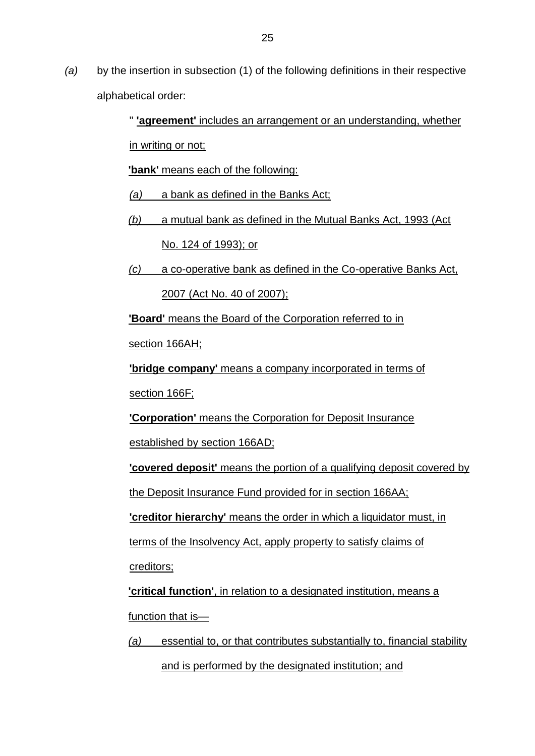*(a)* by the insertion in subsection (1) of the following definitions in their respective alphabetical order:

> '' **'agreement'** includes an arrangement or an understanding, whether in writing or not;

**'bank'** means each of the following:

- *(a)* a bank as defined in the Banks Act;
- *(b)* a mutual bank as defined in the Mutual Banks Act, 1993 (Act No. 124 of 1993); or
- *(c)* a co-operative bank as defined in the Co-operative Banks Act, 2007 (Act No. 40 of 2007);

**'Board'** means the Board of the Corporation referred to in

section 166AH;

**'bridge company'** means a company incorporated in terms of

section 166F;

**'Corporation'** means the Corporation for Deposit Insurance

established by section 166AD;

**'covered deposit'** means the portion of a qualifying deposit covered by

the Deposit Insurance Fund provided for in section 166AA;

**'creditor hierarchy'** means the order in which a liquidator must, in

terms of the Insolvency Act, apply property to satisfy claims of

creditors;

**'critical function'**, in relation to a designated institution, means a function that is—

*(a)* essential to, or that contributes substantially to, financial stability and is performed by the designated institution; and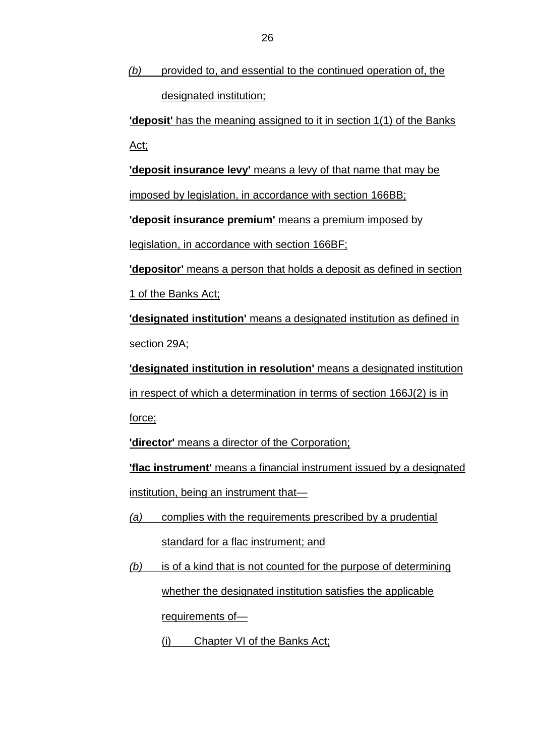*(b)* provided to, and essential to the continued operation of, the designated institution;

**'deposit'** has the meaning assigned to it in section 1(1) of the Banks Act;

**'deposit insurance levy'** means a levy of that name that may be

imposed by legislation, in accordance with section 166BB;

**'deposit insurance premium'** means a premium imposed by

legislation, in accordance with section 166BF;

**'depositor'** means a person that holds a deposit as defined in section 1 of the Banks Act;

**'designated institution'** means a designated institution as defined in section 29A;

**'designated institution in resolution'** means a designated institution in respect of which a determination in terms of section 166J(2) is in force;

**'director'** means a director of the Corporation;

**'flac instrument'** means a financial instrument issued by a designated institution, being an instrument that—

- *(a)* complies with the requirements prescribed by a prudential standard for a flac instrument; and
- *(b)* is of a kind that is not counted for the purpose of determining whether the designated institution satisfies the applicable requirements of—
	- (i) Chapter VI of the Banks Act;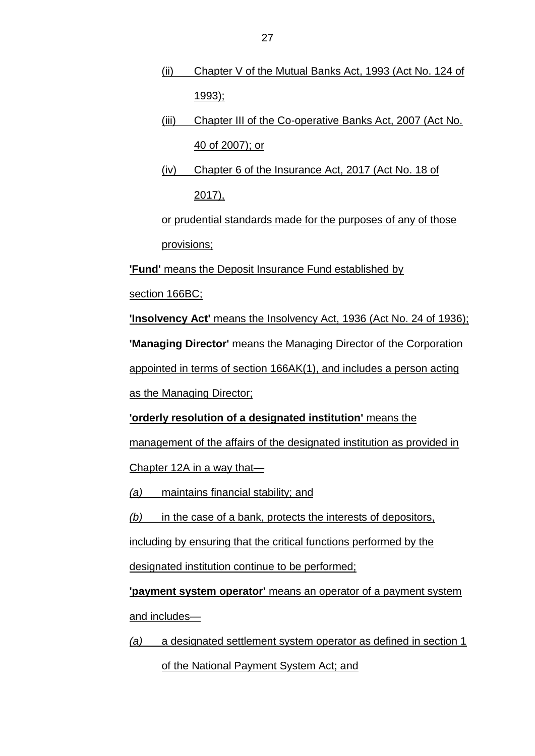- (ii) Chapter V of the Mutual Banks Act, 1993 (Act No. 124 of 1993);
- (iii) Chapter III of the Co-operative Banks Act, 2007 (Act No. 40 of 2007); or
- (iv) Chapter 6 of the Insurance Act, 2017 (Act No. 18 of 2017),

or prudential standards made for the purposes of any of those provisions;

**'Fund'** means the Deposit Insurance Fund established by

section 166BC;

**'Insolvency Act'** means the Insolvency Act, 1936 (Act No. 24 of 1936);

**'Managing Director'** means the Managing Director of the Corporation

appointed in terms of section 166AK(1), and includes a person acting

as the Managing Director;

**'orderly resolution of a designated institution'** means the

management of the affairs of the designated institution as provided in

Chapter 12A in a way that—

*(a)* maintains financial stability; and

*(b)* in the case of a bank, protects the interests of depositors,

including by ensuring that the critical functions performed by the

designated institution continue to be performed;

**'payment system operator'** means an operator of a payment system and includes—

*(a)* a designated settlement system operator as defined in section 1 of the National Payment System Act; and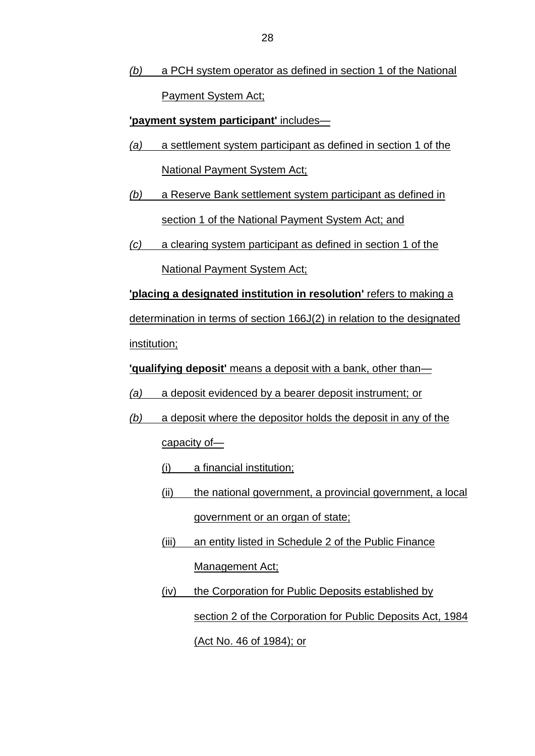*(b)* a PCH system operator as defined in section 1 of the National Payment System Act;

**'payment system participant'** includes—

- *(a)* a settlement system participant as defined in section 1 of the National Payment System Act;
- *(b)* a Reserve Bank settlement system participant as defined in section 1 of the National Payment System Act; and
- *(c)* a clearing system participant as defined in section 1 of the National Payment System Act;

**'placing a designated institution in resolution'** refers to making a determination in terms of section 166J(2) in relation to the designated institution;

**'qualifying deposit'** means a deposit with a bank, other than—

- *(a)* a deposit evidenced by a bearer deposit instrument; or
- *(b)* a deposit where the depositor holds the deposit in any of the capacity of—
	- (i) a financial institution;
	- (ii) the national government, a provincial government, a local government or an organ of state;
	- (iii) an entity listed in Schedule 2 of the Public Finance Management Act;
	- (iv) the Corporation for Public Deposits established by section 2 of the Corporation for Public Deposits Act, 1984 (Act No. 46 of 1984); or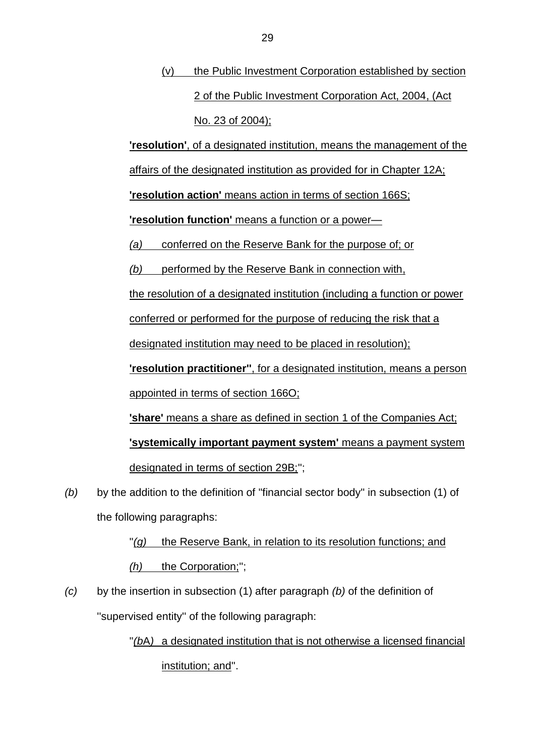(v) the Public Investment Corporation established by section 2 of the Public Investment Corporation Act, 2004, (Act No. 23 of 2004);

**'resolution'**, of a designated institution, means the management of the

affairs of the designated institution as provided for in Chapter 12A;

**'resolution action'** means action in terms of section 166S;

**'resolution function'** means a function or a power—

*(a)* conferred on the Reserve Bank for the purpose of; or

*(b)* performed by the Reserve Bank in connection with,

the resolution of a designated institution (including a function or power

conferred or performed for the purpose of reducing the risk that a

designated institution may need to be placed in resolution);

**'resolution practitioner''**, for a designated institution, means a person appointed in terms of section 166O;

**'share'** means a share as defined in section 1 of the Companies Act;

**'systemically important payment system'** means a payment system designated in terms of section 29B;'';

*(b)* by the addition to the definition of ''financial sector body'' in subsection (1) of the following paragraphs:

> "(g) the Reserve Bank, in relation to its resolution functions; and *(h)* the Corporation;'';

*(c)* by the insertion in subsection (1) after paragraph *(b)* of the definition of ''supervised entity'' of the following paragraph:

> ''*(b*A*)* a designated institution that is not otherwise a licensed financial institution; and''.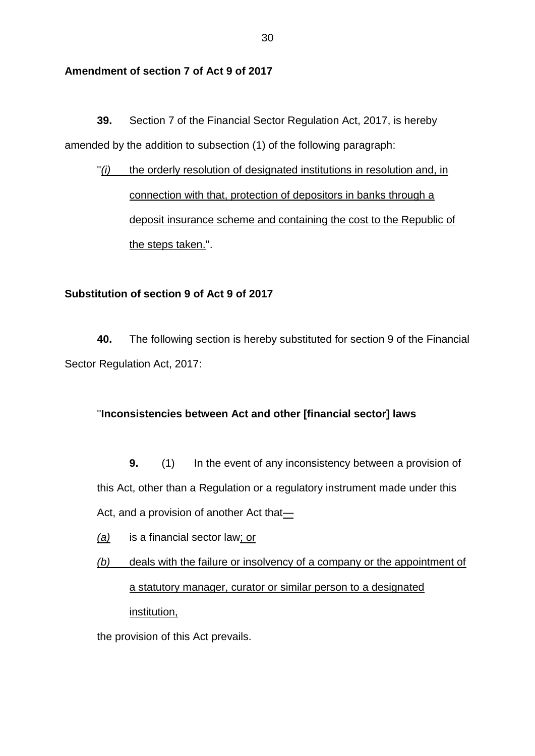## **Amendment of section 7 of Act 9 of 2017**

**39.** Section 7 of the Financial Sector Regulation Act, 2017, is hereby amended by the addition to subsection (1) of the following paragraph:

"(i) the orderly resolution of designated institutions in resolution and, in connection with that, protection of depositors in banks through a deposit insurance scheme and containing the cost to the Republic of the steps taken.''.

### **Substitution of section 9 of Act 9 of 2017**

**40.** The following section is hereby substituted for section 9 of the Financial Sector Regulation Act, 2017:

### ''**Inconsistencies between Act and other [financial sector] laws**

**9.** (1) In the event of any inconsistency between a provision of this Act, other than a Regulation or a regulatory instrument made under this Act, and a provision of another Act that-

- *(a)* is a financial sector law; or
- *(b)* deals with the failure or insolvency of a company or the appointment of a statutory manager, curator or similar person to a designated institution,

the provision of this Act prevails.

30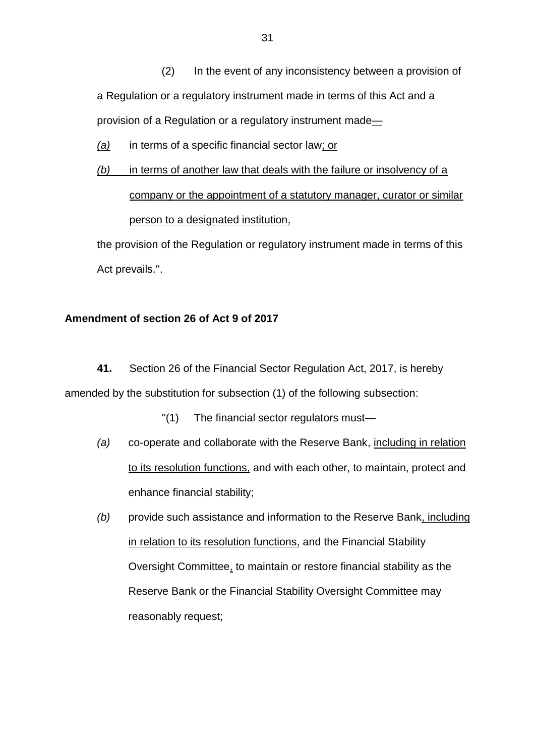(2) In the event of any inconsistency between a provision of a Regulation or a regulatory instrument made in terms of this Act and a provision of a Regulation or a regulatory instrument made—

*(a)* in terms of a specific financial sector law; or

*(b)* in terms of another law that deals with the failure or insolvency of a company or the appointment of a statutory manager, curator or similar person to a designated institution,

the provision of the Regulation or regulatory instrument made in terms of this Act prevails.''.

#### **Amendment of section 26 of Act 9 of 2017**

**41.** Section 26 of the Financial Sector Regulation Act, 2017, is hereby

amended by the substitution for subsection (1) of the following subsection:

- ''(1) The financial sector regulators must—
- *(a)* co-operate and collaborate with the Reserve Bank, including in relation to its resolution functions, and with each other, to maintain, protect and enhance financial stability;
- *(b)* provide such assistance and information to the Reserve Bank, including in relation to its resolution functions, and the Financial Stability Oversight Committee, to maintain or restore financial stability as the Reserve Bank or the Financial Stability Oversight Committee may reasonably request;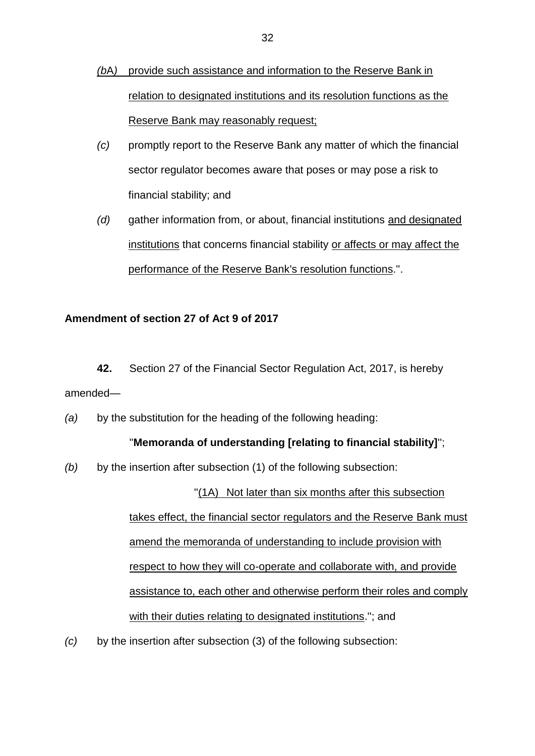- *(b*A*)* provide such assistance and information to the Reserve Bank in relation to designated institutions and its resolution functions as the Reserve Bank may reasonably request;
- *(c)* promptly report to the Reserve Bank any matter of which the financial sector regulator becomes aware that poses or may pose a risk to financial stability; and
- *(d)* gather information from, or about, financial institutions and designated institutions that concerns financial stability or affects or may affect the performance of the Reserve Bank's resolution functions.''.

## **Amendment of section 27 of Act 9 of 2017**

- **42.** Section 27 of the Financial Sector Regulation Act, 2017, is hereby amended—
- *(a)* by the substitution for the heading of the following heading:

### ''**Memoranda of understanding [relating to financial stability]**'';

*(b)* by the insertion after subsection (1) of the following subsection:

''(1A) Not later than six months after this subsection takes effect, the financial sector regulators and the Reserve Bank must amend the memoranda of understanding to include provision with respect to how they will co-operate and collaborate with, and provide assistance to, each other and otherwise perform their roles and comply with their duties relating to designated institutions.''; and

*(c)* by the insertion after subsection (3) of the following subsection: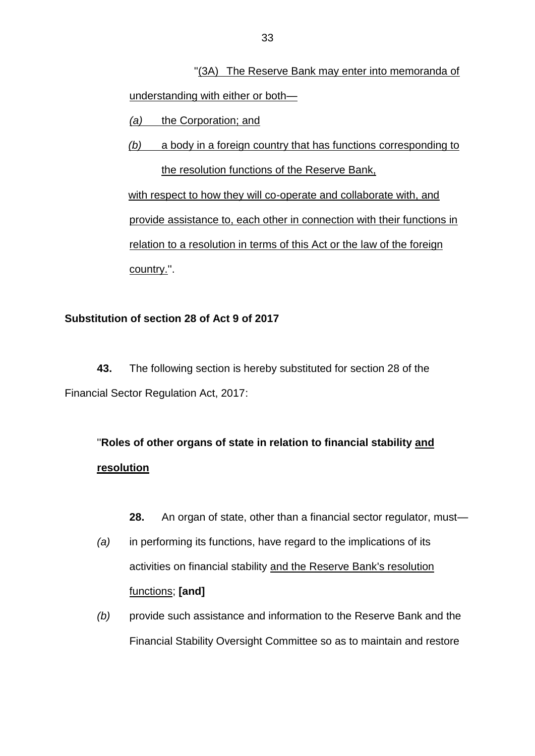''(3A) The Reserve Bank may enter into memoranda of understanding with either or both—

- *(a)* the Corporation; and
- *(b)* a body in a foreign country that has functions corresponding to the resolution functions of the Reserve Bank,

with respect to how they will co-operate and collaborate with, and provide assistance to, each other in connection with their functions in relation to a resolution in terms of this Act or the law of the foreign country.''.

## **Substitution of section 28 of Act 9 of 2017**

**43.** The following section is hereby substituted for section 28 of the Financial Sector Regulation Act, 2017:

## ''**Roles of other organs of state in relation to financial stability and resolution**

- **28.** An organ of state, other than a financial sector regulator, must—
- *(a)* in performing its functions, have regard to the implications of its activities on financial stability and the Reserve Bank's resolution functions; **[and]**
- *(b)* provide such assistance and information to the Reserve Bank and the Financial Stability Oversight Committee so as to maintain and restore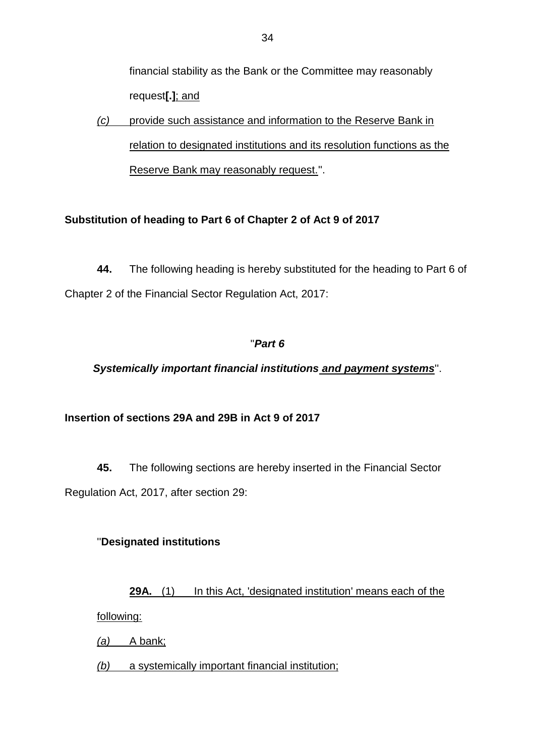financial stability as the Bank or the Committee may reasonably request**[.]**; and

*(c)* provide such assistance and information to the Reserve Bank in relation to designated institutions and its resolution functions as the Reserve Bank may reasonably request.''.

## **Substitution of heading to Part 6 of Chapter 2 of Act 9 of 2017**

**44.** The following heading is hereby substituted for the heading to Part 6 of Chapter 2 of the Financial Sector Regulation Act, 2017:

## ''*Part 6*

*Systemically important financial institutions and payment systems*''.

## **Insertion of sections 29A and 29B in Act 9 of 2017**

**45.** The following sections are hereby inserted in the Financial Sector Regulation Act, 2017, after section 29:

## ''**Designated institutions**

**29A.** (1) In this Act, 'designated institution' means each of the following:

*(a)* A bank;

*(b)* a systemically important financial institution;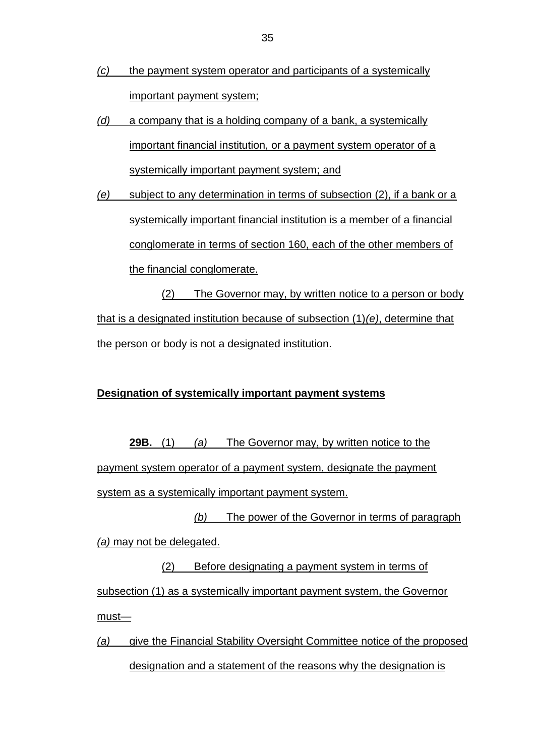- *(c)* the payment system operator and participants of a systemically important payment system;
- *(d)* a company that is a holding company of a bank, a systemically important financial institution, or a payment system operator of a systemically important payment system; and
- *(e)* subject to any determination in terms of subsection (2), if a bank or a systemically important financial institution is a member of a financial conglomerate in terms of section 160, each of the other members of the financial conglomerate.

(2) The Governor may, by written notice to a person or body that is a designated institution because of subsection (1)*(e)*, determine that the person or body is not a designated institution.

### **Designation of systemically important payment systems**

**29B.** (1) *(a)* The Governor may, by written notice to the payment system operator of a payment system, designate the payment system as a systemically important payment system.

*(b)* The power of the Governor in terms of paragraph *(a)* may not be delegated.

(2) Before designating a payment system in terms of subsection (1) as a systemically important payment system, the Governor must—

*(a)* give the Financial Stability Oversight Committee notice of the proposed designation and a statement of the reasons why the designation is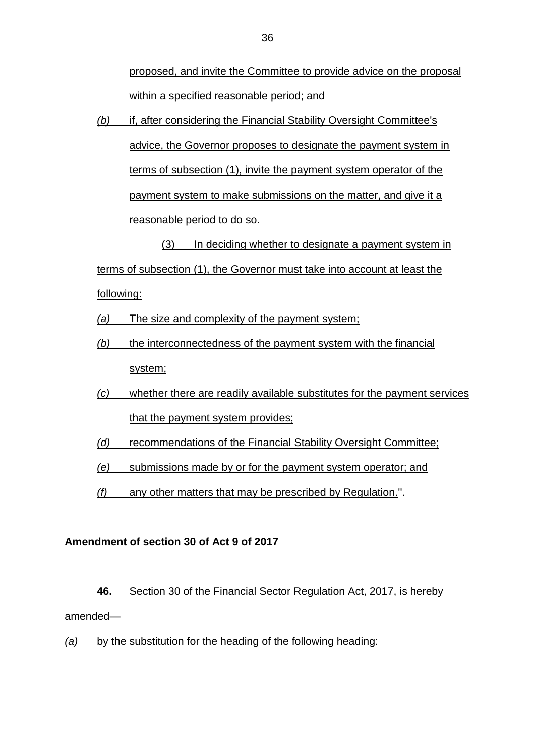proposed, and invite the Committee to provide advice on the proposal within a specified reasonable period; and

*(b)* if, after considering the Financial Stability Oversight Committee's advice, the Governor proposes to designate the payment system in terms of subsection (1), invite the payment system operator of the payment system to make submissions on the matter, and give it a reasonable period to do so.

(3) In deciding whether to designate a payment system in terms of subsection (1), the Governor must take into account at least the following:

- *(a)* The size and complexity of the payment system;
- *(b)* the interconnectedness of the payment system with the financial system;
- *(c)* whether there are readily available substitutes for the payment services that the payment system provides;
- *(d)* recommendations of the Financial Stability Oversight Committee;

*(e)* submissions made by or for the payment system operator; and

*(f)* any other matters that may be prescribed by Regulation.''.

### **Amendment of section 30 of Act 9 of 2017**

**46.** Section 30 of the Financial Sector Regulation Act, 2017, is hereby amended—

*(a)* by the substitution for the heading of the following heading: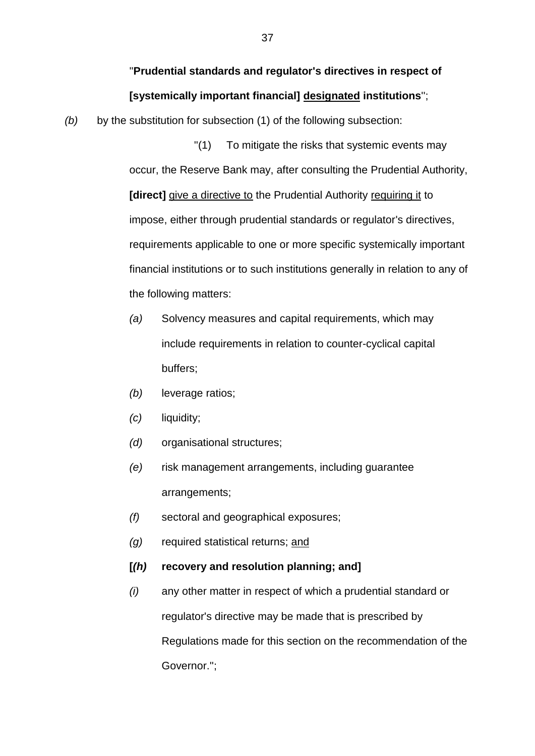## ''**Prudential standards and regulator's directives in respect of [systemically important financial] designated institutions**'';

*(b)* by the substitution for subsection (1) of the following subsection:

''(1) To mitigate the risks that systemic events may occur, the Reserve Bank may, after consulting the Prudential Authority, **[direct]** give a directive to the Prudential Authority requiring it to impose, either through prudential standards or regulator's directives, requirements applicable to one or more specific systemically important financial institutions or to such institutions generally in relation to any of the following matters:

- *(a)* Solvency measures and capital requirements, which may include requirements in relation to counter-cyclical capital buffers;
- *(b)* leverage ratios;
- *(c)* liquidity;
- *(d)* organisational structures;
- *(e)* risk management arrangements, including guarantee arrangements;
- *(f)* sectoral and geographical exposures;
- *(g)* required statistical returns; and
- **[***(h)* **recovery and resolution planning; and]**
- *(i)* any other matter in respect of which a prudential standard or regulator's directive may be made that is prescribed by Regulations made for this section on the recommendation of the Governor.'';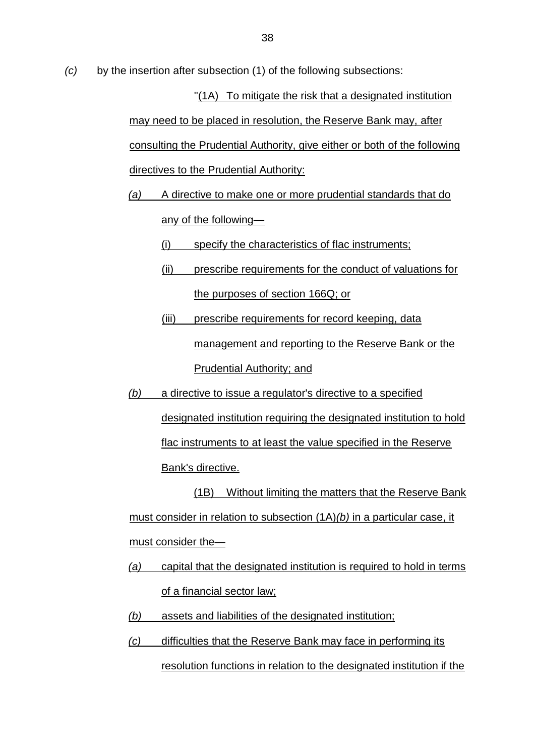*(c)* by the insertion after subsection (1) of the following subsections:

''(1A) To mitigate the risk that a designated institution may need to be placed in resolution, the Reserve Bank may, after consulting the Prudential Authority, give either or both of the following directives to the Prudential Authority:

*(a)* A directive to make one or more prudential standards that do

any of the following—

(i) specify the characteristics of flac instruments;

- (ii) prescribe requirements for the conduct of valuations for the purposes of section 166Q; or
- (iii) prescribe requirements for record keeping, data management and reporting to the Reserve Bank or the Prudential Authority; and
- *(b)* a directive to issue a regulator's directive to a specified designated institution requiring the designated institution to hold flac instruments to at least the value specified in the Reserve Bank's directive.

(1B) Without limiting the matters that the Reserve Bank must consider in relation to subsection (1A)*(b)* in a particular case, it must consider the-

- *(a)* capital that the designated institution is required to hold in terms of a financial sector law;
- *(b)* assets and liabilities of the designated institution;
- *(c)* difficulties that the Reserve Bank may face in performing its resolution functions in relation to the designated institution if the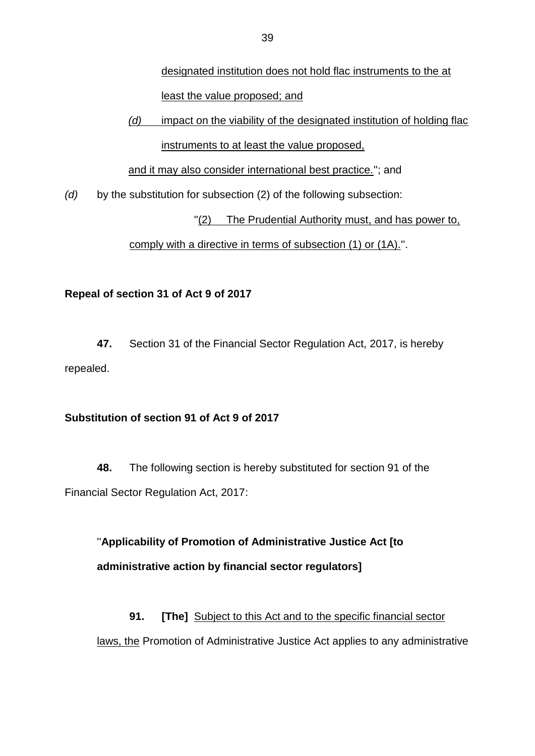designated institution does not hold flac instruments to the at least the value proposed; and

## *(d)* impact on the viability of the designated institution of holding flac

instruments to at least the value proposed,

and it may also consider international best practice.''; and

*(d)* by the substitution for subsection (2) of the following subsection:

"(2) The Prudential Authority must, and has power to,

comply with a directive in terms of subsection (1) or (1A).''.

## **Repeal of section 31 of Act 9 of 2017**

**47.** Section 31 of the Financial Sector Regulation Act, 2017, is hereby repealed.

## **Substitution of section 91 of Act 9 of 2017**

**48.** The following section is hereby substituted for section 91 of the Financial Sector Regulation Act, 2017:

''**Applicability of Promotion of Administrative Justice Act [to administrative action by financial sector regulators]**

**91. [The]** Subject to this Act and to the specific financial sector laws, the Promotion of Administrative Justice Act applies to any administrative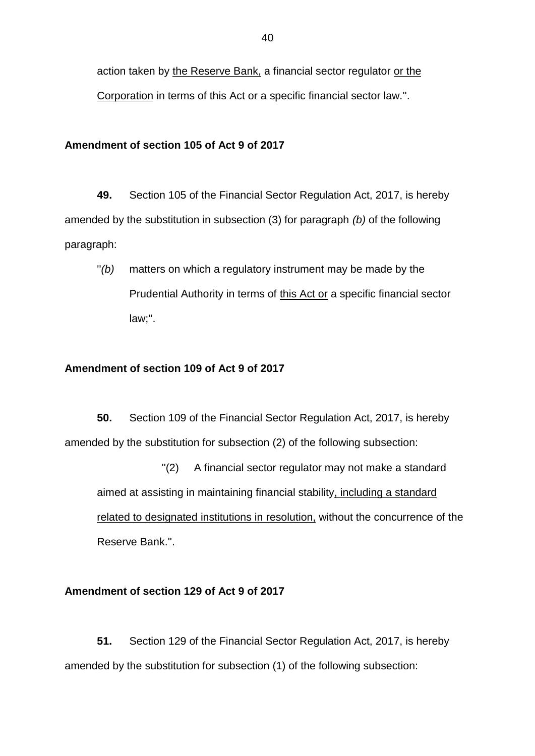action taken by the Reserve Bank, a financial sector regulator or the Corporation in terms of this Act or a specific financial sector law.''.

#### **Amendment of section 105 of Act 9 of 2017**

**49.** Section 105 of the Financial Sector Regulation Act, 2017, is hereby amended by the substitution in subsection (3) for paragraph *(b)* of the following paragraph:

''*(b)* matters on which a regulatory instrument may be made by the Prudential Authority in terms of this Act or a specific financial sector law;''.

#### **Amendment of section 109 of Act 9 of 2017**

**50.** Section 109 of the Financial Sector Regulation Act, 2017, is hereby amended by the substitution for subsection (2) of the following subsection:

''(2) A financial sector regulator may not make a standard aimed at assisting in maintaining financial stability, including a standard related to designated institutions in resolution, without the concurrence of the Reserve Bank.''.

#### **Amendment of section 129 of Act 9 of 2017**

**51.** Section 129 of the Financial Sector Regulation Act, 2017, is hereby amended by the substitution for subsection (1) of the following subsection: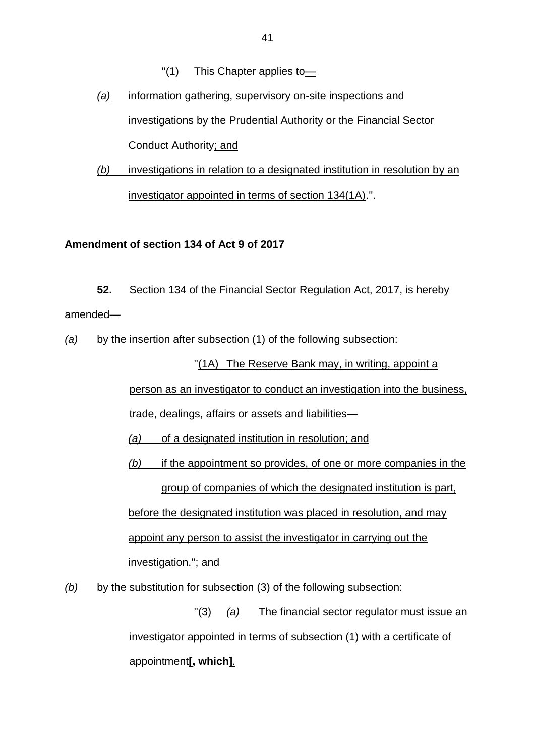- ''(1) This Chapter applies to—
- *(a)* information gathering, supervisory on-site inspections and investigations by the Prudential Authority or the Financial Sector Conduct Authority; and
- *(b)* investigations in relation to a designated institution in resolution by an investigator appointed in terms of section 134(1A).''.

#### **Amendment of section 134 of Act 9 of 2017**

**52.** Section 134 of the Financial Sector Regulation Act, 2017, is hereby amended—

*(a)* by the insertion after subsection (1) of the following subsection:

''(1A) The Reserve Bank may, in writing, appoint a person as an investigator to conduct an investigation into the business,

trade, dealings, affairs or assets and liabilities—

*(a)* of a designated institution in resolution; and

*(b)* if the appointment so provides, of one or more companies in the group of companies of which the designated institution is part, before the designated institution was placed in resolution, and may appoint any person to assist the investigator in carrying out the investigation.''; and

*(b)* by the substitution for subsection (3) of the following subsection:

''(3) *(a)* The financial sector regulator must issue an investigator appointed in terms of subsection (1) with a certificate of appointment**[, which]**.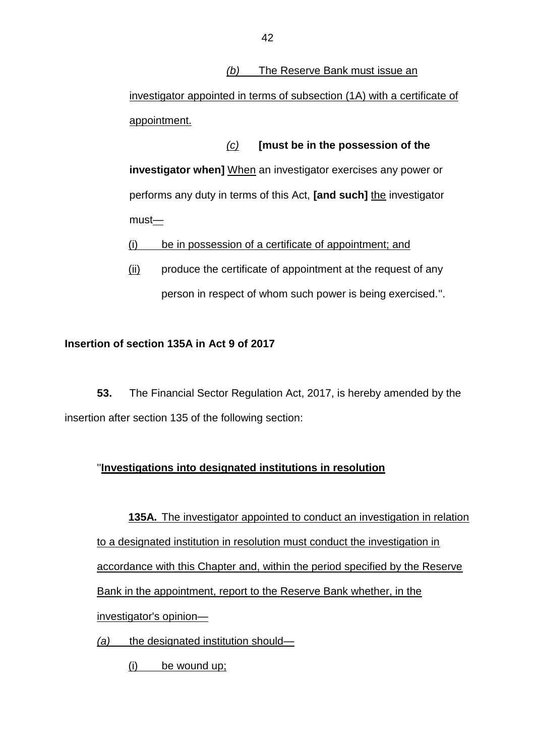### *(b)* The Reserve Bank must issue an

investigator appointed in terms of subsection (1A) with a certificate of appointment.

*(c)* **[must be in the possession of the investigator when]** When an investigator exercises any power or performs any duty in terms of this Act, **[and such]** the investigator  $must$ 

(i) be in possession of a certificate of appointment; and

 $(i)$  produce the certificate of appointment at the request of any person in respect of whom such power is being exercised.''.

### **Insertion of section 135A in Act 9 of 2017**

**53.** The Financial Sector Regulation Act, 2017, is hereby amended by the insertion after section 135 of the following section:

## ''**Investigations into designated institutions in resolution**

**135A.** The investigator appointed to conduct an investigation in relation to a designated institution in resolution must conduct the investigation in accordance with this Chapter and, within the period specified by the Reserve Bank in the appointment, report to the Reserve Bank whether, in the investigator's opinion—

- *(a)* the designated institution should—
	- (i) be wound up;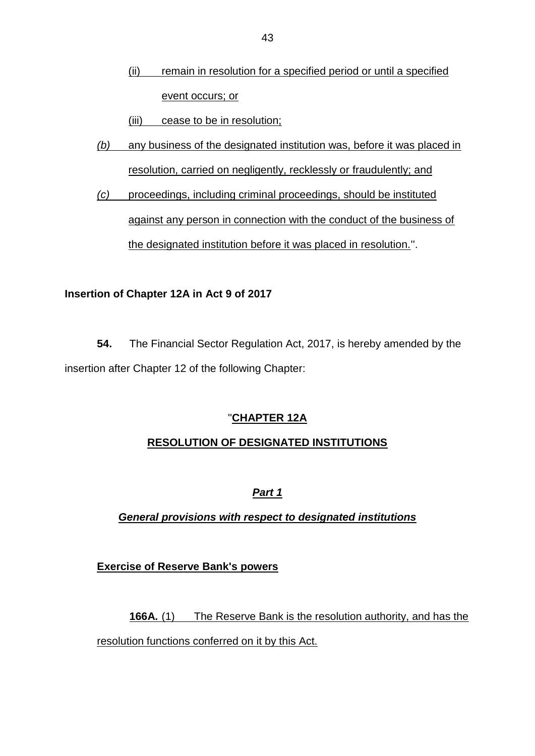(ii) remain in resolution for a specified period or until a specified event occurs; or

(iii) cease to be in resolution;

- *(b)* any business of the designated institution was, before it was placed in resolution, carried on negligently, recklessly or fraudulently; and
- *(c)* proceedings, including criminal proceedings, should be instituted against any person in connection with the conduct of the business of the designated institution before it was placed in resolution.''.

## **Insertion of Chapter 12A in Act 9 of 2017**

**54.** The Financial Sector Regulation Act, 2017, is hereby amended by the insertion after Chapter 12 of the following Chapter:

## ''**CHAPTER 12A**

## **RESOLUTION OF DESIGNATED INSTITUTIONS**

## *Part 1*

*General provisions with respect to designated institutions*

## **Exercise of Reserve Bank's powers**

**166A.** (1) The Reserve Bank is the resolution authority, and has the resolution functions conferred on it by this Act.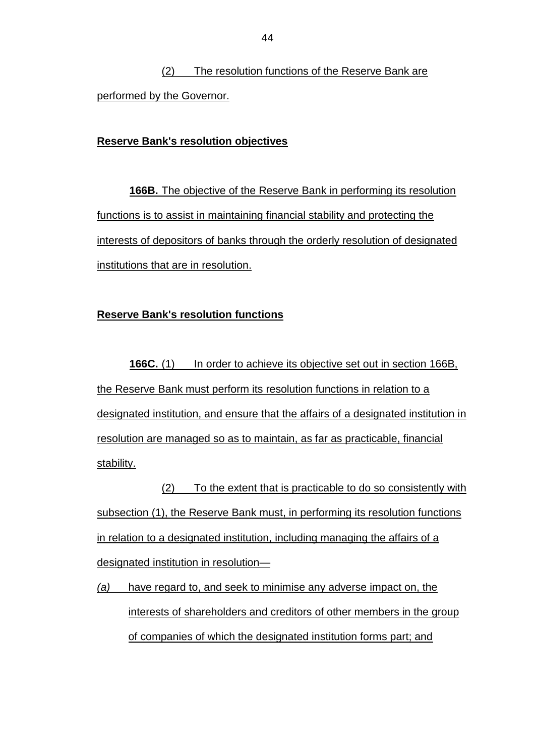(2) The resolution functions of the Reserve Bank are performed by the Governor.

#### **Reserve Bank's resolution objectives**

**166B.** The objective of the Reserve Bank in performing its resolution functions is to assist in maintaining financial stability and protecting the interests of depositors of banks through the orderly resolution of designated institutions that are in resolution.

#### **Reserve Bank's resolution functions**

**166C.** (1) In order to achieve its objective set out in section 166B, the Reserve Bank must perform its resolution functions in relation to a designated institution, and ensure that the affairs of a designated institution in resolution are managed so as to maintain, as far as practicable, financial stability.

(2) To the extent that is practicable to do so consistently with subsection (1), the Reserve Bank must, in performing its resolution functions in relation to a designated institution, including managing the affairs of a designated institution in resolution—

*(a)* have regard to, and seek to minimise any adverse impact on, the interests of shareholders and creditors of other members in the group of companies of which the designated institution forms part; and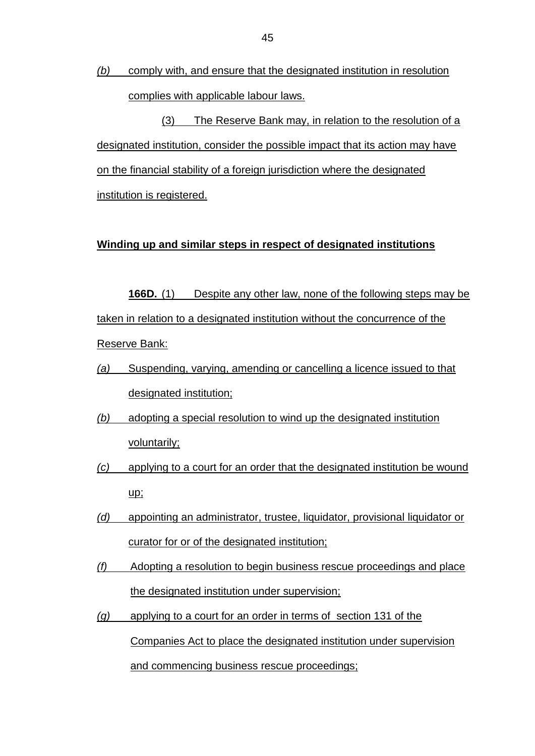*(b)* comply with, and ensure that the designated institution in resolution complies with applicable labour laws.

(3) The Reserve Bank may, in relation to the resolution of a designated institution, consider the possible impact that its action may have on the financial stability of a foreign jurisdiction where the designated institution is registered.

#### **Winding up and similar steps in respect of designated institutions**

**166D.** (1) Despite any other law, none of the following steps may be taken in relation to a designated institution without the concurrence of the Reserve Bank:

- *(a)* Suspending, varying, amending or cancelling a licence issued to that designated institution;
- *(b)* adopting a special resolution to wind up the designated institution voluntarily;
- *(c)* applying to a court for an order that the designated institution be wound up;
- *(d)* appointing an administrator, trustee, liquidator, provisional liquidator or curator for or of the designated institution;
- *(f)* Adopting a resolution to begin business rescue proceedings and place the designated institution under supervision;
- *(g)* applying to a court for an order in terms of section 131 of the Companies Act to place the designated institution under supervision and commencing business rescue proceedings;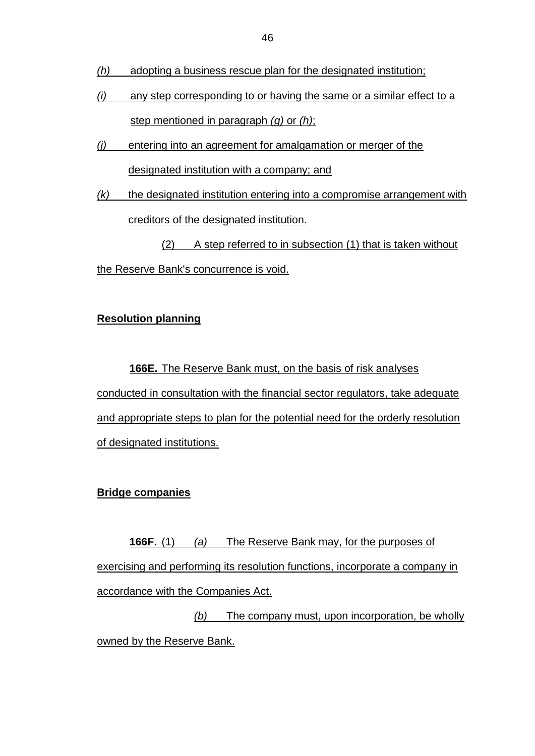- *(h)* adopting a business rescue plan for the designated institution;
- *(i)* any step corresponding to or having the same or a similar effect to a step mentioned in paragraph *(g)* or *(h)*;
- *(j)* entering into an agreement for amalgamation or merger of the designated institution with a company; and
- *(k)* the designated institution entering into a compromise arrangement with creditors of the designated institution.

(2) A step referred to in subsection (1) that is taken without the Reserve Bank's concurrence is void.

## **Resolution planning**

**166E.** The Reserve Bank must, on the basis of risk analyses conducted in consultation with the financial sector regulators, take adequate and appropriate steps to plan for the potential need for the orderly resolution of designated institutions.

## **Bridge companies**

**166F.** (1) *(a)* The Reserve Bank may, for the purposes of exercising and performing its resolution functions, incorporate a company in accordance with the Companies Act.

*(b)* The company must, upon incorporation, be wholly owned by the Reserve Bank.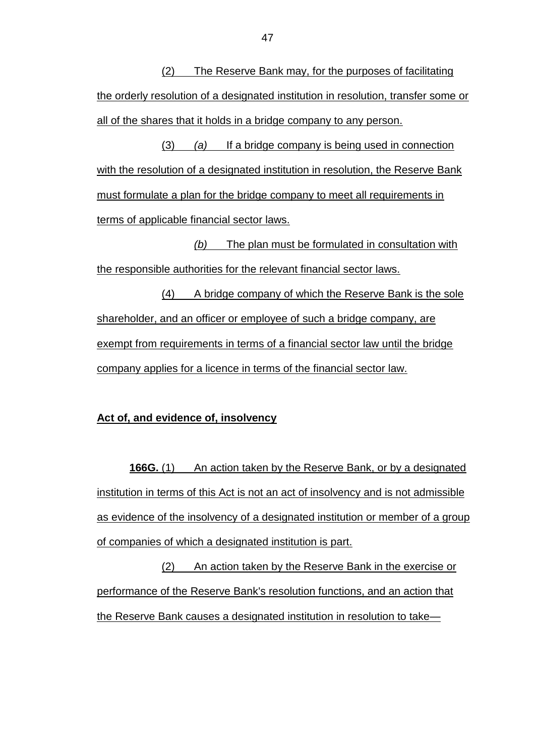(2) The Reserve Bank may, for the purposes of facilitating the orderly resolution of a designated institution in resolution, transfer some or all of the shares that it holds in a bridge company to any person.

(3) *(a)* If a bridge company is being used in connection with the resolution of a designated institution in resolution, the Reserve Bank must formulate a plan for the bridge company to meet all requirements in terms of applicable financial sector laws.

*(b)* The plan must be formulated in consultation with the responsible authorities for the relevant financial sector laws.

(4) A bridge company of which the Reserve Bank is the sole shareholder, and an officer or employee of such a bridge company, are exempt from requirements in terms of a financial sector law until the bridge company applies for a licence in terms of the financial sector law.

#### **Act of, and evidence of, insolvency**

**166G.** (1) An action taken by the Reserve Bank, or by a designated institution in terms of this Act is not an act of insolvency and is not admissible as evidence of the insolvency of a designated institution or member of a group of companies of which a designated institution is part.

(2) An action taken by the Reserve Bank in the exercise or performance of the Reserve Bank's resolution functions, and an action that the Reserve Bank causes a designated institution in resolution to take—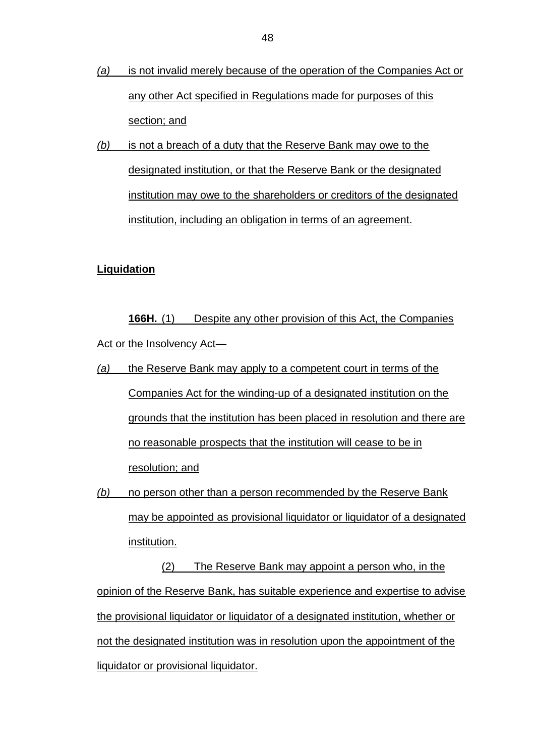- *(a)* is not invalid merely because of the operation of the Companies Act or any other Act specified in Regulations made for purposes of this section; and
- *(b)* is not a breach of a duty that the Reserve Bank may owe to the designated institution, or that the Reserve Bank or the designated institution may owe to the shareholders or creditors of the designated institution, including an obligation in terms of an agreement.

#### **Liquidation**

**166H.** (1) Despite any other provision of this Act, the Companies Act or the Insolvency Act—

- *(a)* the Reserve Bank may apply to a competent court in terms of the Companies Act for the winding-up of a designated institution on the grounds that the institution has been placed in resolution and there are no reasonable prospects that the institution will cease to be in resolution; and
- *(b)* no person other than a person recommended by the Reserve Bank may be appointed as provisional liquidator or liquidator of a designated institution.

(2) The Reserve Bank may appoint a person who, in the opinion of the Reserve Bank, has suitable experience and expertise to advise the provisional liquidator or liquidator of a designated institution, whether or not the designated institution was in resolution upon the appointment of the liquidator or provisional liquidator.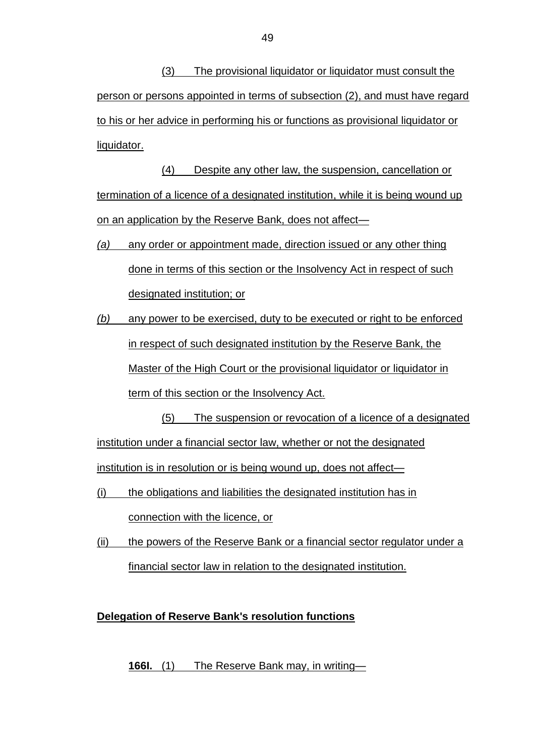(3) The provisional liquidator or liquidator must consult the person or persons appointed in terms of subsection (2), and must have regard to his or her advice in performing his or functions as provisional liquidator or liquidator.

(4) Despite any other law, the suspension, cancellation or termination of a licence of a designated institution, while it is being wound up on an application by the Reserve Bank, does not affect—

- *(a)* any order or appointment made, direction issued or any other thing done in terms of this section or the Insolvency Act in respect of such designated institution; or
- *(b)* any power to be exercised, duty to be executed or right to be enforced in respect of such designated institution by the Reserve Bank, the Master of the High Court or the provisional liquidator or liquidator in term of this section or the Insolvency Act.

(5) The suspension or revocation of a licence of a designated institution under a financial sector law, whether or not the designated institution is in resolution or is being wound up, does not affect—

- (i) the obligations and liabilities the designated institution has in connection with the licence, or
- (ii) the powers of the Reserve Bank or a financial sector regulator under a financial sector law in relation to the designated institution.

## **Delegation of Reserve Bank's resolution functions**

**166I.** (1) The Reserve Bank may, in writing—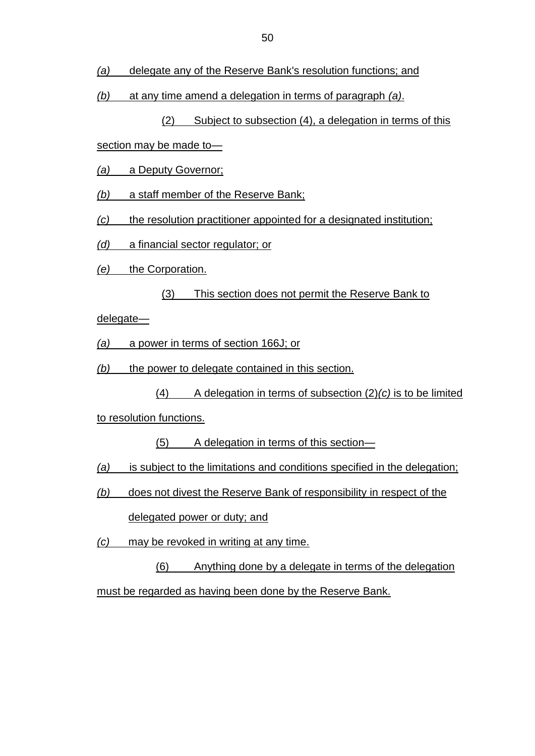- *(a)* delegate any of the Reserve Bank's resolution functions; and
- *(b)* at any time amend a delegation in terms of paragraph *(a)*.

(2) Subject to subsection (4), a delegation in terms of this

section may be made to—

- *(a)* a Deputy Governor;
- *(b)* a staff member of the Reserve Bank;
- *(c)* the resolution practitioner appointed for a designated institution;
- *(d)* a financial sector regulator; or
- *(e)* the Corporation.
	- (3) This section does not permit the Reserve Bank to

delegate—

- *(a)* a power in terms of section 166J; or
- *(b)* the power to delegate contained in this section.
	- (4) A delegation in terms of subsection (2)*(c)* is to be limited

to resolution functions.

- (5) A delegation in terms of this section—
- *(a)* is subject to the limitations and conditions specified in the delegation;
- *(b)* does not divest the Reserve Bank of responsibility in respect of the delegated power or duty; and
- *(c)* may be revoked in writing at any time.

(6) Anything done by a delegate in terms of the delegation must be regarded as having been done by the Reserve Bank.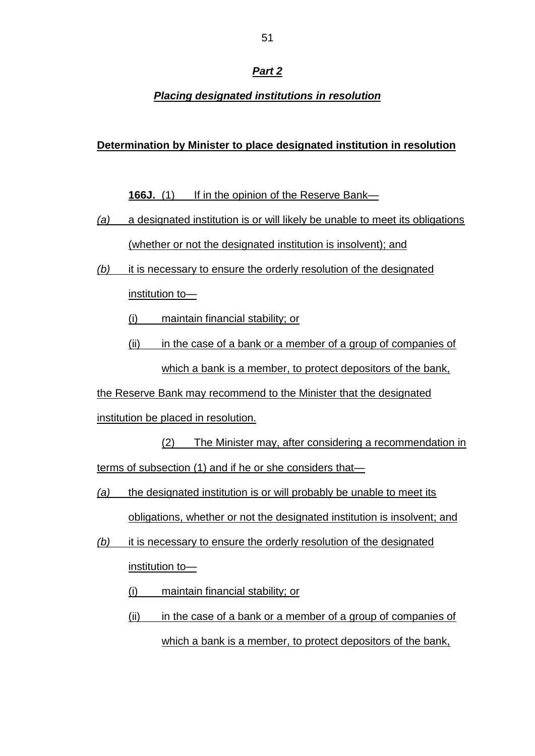### *Part 2*

## *Placing designated institutions in resolution*

#### **Determination by Minister to place designated institution in resolution**

**166J.** (1) If in the opinion of the Reserve Bank—

- *(a)* a designated institution is or will likely be unable to meet its obligations (whether or not the designated institution is insolvent); and
- *(b)* it is necessary to ensure the orderly resolution of the designated institution to—
	- (i) maintain financial stability; or
	- (ii) in the case of a bank or a member of a group of companies of which a bank is a member, to protect depositors of the bank,

the Reserve Bank may recommend to the Minister that the designated

institution be placed in resolution.

(2) The Minister may, after considering a recommendation in terms of subsection (1) and if he or she considers that—

- *(a)* the designated institution is or will probably be unable to meet its obligations, whether or not the designated institution is insolvent; and
- *(b)* it is necessary to ensure the orderly resolution of the designated institution to—
	- (i) maintain financial stability; or
	- (ii) in the case of a bank or a member of a group of companies of which a bank is a member, to protect depositors of the bank,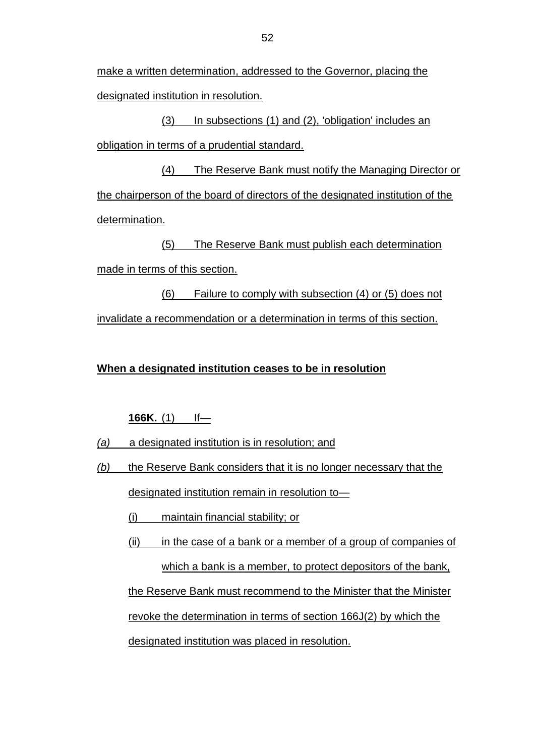make a written determination, addressed to the Governor, placing the designated institution in resolution.

(3) In subsections (1) and (2), 'obligation' includes an obligation in terms of a prudential standard.

(4) The Reserve Bank must notify the Managing Director or the chairperson of the board of directors of the designated institution of the determination.

(5) The Reserve Bank must publish each determination made in terms of this section.

(6) Failure to comply with subsection (4) or (5) does not invalidate a recommendation or a determination in terms of this section.

### **When a designated institution ceases to be in resolution**

**166K.** (1) If—

*(a)* a designated institution is in resolution; and

- *(b)* the Reserve Bank considers that it is no longer necessary that the designated institution remain in resolution to—
	- (i) maintain financial stability; or

(ii) in the case of a bank or a member of a group of companies of which a bank is a member, to protect depositors of the bank, the Reserve Bank must recommend to the Minister that the Minister revoke the determination in terms of section 166J(2) by which the designated institution was placed in resolution.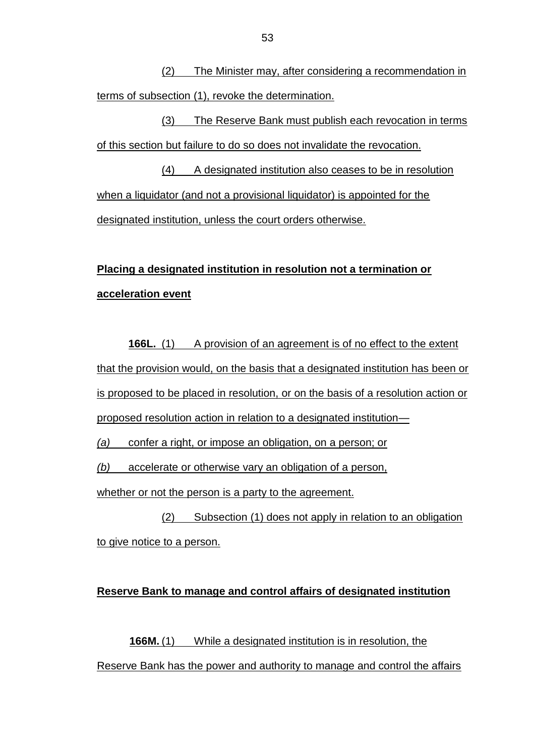(2) The Minister may, after considering a recommendation in terms of subsection (1), revoke the determination.

(3) The Reserve Bank must publish each revocation in terms of this section but failure to do so does not invalidate the revocation.

(4) A designated institution also ceases to be in resolution when a liquidator (and not a provisional liquidator) is appointed for the designated institution, unless the court orders otherwise.

## **Placing a designated institution in resolution not a termination or acceleration event**

**166L.** (1) A provision of an agreement is of no effect to the extent that the provision would, on the basis that a designated institution has been or is proposed to be placed in resolution, or on the basis of a resolution action or proposed resolution action in relation to a designated institution—

*(a)* confer a right, or impose an obligation, on a person; or

*(b)* accelerate or otherwise vary an obligation of a person,

whether or not the person is a party to the agreement.

(2) Subsection (1) does not apply in relation to an obligation to give notice to a person.

## **Reserve Bank to manage and control affairs of designated institution**

**166M.** (1) While a designated institution is in resolution, the Reserve Bank has the power and authority to manage and control the affairs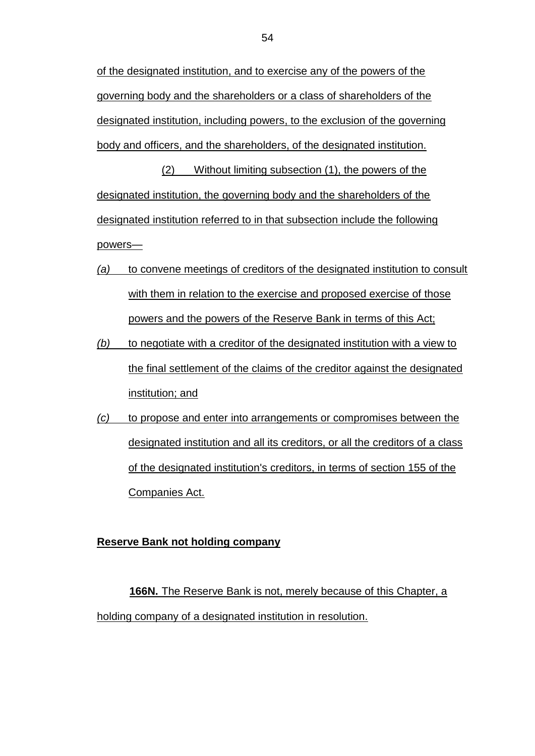of the designated institution, and to exercise any of the powers of the governing body and the shareholders or a class of shareholders of the designated institution, including powers, to the exclusion of the governing body and officers, and the shareholders, of the designated institution.

(2) Without limiting subsection (1), the powers of the designated institution, the governing body and the shareholders of the designated institution referred to in that subsection include the following powers—

- *(a)* to convene meetings of creditors of the designated institution to consult with them in relation to the exercise and proposed exercise of those powers and the powers of the Reserve Bank in terms of this Act;
- *(b)* to negotiate with a creditor of the designated institution with a view to the final settlement of the claims of the creditor against the designated institution; and
- *(c)* to propose and enter into arrangements or compromises between the designated institution and all its creditors, or all the creditors of a class of the designated institution's creditors, in terms of section 155 of the Companies Act.

#### **Reserve Bank not holding company**

**166N.** The Reserve Bank is not, merely because of this Chapter, a holding company of a designated institution in resolution.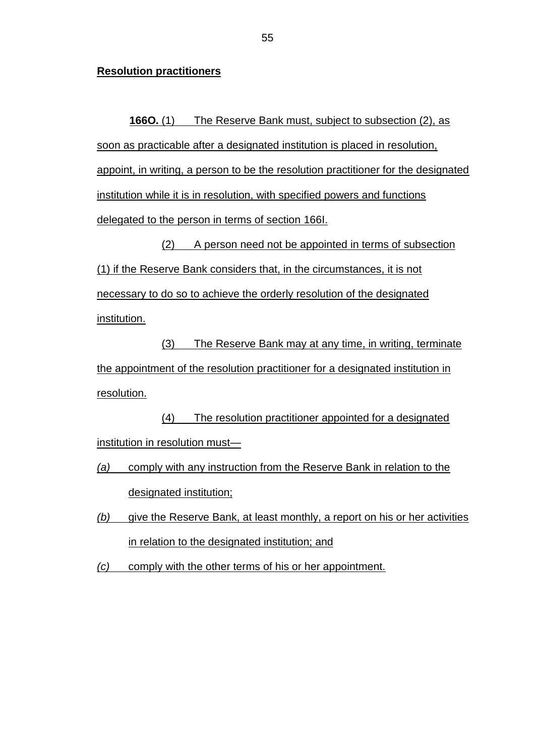#### **Resolution practitioners**

**166O.** (1) The Reserve Bank must, subject to subsection (2), as soon as practicable after a designated institution is placed in resolution, appoint, in writing, a person to be the resolution practitioner for the designated institution while it is in resolution, with specified powers and functions delegated to the person in terms of section 166I.

(2) A person need not be appointed in terms of subsection (1) if the Reserve Bank considers that, in the circumstances, it is not necessary to do so to achieve the orderly resolution of the designated institution.

(3) The Reserve Bank may at any time, in writing, terminate the appointment of the resolution practitioner for a designated institution in resolution.

(4) The resolution practitioner appointed for a designated institution in resolution must—

*(a)* comply with any instruction from the Reserve Bank in relation to the designated institution;

*(b)* give the Reserve Bank, at least monthly, a report on his or her activities in relation to the designated institution; and

*(c)* comply with the other terms of his or her appointment.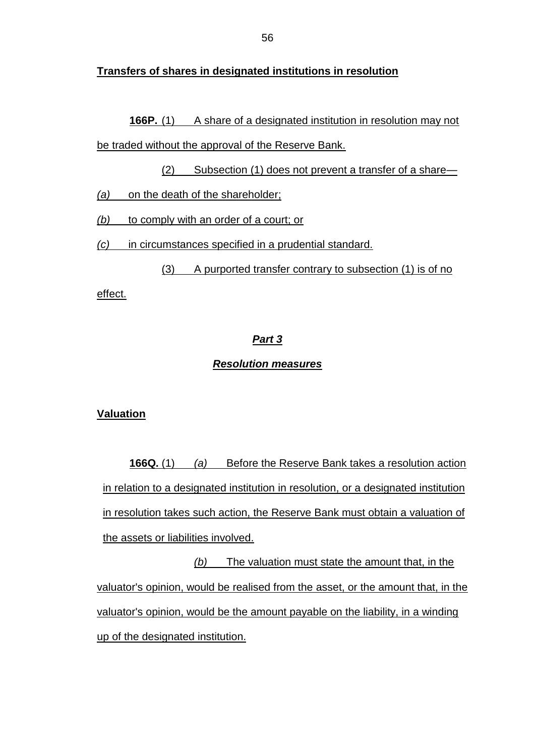#### **Transfers of shares in designated institutions in resolution**

**166P.** (1) A share of a designated institution in resolution may not be traded without the approval of the Reserve Bank.

(2) Subsection (1) does not prevent a transfer of a share—

*(a)* on the death of the shareholder;

*(b)* to comply with an order of a court; or

*(c)* in circumstances specified in a prudential standard.

(3) A purported transfer contrary to subsection (1) is of no effect.

#### *Part 3*

#### *Resolution measures*

#### **Valuation**

**166Q.** (1) *(a)* Before the Reserve Bank takes a resolution action in relation to a designated institution in resolution, or a designated institution in resolution takes such action, the Reserve Bank must obtain a valuation of the assets or liabilities involved.

*(b)* The valuation must state the amount that, in the valuator's opinion, would be realised from the asset, or the amount that, in the valuator's opinion, would be the amount payable on the liability, in a winding up of the designated institution.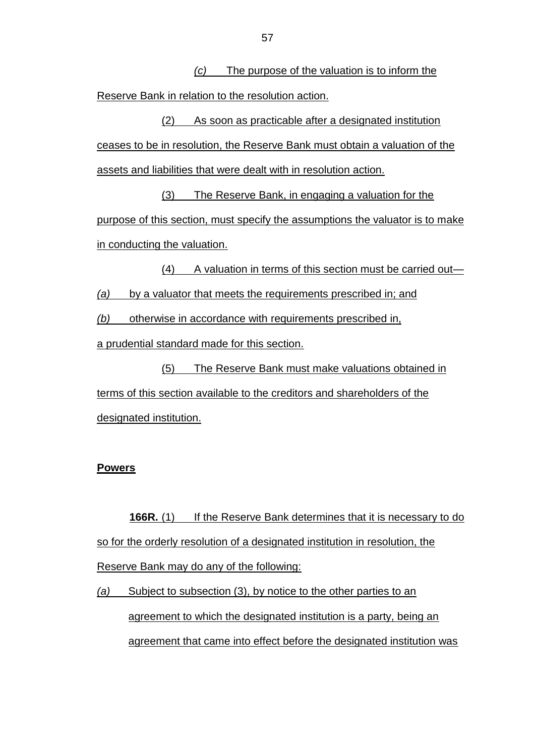*(c)* The purpose of the valuation is to inform the Reserve Bank in relation to the resolution action.

(2) As soon as practicable after a designated institution ceases to be in resolution, the Reserve Bank must obtain a valuation of the assets and liabilities that were dealt with in resolution action.

(3) The Reserve Bank, in engaging a valuation for the purpose of this section, must specify the assumptions the valuator is to make in conducting the valuation.

(4) A valuation in terms of this section must be carried out— *(a)* by a valuator that meets the requirements prescribed in; and

*(b)* otherwise in accordance with requirements prescribed in,

a prudential standard made for this section.

(5) The Reserve Bank must make valuations obtained in terms of this section available to the creditors and shareholders of the designated institution.

#### **Powers**

**166R.** (1) If the Reserve Bank determines that it is necessary to do so for the orderly resolution of a designated institution in resolution, the Reserve Bank may do any of the following:

*(a)* Subject to subsection (3), by notice to the other parties to an agreement to which the designated institution is a party, being an agreement that came into effect before the designated institution was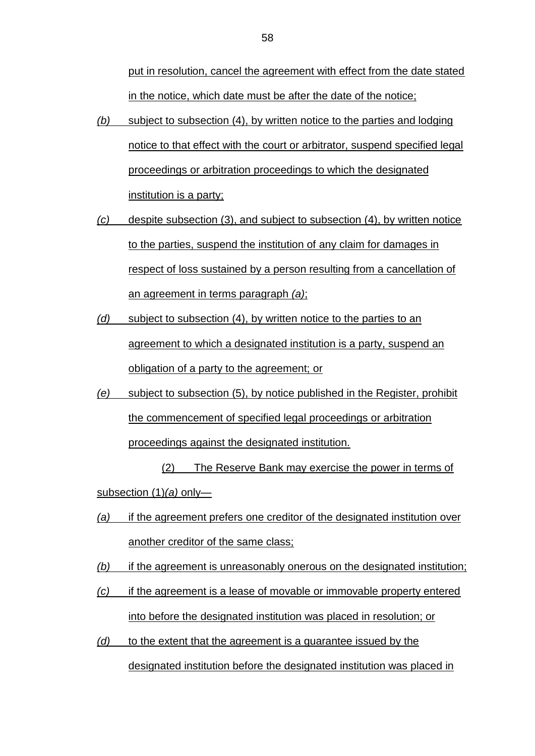put in resolution, cancel the agreement with effect from the date stated in the notice, which date must be after the date of the notice;

- *(b)* subject to subsection (4), by written notice to the parties and lodging notice to that effect with the court or arbitrator, suspend specified legal proceedings or arbitration proceedings to which the designated institution is a party;
- *(c)* despite subsection (3), and subject to subsection (4), by written notice to the parties, suspend the institution of any claim for damages in respect of loss sustained by a person resulting from a cancellation of an agreement in terms paragraph *(a)*;
- *(d)* subject to subsection (4), by written notice to the parties to an agreement to which a designated institution is a party, suspend an obligation of a party to the agreement; or
- *(e)* subject to subsection (5), by notice published in the Register, prohibit the commencement of specified legal proceedings or arbitration proceedings against the designated institution.

(2) The Reserve Bank may exercise the power in terms of subsection (1)*(a)* only—

- *(a)* if the agreement prefers one creditor of the designated institution over another creditor of the same class;
- *(b)* if the agreement is unreasonably onerous on the designated institution;
- *(c)* if the agreement is a lease of movable or immovable property entered into before the designated institution was placed in resolution; or
- *(d)* to the extent that the agreement is a guarantee issued by the designated institution before the designated institution was placed in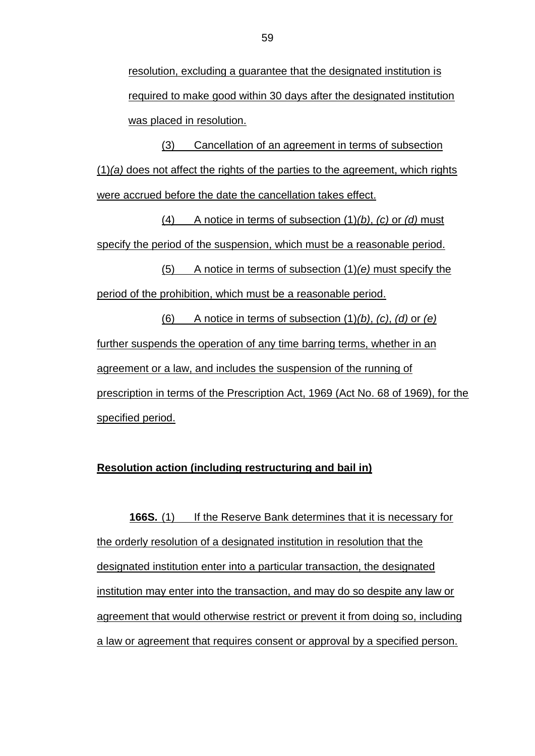resolution, excluding a guarantee that the designated institution is required to make good within 30 days after the designated institution was placed in resolution.

(3) Cancellation of an agreement in terms of subsection (1)*(a)* does not affect the rights of the parties to the agreement, which rights were accrued before the date the cancellation takes effect.

(4) A notice in terms of subsection (1)*(b)*, *(c)* or *(d)* must specify the period of the suspension, which must be a reasonable period.

(5) A notice in terms of subsection (1)*(e)* must specify the period of the prohibition, which must be a reasonable period.

(6) A notice in terms of subsection (1)*(b)*, *(c)*, *(d)* or *(e)* further suspends the operation of any time barring terms, whether in an agreement or a law, and includes the suspension of the running of prescription in terms of the Prescription Act, 1969 (Act No. 68 of 1969), for the specified period.

#### **Resolution action (including restructuring and bail in)**

**166S.** (1) If the Reserve Bank determines that it is necessary for the orderly resolution of a designated institution in resolution that the designated institution enter into a particular transaction, the designated institution may enter into the transaction, and may do so despite any law or agreement that would otherwise restrict or prevent it from doing so, including a law or agreement that requires consent or approval by a specified person.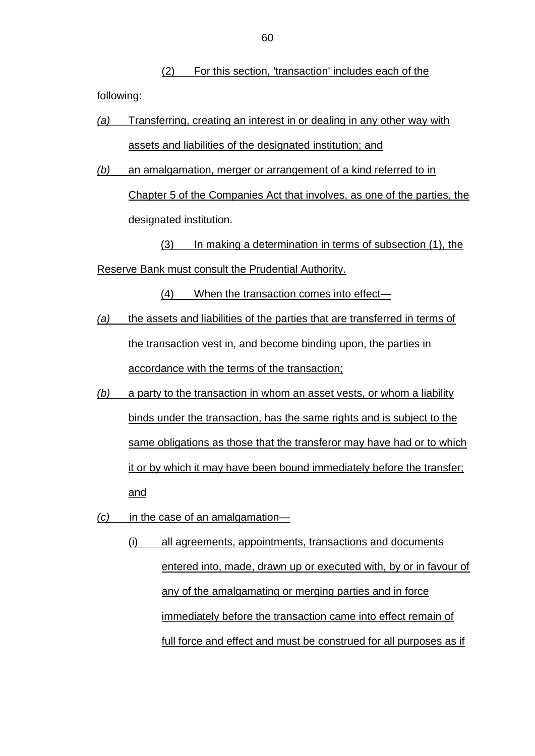(2) For this section, 'transaction' includes each of the following:

- *(a)* Transferring, creating an interest in or dealing in any other way with assets and liabilities of the designated institution; and
- *(b)* an amalgamation, merger or arrangement of a kind referred to in Chapter 5 of the Companies Act that involves, as one of the parties, the designated institution.

(3) In making a determination in terms of subsection (1), the Reserve Bank must consult the Prudential Authority.

(4) When the transaction comes into effect—

- *(a)* the assets and liabilities of the parties that are transferred in terms of the transaction vest in, and become binding upon, the parties in accordance with the terms of the transaction;
- *(b)* a party to the transaction in whom an asset vests, or whom a liability binds under the transaction, has the same rights and is subject to the same obligations as those that the transferor may have had or to which it or by which it may have been bound immediately before the transfer; and
- *(c)* in the case of an amalgamation—
	- (i) all agreements, appointments, transactions and documents entered into, made, drawn up or executed with, by or in favour of any of the amalgamating or merging parties and in force immediately before the transaction came into effect remain of full force and effect and must be construed for all purposes as if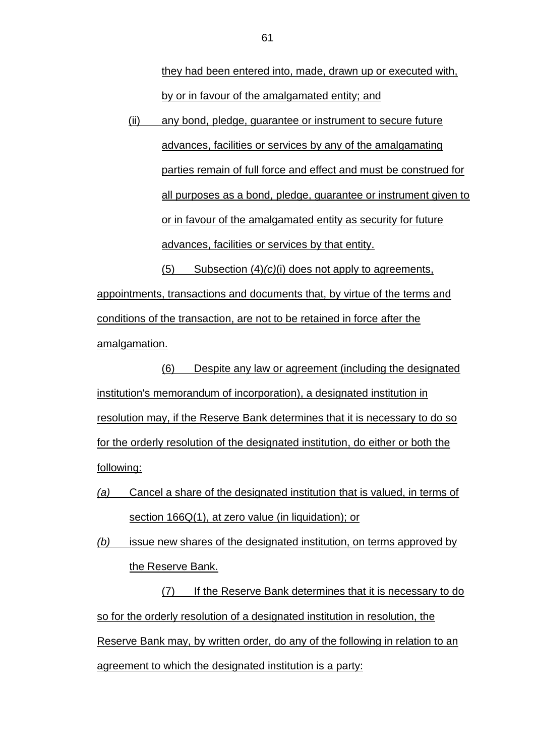they had been entered into, made, drawn up or executed with, by or in favour of the amalgamated entity; and

(ii) any bond, pledge, guarantee or instrument to secure future advances, facilities or services by any of the amalgamating parties remain of full force and effect and must be construed for all purposes as a bond, pledge, guarantee or instrument given to or in favour of the amalgamated entity as security for future advances, facilities or services by that entity.

(5) Subsection (4)*(c)*(i) does not apply to agreements, appointments, transactions and documents that, by virtue of the terms and conditions of the transaction, are not to be retained in force after the amalgamation.

(6) Despite any law or agreement (including the designated institution's memorandum of incorporation), a designated institution in resolution may, if the Reserve Bank determines that it is necessary to do so for the orderly resolution of the designated institution, do either or both the following:

*(a)* Cancel a share of the designated institution that is valued, in terms of section 166Q(1), at zero value (in liquidation); or

*(b)* issue new shares of the designated institution, on terms approved by the Reserve Bank.

(7) If the Reserve Bank determines that it is necessary to do so for the orderly resolution of a designated institution in resolution, the Reserve Bank may, by written order, do any of the following in relation to an agreement to which the designated institution is a party: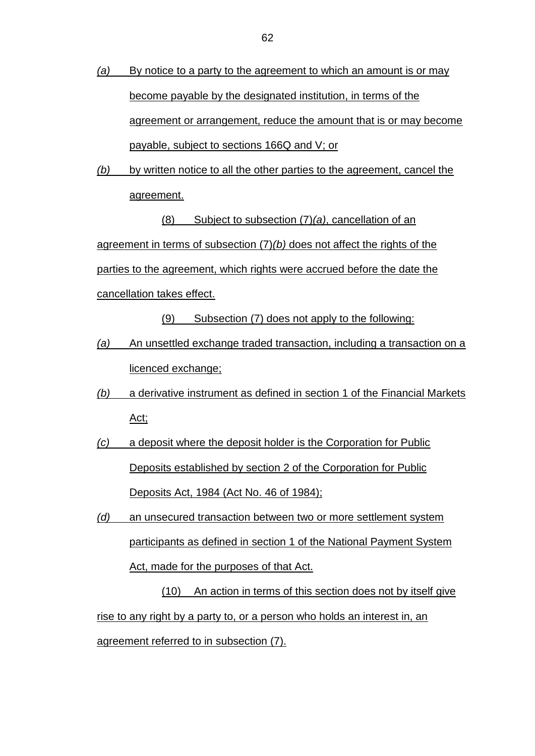- *(a)* By notice to a party to the agreement to which an amount is or may become payable by the designated institution, in terms of the agreement or arrangement, reduce the amount that is or may become payable, subject to sections 166Q and V; or
- *(b)* by written notice to all the other parties to the agreement, cancel the agreement.

(8) Subject to subsection (7)*(a)*, cancellation of an agreement in terms of subsection (7)*(b)* does not affect the rights of the parties to the agreement, which rights were accrued before the date the cancellation takes effect.

(9) Subsection (7) does not apply to the following:

- *(a)* An unsettled exchange traded transaction, including a transaction on a licenced exchange;
- *(b)* a derivative instrument as defined in section 1 of the Financial Markets Act;
- *(c)* a deposit where the deposit holder is the Corporation for Public Deposits established by section 2 of the Corporation for Public Deposits Act, 1984 (Act No. 46 of 1984);
- *(d)* an unsecured transaction between two or more settlement system participants as defined in section 1 of the National Payment System Act, made for the purposes of that Act.

(10) An action in terms of this section does not by itself give rise to any right by a party to, or a person who holds an interest in, an agreement referred to in subsection (7).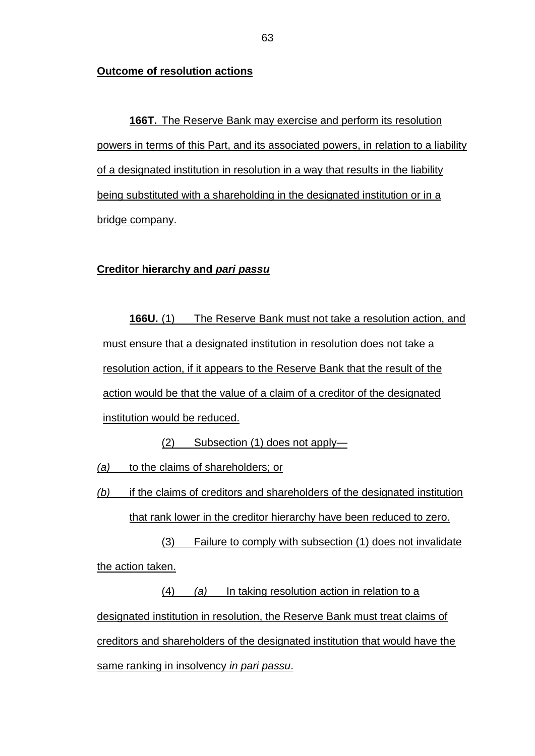#### **Outcome of resolution actions**

**166T.** The Reserve Bank may exercise and perform its resolution powers in terms of this Part, and its associated powers, in relation to a liability of a designated institution in resolution in a way that results in the liability being substituted with a shareholding in the designated institution or in a bridge company.

#### **Creditor hierarchy and** *pari passu*

**166U.** (1) The Reserve Bank must not take a resolution action, and must ensure that a designated institution in resolution does not take a resolution action, if it appears to the Reserve Bank that the result of the action would be that the value of a claim of a creditor of the designated institution would be reduced.

(2) Subsection (1) does not apply—

*(a)* to the claims of shareholders; or

*(b)* if the claims of creditors and shareholders of the designated institution that rank lower in the creditor hierarchy have been reduced to zero.

(3) Failure to comply with subsection (1) does not invalidate the action taken.

(4) *(a)* In taking resolution action in relation to a designated institution in resolution, the Reserve Bank must treat claims of creditors and shareholders of the designated institution that would have the same ranking in insolvency *in pari passu*.

63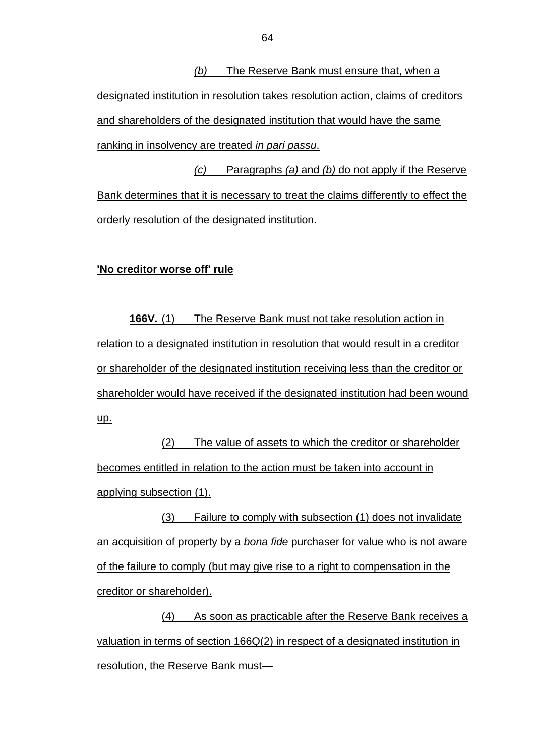*(b)* The Reserve Bank must ensure that, when a designated institution in resolution takes resolution action, claims of creditors and shareholders of the designated institution that would have the same ranking in insolvency are treated *in pari passu*.

*(c)* Paragraphs *(a)* and *(b)* do not apply if the Reserve Bank determines that it is necessary to treat the claims differently to effect the orderly resolution of the designated institution.

#### **'No creditor worse off' rule**

**166V.** (1) The Reserve Bank must not take resolution action in relation to a designated institution in resolution that would result in a creditor or shareholder of the designated institution receiving less than the creditor or shareholder would have received if the designated institution had been wound up.

(2) The value of assets to which the creditor or shareholder becomes entitled in relation to the action must be taken into account in applying subsection (1).

(3) Failure to comply with subsection (1) does not invalidate an acquisition of property by a *bona fide* purchaser for value who is not aware of the failure to comply (but may give rise to a right to compensation in the creditor or shareholder).

(4) As soon as practicable after the Reserve Bank receives a valuation in terms of section 166Q(2) in respect of a designated institution in resolution, the Reserve Bank must—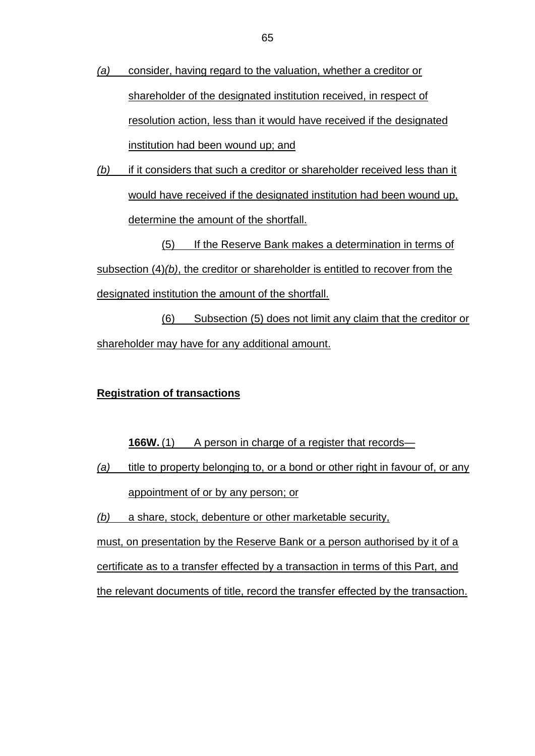- *(a)* consider, having regard to the valuation, whether a creditor or shareholder of the designated institution received, in respect of resolution action, less than it would have received if the designated institution had been wound up; and
- *(b)* if it considers that such a creditor or shareholder received less than it would have received if the designated institution had been wound up, determine the amount of the shortfall.

(5) If the Reserve Bank makes a determination in terms of subsection (4)*(b)*, the creditor or shareholder is entitled to recover from the designated institution the amount of the shortfall.

(6) Subsection (5) does not limit any claim that the creditor or shareholder may have for any additional amount.

#### **Registration of transactions**

**166W.** (1) A person in charge of a register that records—

*(a)* title to property belonging to, or a bond or other right in favour of, or any appointment of or by any person; or

*(b)* a share, stock, debenture or other marketable security,

must, on presentation by the Reserve Bank or a person authorised by it of a

certificate as to a transfer effected by a transaction in terms of this Part, and

the relevant documents of title, record the transfer effected by the transaction.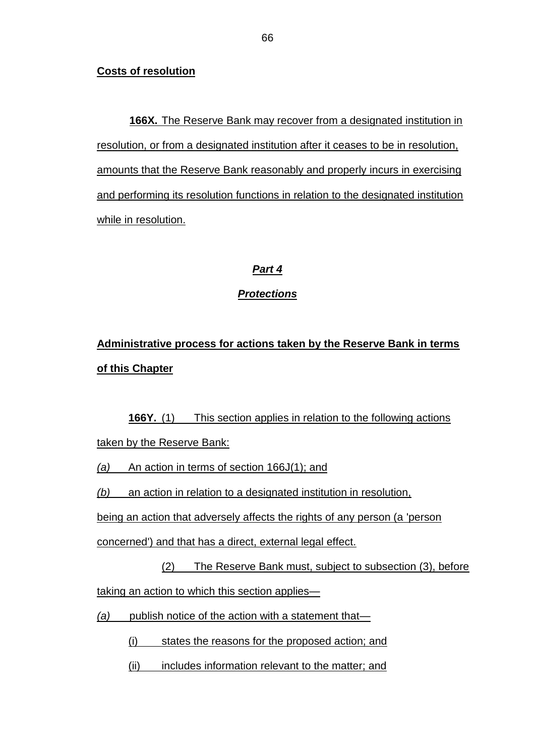### **Costs of resolution**

**166X.** The Reserve Bank may recover from a designated institution in resolution, or from a designated institution after it ceases to be in resolution, amounts that the Reserve Bank reasonably and properly incurs in exercising and performing its resolution functions in relation to the designated institution while in resolution.

## *Part 4*

## *Protections*

**Administrative process for actions taken by the Reserve Bank in terms of this Chapter**

**166Y.** (1) This section applies in relation to the following actions taken by the Reserve Bank:

*(a)* An action in terms of section 166J(1); and

*(b)* an action in relation to a designated institution in resolution,

being an action that adversely affects the rights of any person (a 'person

concerned') and that has a direct, external legal effect.

(2) The Reserve Bank must, subject to subsection (3), before taking an action to which this section applies—

*(a)* publish notice of the action with a statement that—

(i) states the reasons for the proposed action; and

(ii) includes information relevant to the matter; and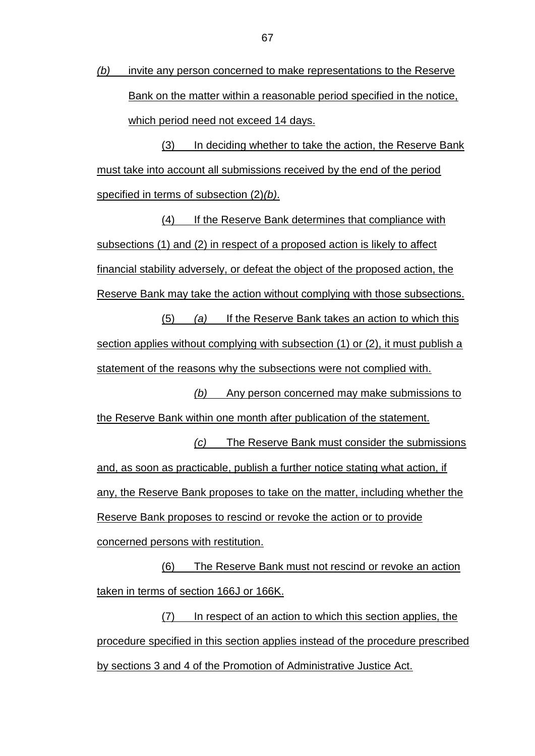*(b)* invite any person concerned to make representations to the Reserve Bank on the matter within a reasonable period specified in the notice, which period need not exceed 14 days.

(3) In deciding whether to take the action, the Reserve Bank must take into account all submissions received by the end of the period specified in terms of subsection (2)*(b)*.

(4) If the Reserve Bank determines that compliance with subsections (1) and (2) in respect of a proposed action is likely to affect financial stability adversely, or defeat the object of the proposed action, the Reserve Bank may take the action without complying with those subsections.

(5) *(a)* If the Reserve Bank takes an action to which this section applies without complying with subsection (1) or (2), it must publish a statement of the reasons why the subsections were not complied with.

*(b)* Any person concerned may make submissions to the Reserve Bank within one month after publication of the statement. *(c)* The Reserve Bank must consider the submissions and, as soon as practicable, publish a further notice stating what action, if any, the Reserve Bank proposes to take on the matter, including whether the Reserve Bank proposes to rescind or revoke the action or to provide concerned persons with restitution.

(6) The Reserve Bank must not rescind or revoke an action taken in terms of section 166J or 166K.

(7) In respect of an action to which this section applies, the procedure specified in this section applies instead of the procedure prescribed by sections 3 and 4 of the Promotion of Administrative Justice Act.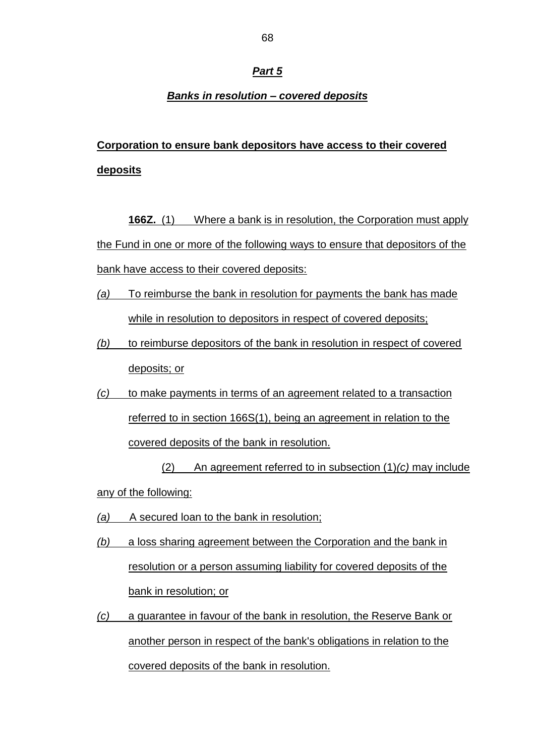#### *Part 5*

#### *Banks in resolution – covered deposits*

## **Corporation to ensure bank depositors have access to their covered deposits**

**166Z.** (1) Where a bank is in resolution, the Corporation must apply the Fund in one or more of the following ways to ensure that depositors of the bank have access to their covered deposits:

- *(a)* To reimburse the bank in resolution for payments the bank has made while in resolution to depositors in respect of covered deposits;
- *(b)* to reimburse depositors of the bank in resolution in respect of covered deposits; or
- *(c)* to make payments in terms of an agreement related to a transaction referred to in section 166S(1), being an agreement in relation to the covered deposits of the bank in resolution.

(2) An agreement referred to in subsection (1)*(c)* may include any of the following:

- *(a)* A secured loan to the bank in resolution;
- *(b)* a loss sharing agreement between the Corporation and the bank in resolution or a person assuming liability for covered deposits of the bank in resolution; or
- *(c)* a guarantee in favour of the bank in resolution, the Reserve Bank or another person in respect of the bank's obligations in relation to the covered deposits of the bank in resolution.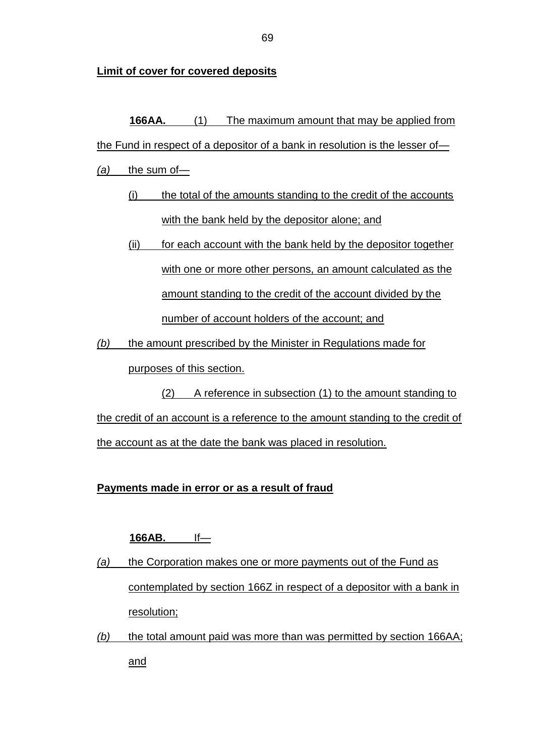**Limit of cover for covered deposits**

# **166AA.** (1) The maximum amount that may be applied from the Fund in respect of a depositor of a bank in resolution is the lesser of— *(a)* the sum of— (i) the total of the amounts standing to the credit of the accounts with the bank held by the depositor alone; and (ii) for each account with the bank held by the depositor together with one or more other persons, an amount calculated as the

amount standing to the credit of the account divided by the

number of account holders of the account; and

*(b)* the amount prescribed by the Minister in Regulations made for purposes of this section.

(2) A reference in subsection (1) to the amount standing to the credit of an account is a reference to the amount standing to the credit of the account as at the date the bank was placed in resolution.

## **Payments made in error or as a result of fraud**

## **166AB.** If—

- *(a)* the Corporation makes one or more payments out of the Fund as contemplated by section 166Z in respect of a depositor with a bank in resolution;
- *(b)* the total amount paid was more than was permitted by section 166AA; and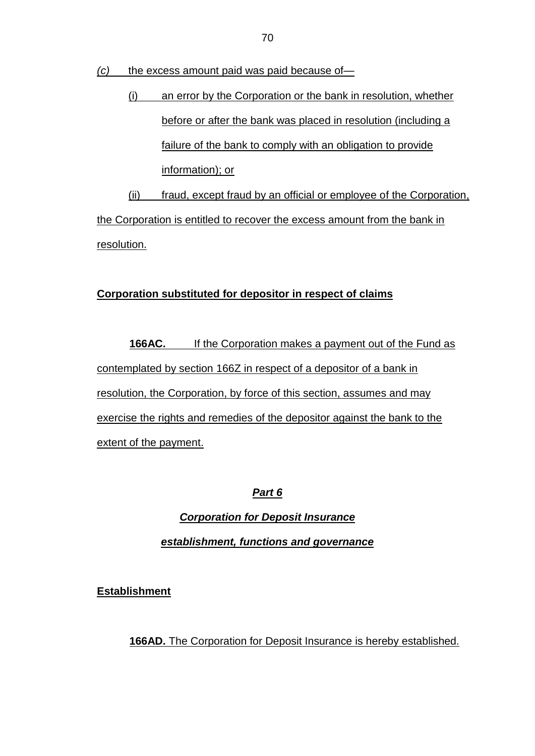*(c)* the excess amount paid was paid because of—

(i) an error by the Corporation or the bank in resolution, whether before or after the bank was placed in resolution (including a failure of the bank to comply with an obligation to provide information); or

(ii) fraud, except fraud by an official or employee of the Corporation, the Corporation is entitled to recover the excess amount from the bank in resolution.

## **Corporation substituted for depositor in respect of claims**

**166AC.** If the Corporation makes a payment out of the Fund as contemplated by section 166Z in respect of a depositor of a bank in resolution, the Corporation, by force of this section, assumes and may exercise the rights and remedies of the depositor against the bank to the extent of the payment.

*Part 6*

*Corporation for Deposit Insurance establishment, functions and governance*

**Establishment**

**166AD.** The Corporation for Deposit Insurance is hereby established.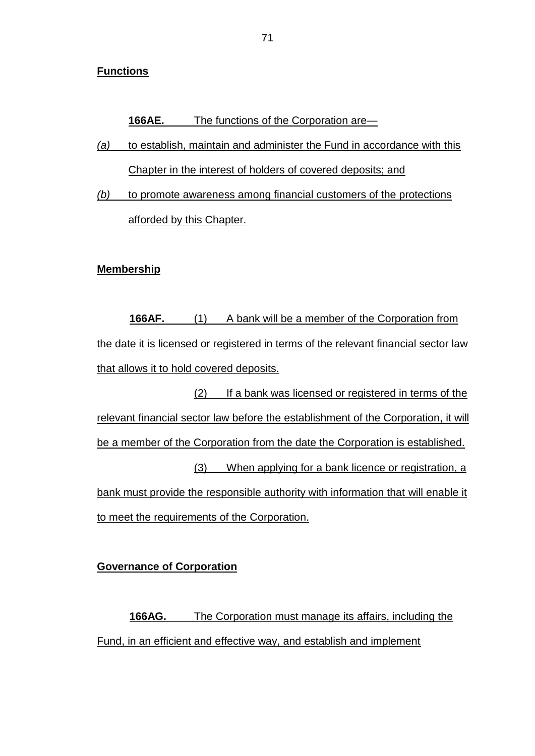#### **Functions**

**166AE.** The functions of the Corporation are—

- *(a)* to establish, maintain and administer the Fund in accordance with this Chapter in the interest of holders of covered deposits; and
- *(b)* to promote awareness among financial customers of the protections afforded by this Chapter.

#### **Membership**

**166AF.** (1) A bank will be a member of the Corporation from the date it is licensed or registered in terms of the relevant financial sector law that allows it to hold covered deposits.

(2) If a bank was licensed or registered in terms of the relevant financial sector law before the establishment of the Corporation, it will be a member of the Corporation from the date the Corporation is established. (3) When applying for a bank licence or registration, a bank must provide the responsible authority with information that will enable it to meet the requirements of the Corporation.

#### **Governance of Corporation**

**166AG.** The Corporation must manage its affairs, including the Fund, in an efficient and effective way, and establish and implement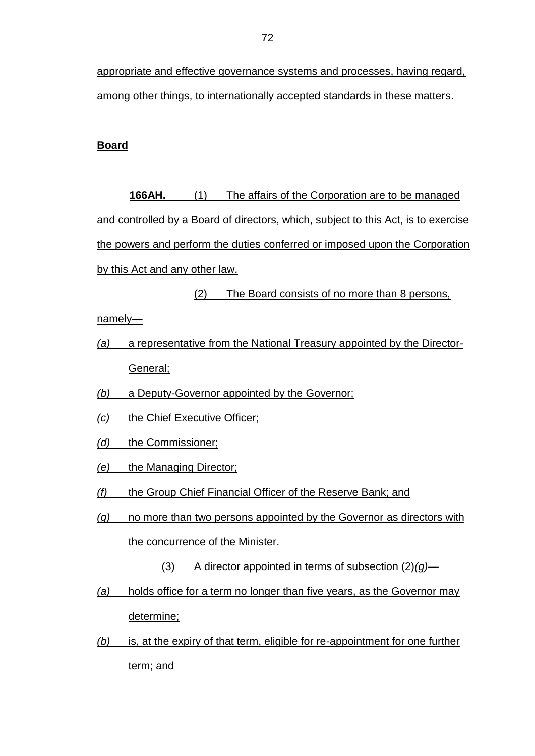appropriate and effective governance systems and processes, having regard, among other things, to internationally accepted standards in these matters.

#### **Board**

**166AH.** (1) The affairs of the Corporation are to be managed and controlled by a Board of directors, which, subject to this Act, is to exercise the powers and perform the duties conferred or imposed upon the Corporation by this Act and any other law.

(2) The Board consists of no more than 8 persons,

namely—

- *(a)* a representative from the National Treasury appointed by the Director-General;
- *(b)* a Deputy-Governor appointed by the Governor;
- *(c)* the Chief Executive Officer;
- *(d)* the Commissioner;
- *(e)* the Managing Director;
- *(f)* the Group Chief Financial Officer of the Reserve Bank; and
- *(g)* no more than two persons appointed by the Governor as directors with the concurrence of the Minister.
	- (3) A director appointed in terms of subsection (2)*(g)*—
- *(a)* holds office for a term no longer than five years, as the Governor may determine;
- *(b)* is, at the expiry of that term, eligible for re-appointment for one further term; and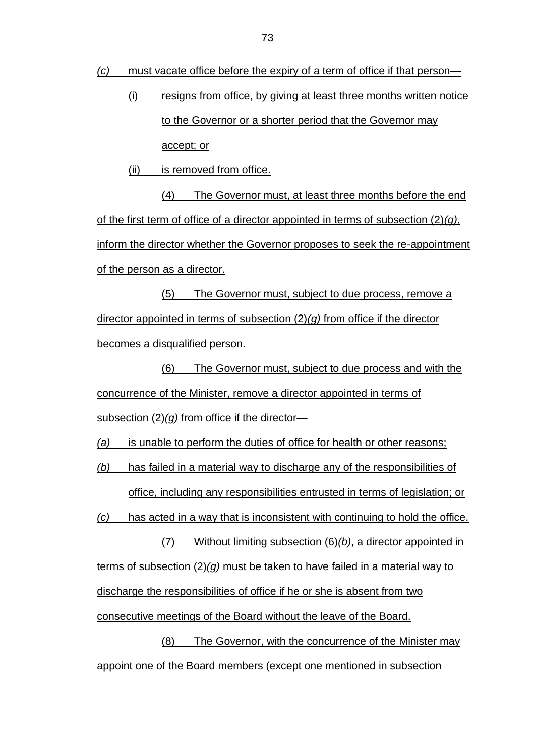*(c)* must vacate office before the expiry of a term of office if that person—

(i) resigns from office, by giving at least three months written notice to the Governor or a shorter period that the Governor may accept; or

(ii) is removed from office.

(4) The Governor must, at least three months before the end of the first term of office of a director appointed in terms of subsection (2)*(g)*, inform the director whether the Governor proposes to seek the re-appointment of the person as a director.

(5) The Governor must, subject to due process, remove a director appointed in terms of subsection (2)*(g)* from office if the director becomes a disqualified person.

(6) The Governor must, subject to due process and with the concurrence of the Minister, remove a director appointed in terms of subsection (2)*(g)* from office if the director—

*(a)* is unable to perform the duties of office for health or other reasons;

*(b)* has failed in a material way to discharge any of the responsibilities of office, including any responsibilities entrusted in terms of legislation; or

*(c)* has acted in a way that is inconsistent with continuing to hold the office.

(7) Without limiting subsection (6)*(b)*, a director appointed in terms of subsection (2)*(g)* must be taken to have failed in a material way to discharge the responsibilities of office if he or she is absent from two consecutive meetings of the Board without the leave of the Board.

(8) The Governor, with the concurrence of the Minister may appoint one of the Board members (except one mentioned in subsection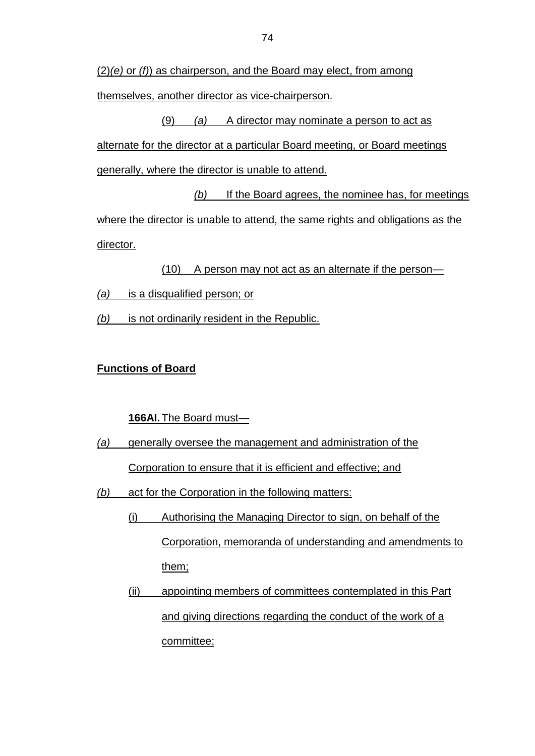(2)*(e)* or *(f)*) as chairperson, and the Board may elect, from among themselves, another director as vice-chairperson.

(9) *(a)* A director may nominate a person to act as alternate for the director at a particular Board meeting, or Board meetings generally, where the director is unable to attend.

*(b)* If the Board agrees, the nominee has, for meetings where the director is unable to attend, the same rights and obligations as the director.

(10) A person may not act as an alternate if the person—

- *(a)* is a disqualified person; or
- *(b)* is not ordinarily resident in the Republic.

### **Functions of Board**

**166AI.**The Board must—

- *(a)* generally oversee the management and administration of the Corporation to ensure that it is efficient and effective; and
- *(b)* act for the Corporation in the following matters:
	- (i) Authorising the Managing Director to sign, on behalf of the Corporation, memoranda of understanding and amendments to them;
	- (ii) appointing members of committees contemplated in this Part and giving directions regarding the conduct of the work of a committee;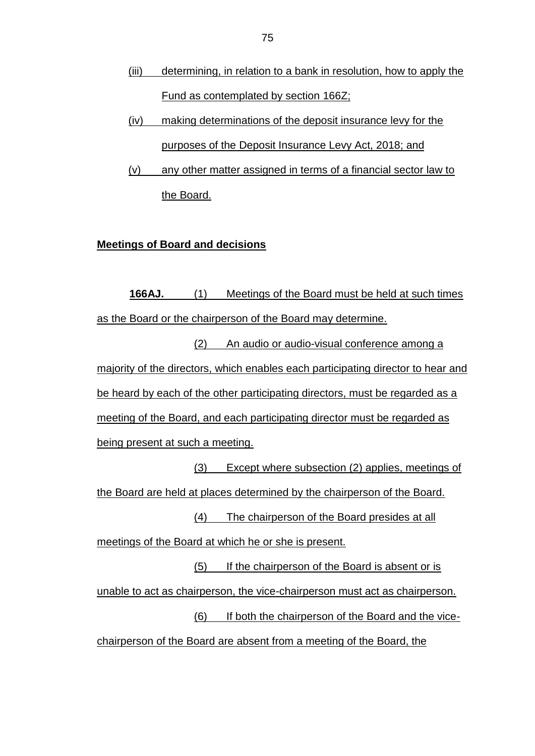- (iii) determining, in relation to a bank in resolution, how to apply the Fund as contemplated by section 166Z;
- (iv) making determinations of the deposit insurance levy for the purposes of the Deposit Insurance Levy Act, 2018; and
- (v) any other matter assigned in terms of a financial sector law to the Board.

### **Meetings of Board and decisions**

**166AJ.** (1) Meetings of the Board must be held at such times as the Board or the chairperson of the Board may determine.

(2) An audio or audio-visual conference among a majority of the directors, which enables each participating director to hear and be heard by each of the other participating directors, must be regarded as a meeting of the Board, and each participating director must be regarded as being present at such a meeting.

(3) Except where subsection (2) applies, meetings of the Board are held at places determined by the chairperson of the Board. (4) The chairperson of the Board presides at all

meetings of the Board at which he or she is present.

(5) If the chairperson of the Board is absent or is unable to act as chairperson, the vice-chairperson must act as chairperson. (6) If both the chairperson of the Board and the vice-

chairperson of the Board are absent from a meeting of the Board, the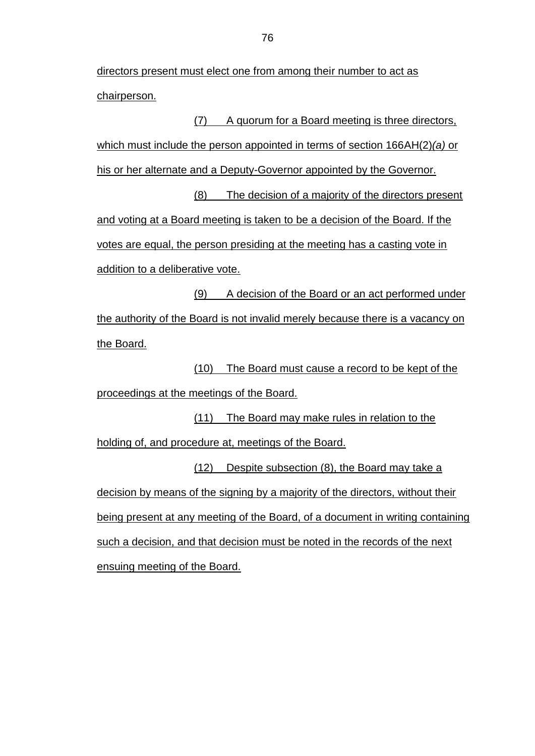directors present must elect one from among their number to act as chairperson.

(7) A quorum for a Board meeting is three directors, which must include the person appointed in terms of section 166AH(2)*(a)* or his or her alternate and a Deputy-Governor appointed by the Governor. (8) The decision of a majority of the directors present and voting at a Board meeting is taken to be a decision of the Board. If the votes are equal, the person presiding at the meeting has a casting vote in addition to a deliberative vote.

(9) A decision of the Board or an act performed under the authority of the Board is not invalid merely because there is a vacancy on the Board.

(10) The Board must cause a record to be kept of the proceedings at the meetings of the Board.

(11) The Board may make rules in relation to the holding of, and procedure at, meetings of the Board.

(12) Despite subsection (8), the Board may take a decision by means of the signing by a majority of the directors, without their being present at any meeting of the Board, of a document in writing containing such a decision, and that decision must be noted in the records of the next ensuing meeting of the Board.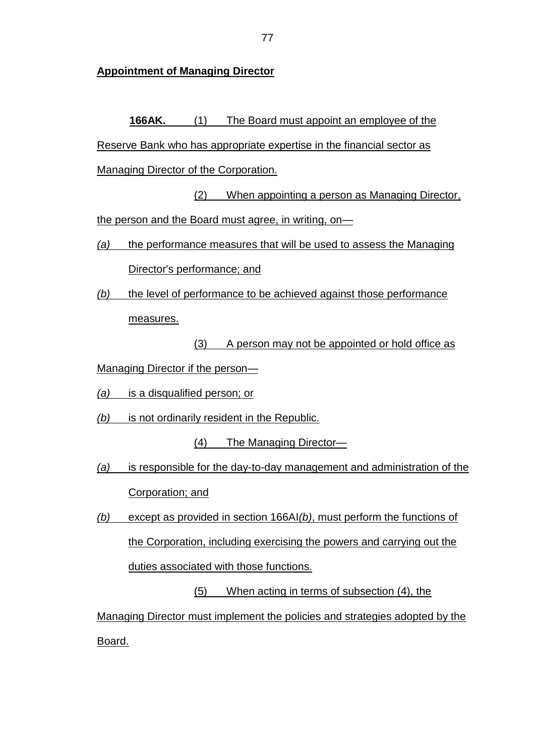**Appointment of Managing Director**

**166AK.** (1) The Board must appoint an employee of the Reserve Bank who has appropriate expertise in the financial sector as Managing Director of the Corporation.

(2) When appointing a person as Managing Director, the person and the Board must agree, in writing, on-

*(a)* the performance measures that will be used to assess the Managing

Director's performance; and

*(b)* the level of performance to be achieved against those performance measures.

(3) A person may not be appointed or hold office as

- Managing Director if the person—
- *(a)* is a disqualified person; or
- *(b)* is not ordinarily resident in the Republic.

(4) The Managing Director—

*(a)* is responsible for the day-to-day management and administration of the Corporation; and

*(b)* except as provided in section 166AI*(b)*, must perform the functions of the Corporation, including exercising the powers and carrying out the duties associated with those functions.

(5) When acting in terms of subsection (4), the

Managing Director must implement the policies and strategies adopted by the Board.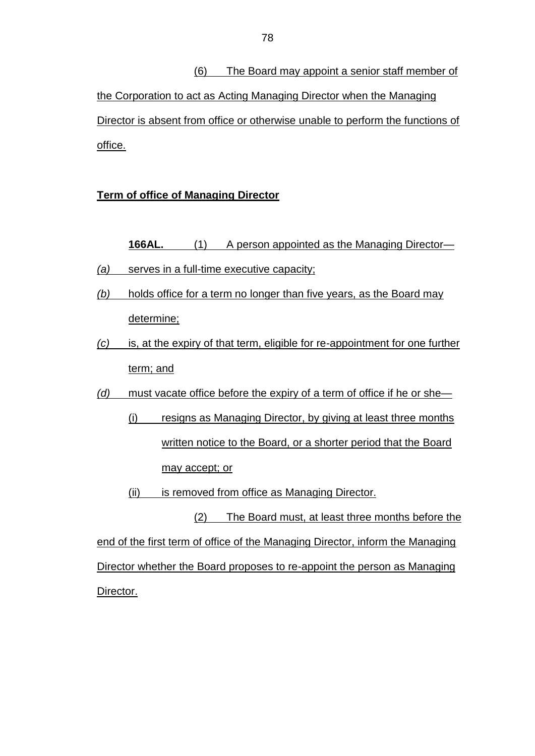(6) The Board may appoint a senior staff member of the Corporation to act as Acting Managing Director when the Managing Director is absent from office or otherwise unable to perform the functions of office.

## **Term of office of Managing Director**

**166AL.** (1) A person appointed as the Managing Director— *(a)* serves in a full-time executive capacity;

- *(b)* holds office for a term no longer than five years, as the Board may determine;
- *(c)* is, at the expiry of that term, eligible for re-appointment for one further term; and

*(d)* must vacate office before the expiry of a term of office if he or she—

- (i) resigns as Managing Director, by giving at least three months written notice to the Board, or a shorter period that the Board may accept; or
- (ii) is removed from office as Managing Director.

(2) The Board must, at least three months before the end of the first term of office of the Managing Director, inform the Managing Director whether the Board proposes to re-appoint the person as Managing Director.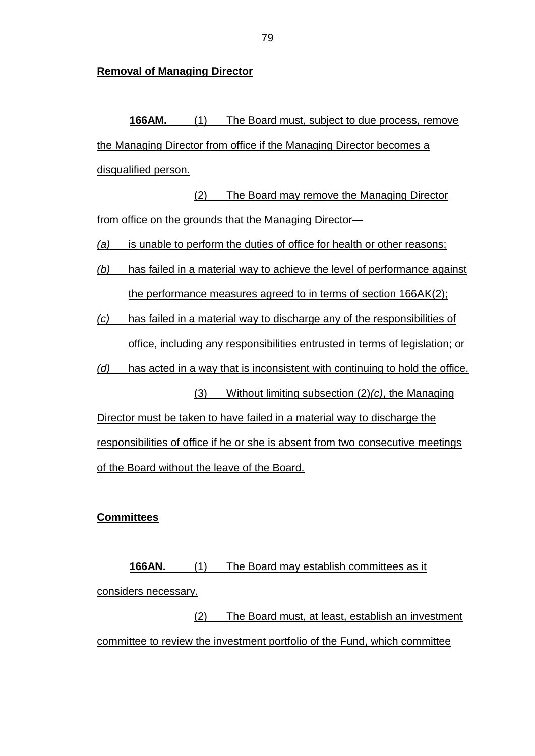**Removal of Managing Director**

**166AM.** (1) The Board must, subject to due process, remove the Managing Director from office if the Managing Director becomes a disqualified person.

(2) The Board may remove the Managing Director from office on the grounds that the Managing Director-

*(a)* is unable to perform the duties of office for health or other reasons;

*(b)* has failed in a material way to achieve the level of performance against the performance measures agreed to in terms of section 166AK(2);

*(c)* has failed in a material way to discharge any of the responsibilities of office, including any responsibilities entrusted in terms of legislation; or

*(d)* has acted in a way that is inconsistent with continuing to hold the office.

(3) Without limiting subsection (2)*(c)*, the Managing Director must be taken to have failed in a material way to discharge the responsibilities of office if he or she is absent from two consecutive meetings of the Board without the leave of the Board.

### **Committees**

**166AN.** (1) The Board may establish committees as it considers necessary.

(2) The Board must, at least, establish an investment committee to review the investment portfolio of the Fund, which committee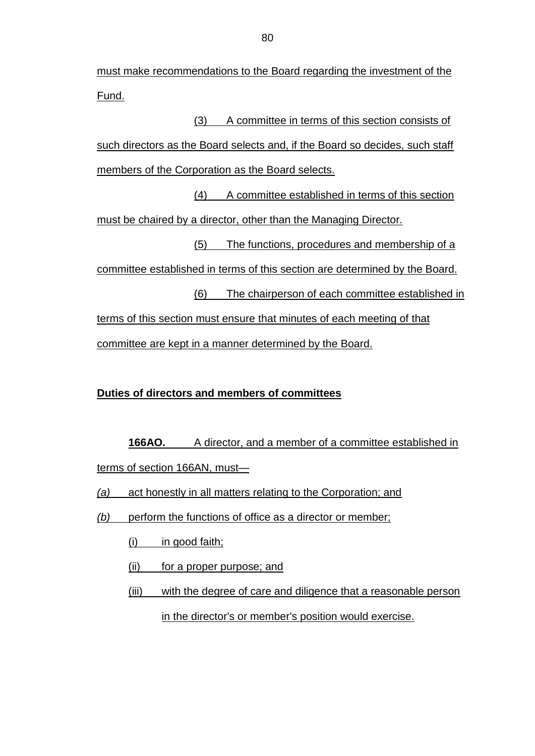must make recommendations to the Board regarding the investment of the Fund.

(3) A committee in terms of this section consists of such directors as the Board selects and, if the Board so decides, such staff members of the Corporation as the Board selects.

(4) A committee established in terms of this section must be chaired by a director, other than the Managing Director.

(5) The functions, procedures and membership of a

committee established in terms of this section are determined by the Board.

(6) The chairperson of each committee established in terms of this section must ensure that minutes of each meeting of that committee are kept in a manner determined by the Board.

# **Duties of directors and members of committees**

**166AO.** A director, and a member of a committee established in terms of section 166AN, must—

*(a)* act honestly in all matters relating to the Corporation; and

- *(b)* perform the functions of office as a director or member;
	- $(i)$  in good faith;
	- (ii) for a proper purpose; and
	- (iii) with the degree of care and diligence that a reasonable person

in the director's or member's position would exercise.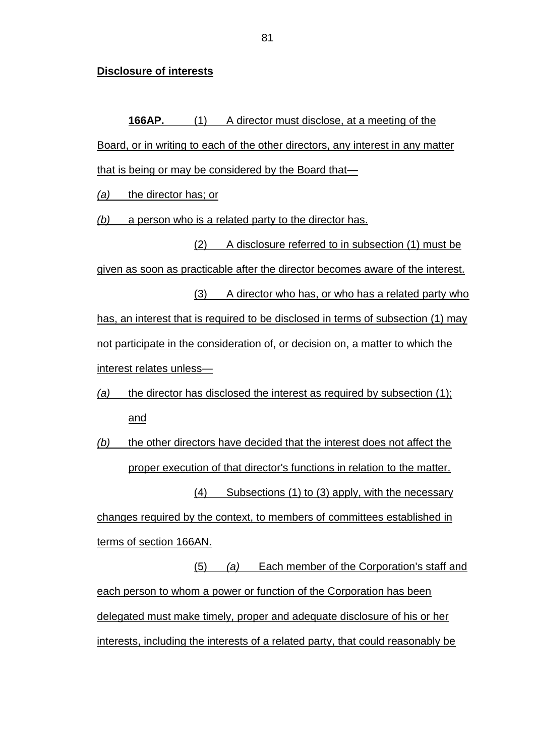#### **Disclosure of interests**

**166AP.** (1) A director must disclose, at a meeting of the Board, or in writing to each of the other directors, any interest in any matter that is being or may be considered by the Board that—

*(a)* the director has; or

*(b)* a person who is a related party to the director has.

(2) A disclosure referred to in subsection (1) must be given as soon as practicable after the director becomes aware of the interest.

(3) A director who has, or who has a related party who has, an interest that is required to be disclosed in terms of subsection (1) may not participate in the consideration of, or decision on, a matter to which the interest relates unless—

*(a)* the director has disclosed the interest as required by subsection (1); and

*(b)* the other directors have decided that the interest does not affect the proper execution of that director's functions in relation to the matter. (4) Subsections (1) to (3) apply, with the necessary

changes required by the context, to members of committees established in terms of section 166AN.

(5) *(a)* Each member of the Corporation's staff and each person to whom a power or function of the Corporation has been delegated must make timely, proper and adequate disclosure of his or her interests, including the interests of a related party, that could reasonably be

81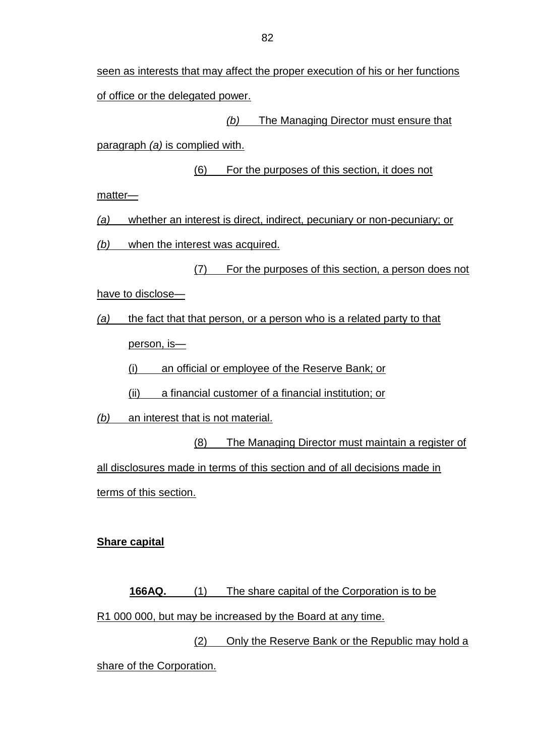# *(b)* The Managing Director must ensure that

paragraph *(a)* is complied with.

(6) For the purposes of this section, it does not

matter—

*(a)* whether an interest is direct, indirect, pecuniary or non-pecuniary; or

*(b)* when the interest was acquired.

(7) For the purposes of this section, a person does not

have to disclose—

*(a)* the fact that that person, or a person who is a related party to that

person, is—

(i) an official or employee of the Reserve Bank; or

(ii) a financial customer of a financial institution; or

*(b)* an interest that is not material.

(8) The Managing Director must maintain a register of

all disclosures made in terms of this section and of all decisions made in terms of this section.

# **Share capital**

**166AQ.** (1) The share capital of the Corporation is to be R1 000 000, but may be increased by the Board at any time.

(2) Only the Reserve Bank or the Republic may hold a share of the Corporation.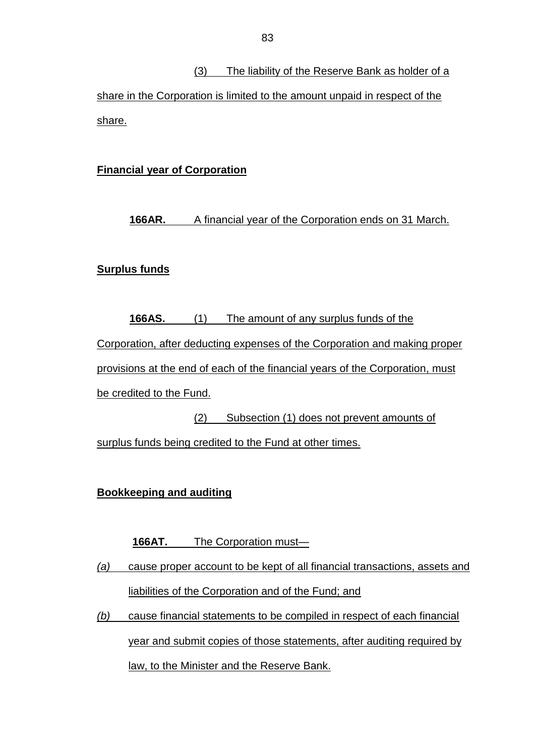(3) The liability of the Reserve Bank as holder of a share in the Corporation is limited to the amount unpaid in respect of the share.

# **Financial year of Corporation**

# **166AR.** A financial year of the Corporation ends on 31 March.

## **Surplus funds**

**166AS.** (1) The amount of any surplus funds of the Corporation, after deducting expenses of the Corporation and making proper provisions at the end of each of the financial years of the Corporation, must be credited to the Fund.

(2) Subsection (1) does not prevent amounts of surplus funds being credited to the Fund at other times.

# **Bookkeeping and auditing**

# **166AT.** The Corporation must—

- *(a)* cause proper account to be kept of all financial transactions, assets and liabilities of the Corporation and of the Fund; and
- *(b)* cause financial statements to be compiled in respect of each financial year and submit copies of those statements, after auditing required by law, to the Minister and the Reserve Bank.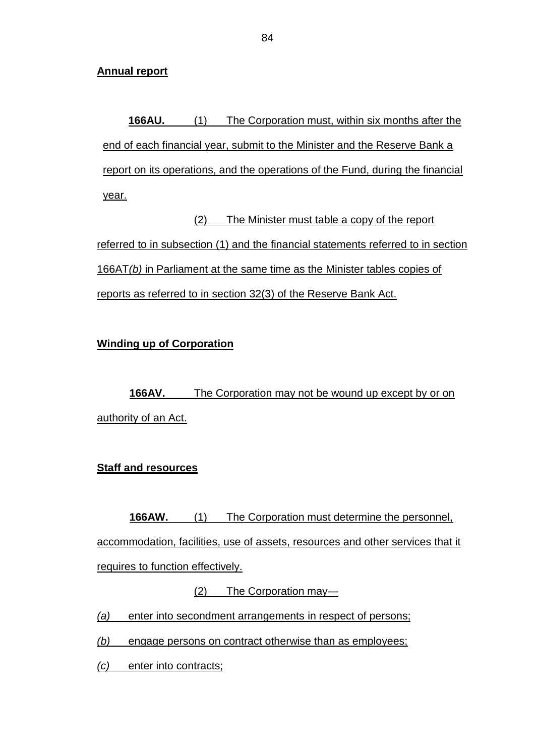### **Annual report**

**166AU.** (1) The Corporation must, within six months after the end of each financial year, submit to the Minister and the Reserve Bank a report on its operations, and the operations of the Fund, during the financial year.

(2) The Minister must table a copy of the report referred to in subsection (1) and the financial statements referred to in section 166AT*(b)* in Parliament at the same time as the Minister tables copies of reports as referred to in section 32(3) of the Reserve Bank Act.

# **Winding up of Corporation**

**166AV.** The Corporation may not be wound up except by or on authority of an Act.

# **Staff and resources**

**166AW.** (1) The Corporation must determine the personnel, accommodation, facilities, use of assets, resources and other services that it requires to function effectively.

(2) The Corporation may—

*(a)* enter into secondment arrangements in respect of persons;

*(b)* engage persons on contract otherwise than as employees;

*(c)* enter into contracts;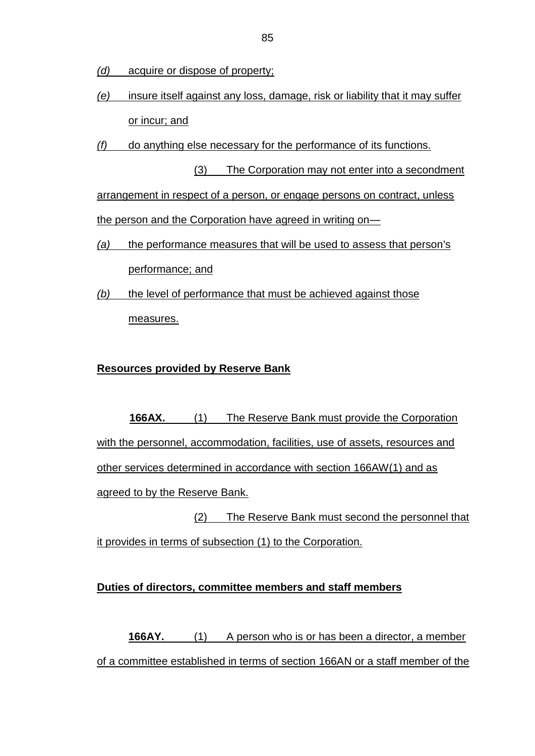- *(d)* acquire or dispose of property;
- *(e)* insure itself against any loss, damage, risk or liability that it may suffer or incur; and
- *(f)* do anything else necessary for the performance of its functions.

(3) The Corporation may not enter into a secondment arrangement in respect of a person, or engage persons on contract, unless the person and the Corporation have agreed in writing on-

- *(a)* the performance measures that will be used to assess that person's performance; and
- *(b)* the level of performance that must be achieved against those measures.

## **Resources provided by Reserve Bank**

**166AX.** (1) The Reserve Bank must provide the Corporation with the personnel, accommodation, facilities, use of assets, resources and other services determined in accordance with section 166AW(1) and as agreed to by the Reserve Bank.

(2) The Reserve Bank must second the personnel that it provides in terms of subsection (1) to the Corporation.

### **Duties of directors, committee members and staff members**

**166AY.** (1) A person who is or has been a director, a member of a committee established in terms of section 166AN or a staff member of the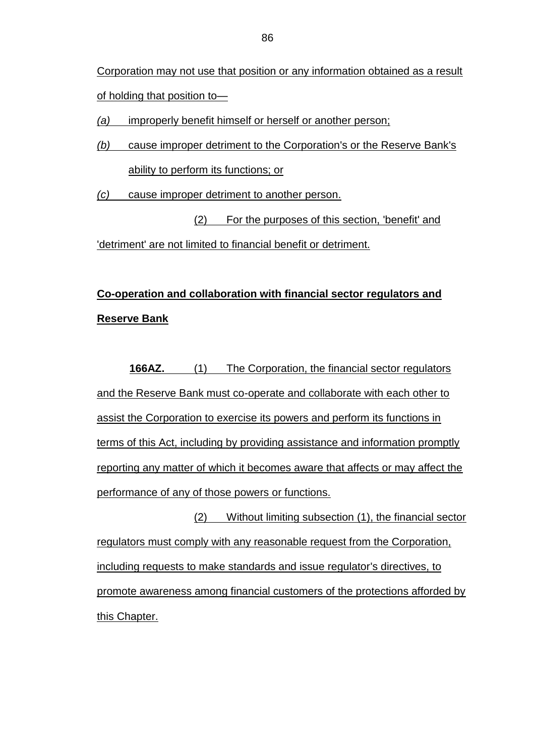Corporation may not use that position or any information obtained as a result of holding that position to—

*(a)* improperly benefit himself or herself or another person;

*(b)* cause improper detriment to the Corporation's or the Reserve Bank's ability to perform its functions; or

*(c)* cause improper detriment to another person.

(2) For the purposes of this section, 'benefit' and 'detriment' are not limited to financial benefit or detriment.

# **Co-operation and collaboration with financial sector regulators and Reserve Bank**

**166AZ.** (1) The Corporation, the financial sector regulators and the Reserve Bank must co-operate and collaborate with each other to assist the Corporation to exercise its powers and perform its functions in terms of this Act, including by providing assistance and information promptly reporting any matter of which it becomes aware that affects or may affect the performance of any of those powers or functions.

(2) Without limiting subsection (1), the financial sector regulators must comply with any reasonable request from the Corporation, including requests to make standards and issue regulator's directives, to promote awareness among financial customers of the protections afforded by this Chapter.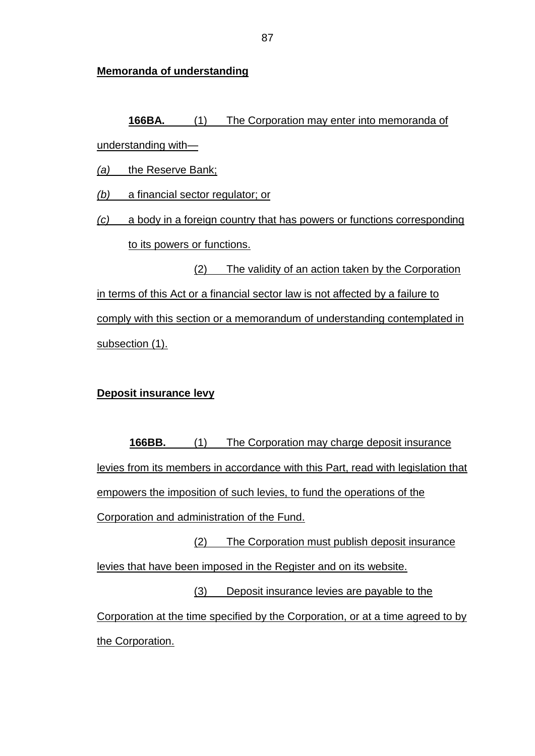**Memoranda of understanding**

**166BA.** (1) The Corporation may enter into memoranda of understanding with—

*(a)* the Reserve Bank;

*(b)* a financial sector regulator; or

*(c)* a body in a foreign country that has powers or functions corresponding to its powers or functions.

(2) The validity of an action taken by the Corporation in terms of this Act or a financial sector law is not affected by a failure to comply with this section or a memorandum of understanding contemplated in subsection (1).

# **Deposit insurance levy**

**166BB.** (1) The Corporation may charge deposit insurance levies from its members in accordance with this Part, read with legislation that empowers the imposition of such levies, to fund the operations of the Corporation and administration of the Fund. (2) The Corporation must publish deposit insurance levies that have been imposed in the Register and on its website.

(3) Deposit insurance levies are payable to the Corporation at the time specified by the Corporation, or at a time agreed to by the Corporation.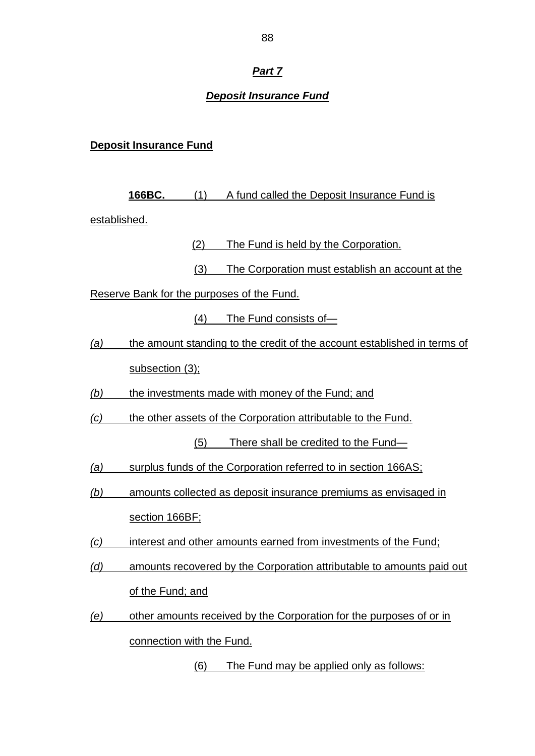# *Part 7*

## *Deposit Insurance Fund*

## **Deposit Insurance Fund**

**166BC.** (1) A fund called the Deposit Insurance Fund is established.

(2) The Fund is held by the Corporation.

(3) The Corporation must establish an account at the

Reserve Bank for the purposes of the Fund.

(4) The Fund consists of—

*(a)* the amount standing to the credit of the account established in terms of subsection (3);

*(b)* the investments made with money of the Fund; and

*(c)* the other assets of the Corporation attributable to the Fund.

(5) There shall be credited to the Fund—

- *(a)* surplus funds of the Corporation referred to in section 166AS;
- *(b)* amounts collected as deposit insurance premiums as envisaged in section 166BF;
- *(c)* interest and other amounts earned from investments of the Fund;
- *(d)* amounts recovered by the Corporation attributable to amounts paid out of the Fund; and
- *(e)* other amounts received by the Corporation for the purposes of or in connection with the Fund.

(6) The Fund may be applied only as follows: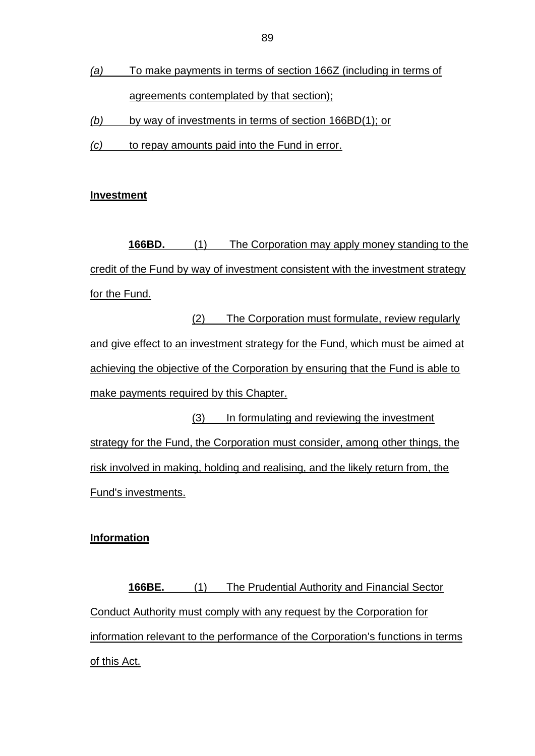- *(a)* To make payments in terms of section 166Z (including in terms of agreements contemplated by that section);
- *(b)* by way of investments in terms of section 166BD(1); or
- *(c)* to repay amounts paid into the Fund in error.

### **Investment**

**166BD.** (1) The Corporation may apply money standing to the credit of the Fund by way of investment consistent with the investment strategy for the Fund.

(2) The Corporation must formulate, review regularly and give effect to an investment strategy for the Fund, which must be aimed at achieving the objective of the Corporation by ensuring that the Fund is able to make payments required by this Chapter.

(3) In formulating and reviewing the investment strategy for the Fund, the Corporation must consider, among other things, the risk involved in making, holding and realising, and the likely return from, the Fund's investments.

### **Information**

**166BE.** (1) The Prudential Authority and Financial Sector Conduct Authority must comply with any request by the Corporation for information relevant to the performance of the Corporation's functions in terms of this Act.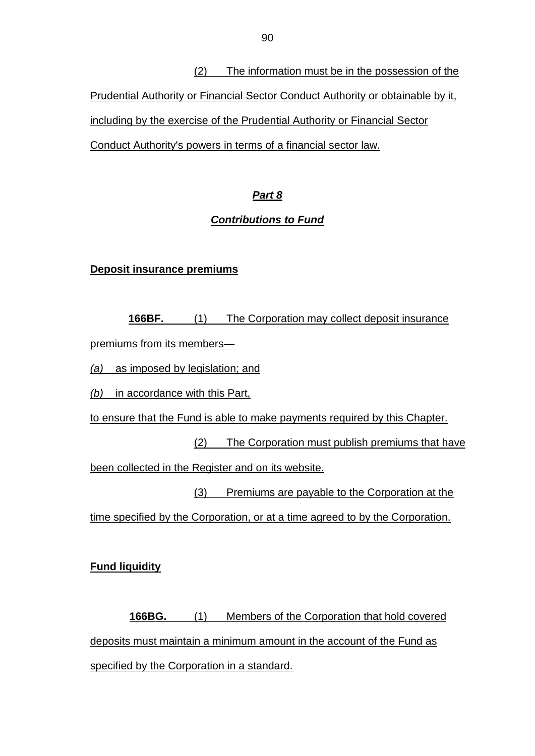(2) The information must be in the possession of the Prudential Authority or Financial Sector Conduct Authority or obtainable by it, including by the exercise of the Prudential Authority or Financial Sector Conduct Authority's powers in terms of a financial sector law.

# *Part 8*

# *Contributions to Fund*

# **Deposit insurance premiums**

**166BF.** (1) The Corporation may collect deposit insurance premiums from its members—

*(a)* as imposed by legislation; and

*(b)* in accordance with this Part,

to ensure that the Fund is able to make payments required by this Chapter.

(2) The Corporation must publish premiums that have

been collected in the Register and on its website.

(3) Premiums are payable to the Corporation at the time specified by the Corporation, or at a time agreed to by the Corporation.

**Fund liquidity**

**166BG.** (1) Members of the Corporation that hold covered deposits must maintain a minimum amount in the account of the Fund as specified by the Corporation in a standard.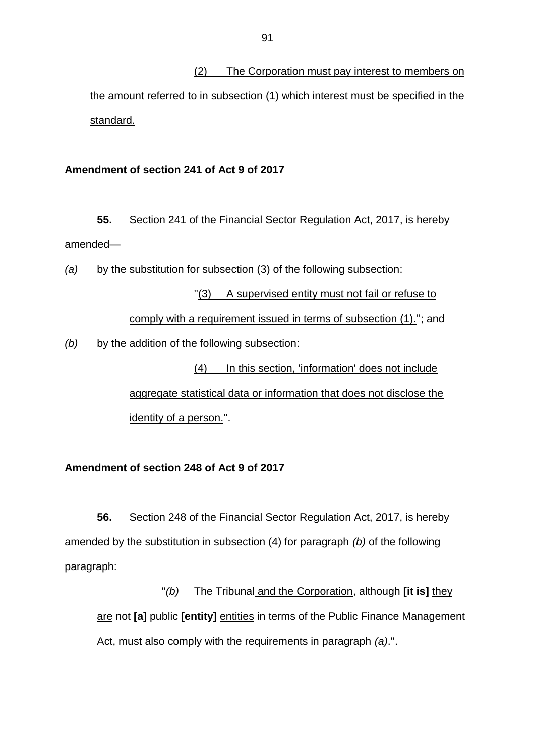(2) The Corporation must pay interest to members on the amount referred to in subsection (1) which interest must be specified in the standard.

#### **Amendment of section 241 of Act 9 of 2017**

**55.** Section 241 of the Financial Sector Regulation Act, 2017, is hereby amended—

*(a)* by the substitution for subsection (3) of the following subsection:

''(3) A supervised entity must not fail or refuse to comply with a requirement issued in terms of subsection (1).''; and *(b)* by the addition of the following subsection:

> (4) In this section, 'information' does not include aggregate statistical data or information that does not disclose the identity of a person.''.

## **Amendment of section 248 of Act 9 of 2017**

**56.** Section 248 of the Financial Sector Regulation Act, 2017, is hereby amended by the substitution in subsection (4) for paragraph *(b)* of the following paragraph:

''*(b)* The Tribunal and the Corporation, although **[it is]** they are not **[a]** public **[entity]** entities in terms of the Public Finance Management Act, must also comply with the requirements in paragraph *(a)*.''.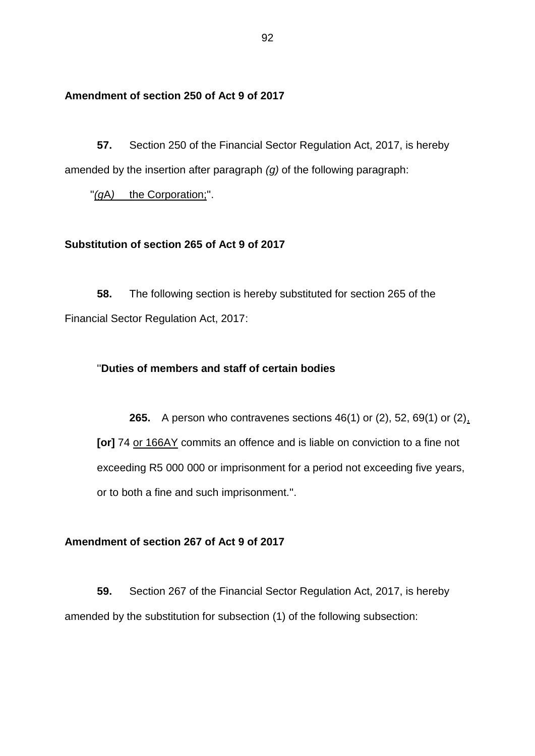#### **Amendment of section 250 of Act 9 of 2017**

**57.** Section 250 of the Financial Sector Regulation Act, 2017, is hereby amended by the insertion after paragraph *(g)* of the following paragraph:

''*(g*A*)* the Corporation;''.

#### **Substitution of section 265 of Act 9 of 2017**

**58.** The following section is hereby substituted for section 265 of the Financial Sector Regulation Act, 2017:

#### ''**Duties of members and staff of certain bodies**

**265.** A person who contravenes sections 46(1) or (2), 52, 69(1) or (2), **[or]** 74 or 166AY commits an offence and is liable on conviction to a fine not exceeding R5 000 000 or imprisonment for a period not exceeding five years, or to both a fine and such imprisonment.''.

#### **Amendment of section 267 of Act 9 of 2017**

**59.** Section 267 of the Financial Sector Regulation Act, 2017, is hereby amended by the substitution for subsection (1) of the following subsection: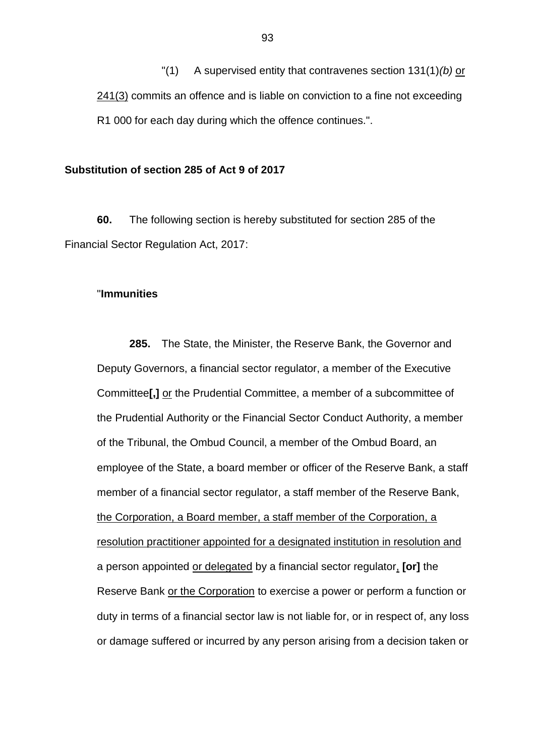"(1) A supervised entity that contravenes section 131(1)*(b)* or 241(3) commits an offence and is liable on conviction to a fine not exceeding R1 000 for each day during which the offence continues.".

#### **Substitution of section 285 of Act 9 of 2017**

**60.** The following section is hereby substituted for section 285 of the Financial Sector Regulation Act, 2017:

#### "**Immunities**

**285.** The State, the Minister, the Reserve Bank, the Governor and Deputy Governors, a financial sector regulator, a member of the Executive Committee**[,]** or the Prudential Committee, a member of a subcommittee of the Prudential Authority or the Financial Sector Conduct Authority, a member of the Tribunal, the Ombud Council, a member of the Ombud Board, an employee of the State, a board member or officer of the Reserve Bank, a staff member of a financial sector regulator, a staff member of the Reserve Bank, the Corporation, a Board member, a staff member of the Corporation, a resolution practitioner appointed for a designated institution in resolution and a person appointed or delegated by a financial sector regulator, **[or]** the Reserve Bank or the Corporation to exercise a power or perform a function or duty in terms of a financial sector law is not liable for, or in respect of, any loss or damage suffered or incurred by any person arising from a decision taken or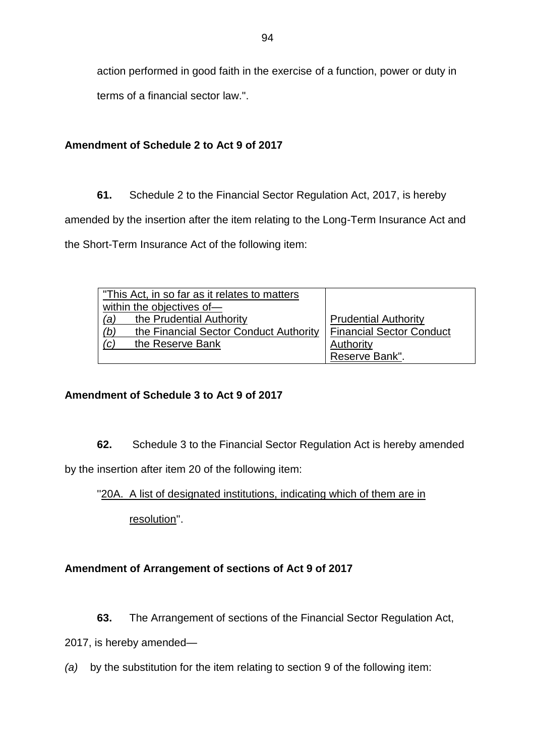action performed in good faith in the exercise of a function, power or duty in

terms of a financial sector law.".

# **Amendment of Schedule 2 to Act 9 of 2017**

**61.** Schedule 2 to the Financial Sector Regulation Act, 2017, is hereby amended by the insertion after the item relating to the Long-Term Insurance Act and the Short-Term Insurance Act of the following item:

| "This Act, in so far as it relates to matters" |                                 |
|------------------------------------------------|---------------------------------|
| within the objectives of-                      |                                 |
| (a)<br>the Prudential Authority                | <b>Prudential Authority</b>     |
| (b)<br>the Financial Sector Conduct Authority  | <b>Financial Sector Conduct</b> |
| (c)<br>the Reserve Bank                        | Authority                       |
|                                                | Reserve Bank".                  |

# **Amendment of Schedule 3 to Act 9 of 2017**

**62.** Schedule 3 to the Financial Sector Regulation Act is hereby amended

by the insertion after item 20 of the following item:

"20A. A list of designated institutions, indicating which of them are in

resolution''.

# **Amendment of Arrangement of sections of Act 9 of 2017**

**63.** The Arrangement of sections of the Financial Sector Regulation Act,

2017, is hereby amended—

*(a)* by the substitution for the item relating to section 9 of the following item: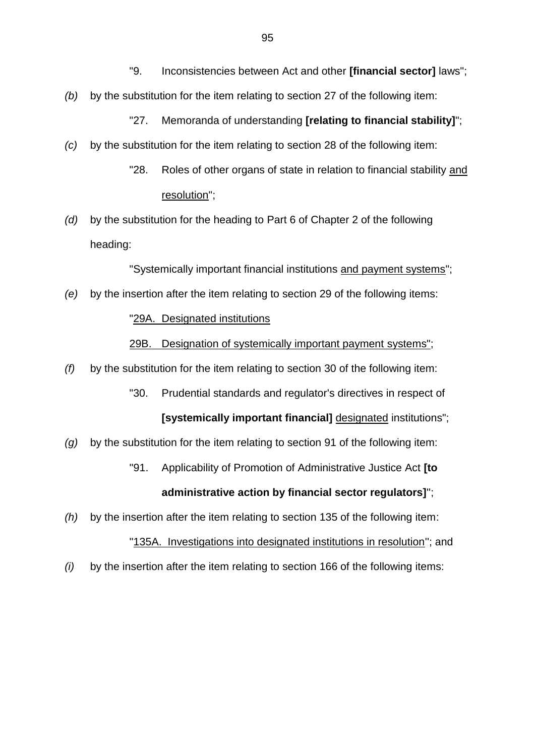- "9. Inconsistencies between Act and other **[financial sector]** laws";
- *(b)* by the substitution for the item relating to section 27 of the following item:

"27. Memoranda of understanding **[relating to financial stability]**";

- *(c)* by the substitution for the item relating to section 28 of the following item:
	- "28. Roles of other organs of state in relation to financial stability and resolution";
- *(d)* by the substitution for the heading to Part 6 of Chapter 2 of the following heading:

"Systemically important financial institutions and payment systems";

*(e)* by the insertion after the item relating to section 29 of the following items:

#### "29A. Designated institutions

29B. Designation of systemically important payment systems";

- *(f)* by the substitution for the item relating to section 30 of the following item:
	- "30. Prudential standards and regulator's directives in respect of

**[systemically important financial]** designated institutions";

- *(g)* by the substitution for the item relating to section 91 of the following item:
	- ''91. Applicability of Promotion of Administrative Justice Act **[to**

#### **administrative action by financial sector regulators]**'';

- *(h)* by the insertion after the item relating to section 135 of the following item: "135A. Investigations into designated institutions in resolution"; and
- *(i)* by the insertion after the item relating to section 166 of the following items: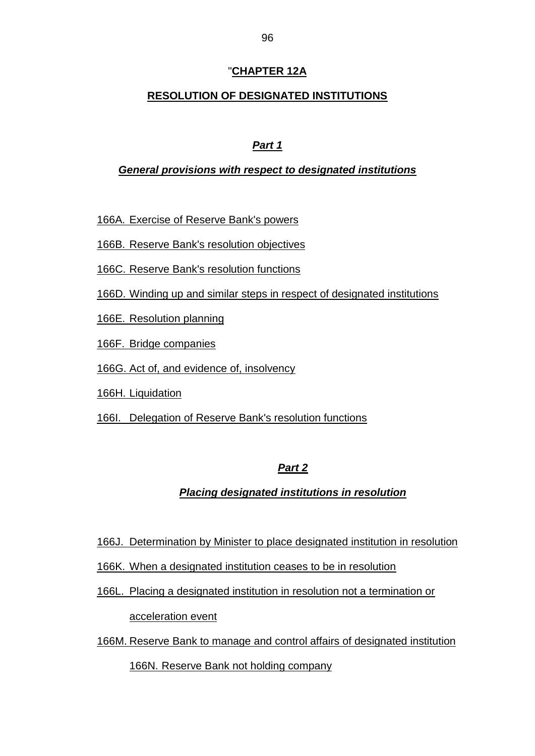# "**CHAPTER 12A**

# **RESOLUTION OF DESIGNATED INSTITUTIONS**

# *Part 1*

### *General provisions with respect to designated institutions*

166A. Exercise of Reserve Bank's powers

166B. Reserve Bank's resolution objectives

166C. Reserve Bank's resolution functions

166D. Winding up and similar steps in respect of designated institutions

166E. Resolution planning

166F. Bridge companies

166G. Act of, and evidence of, insolvency

166H. Liquidation

166I. Delegation of Reserve Bank's resolution functions

# *Part 2*

# *Placing designated institutions in resolution*

166J. Determination by Minister to place designated institution in resolution

- 166K. When a designated institution ceases to be in resolution
- 166L. Placing a designated institution in resolution not a termination or

acceleration event

166M. Reserve Bank to manage and control affairs of designated institution

166N. Reserve Bank not holding company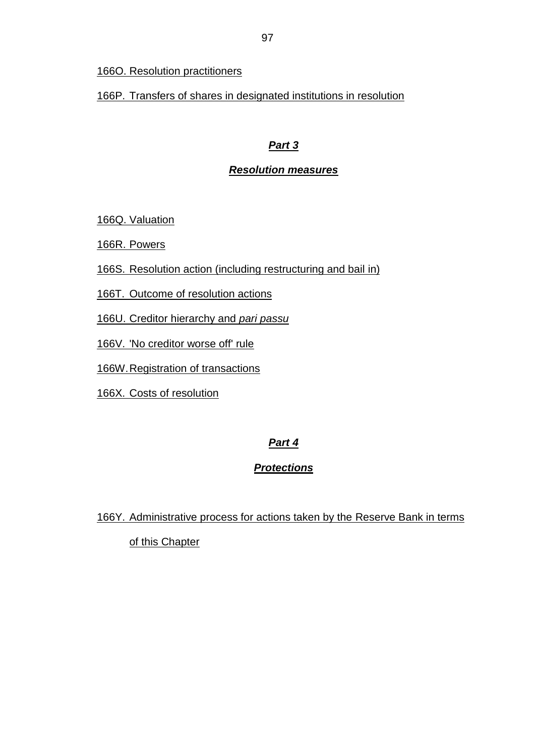## 166O. Resolution practitioners

166P. Transfers of shares in designated institutions in resolution

# *Part 3*

# *Resolution measures*

166Q. Valuation

166R. Powers

166S. Resolution action (including restructuring and bail in)

166T. Outcome of resolution actions

166U. Creditor hierarchy and *pari passu*

166V. 'No creditor worse off' rule

166W.Registration of transactions

166X. Costs of resolution

# *Part 4*

# *Protections*

166Y. Administrative process for actions taken by the Reserve Bank in terms of this Chapter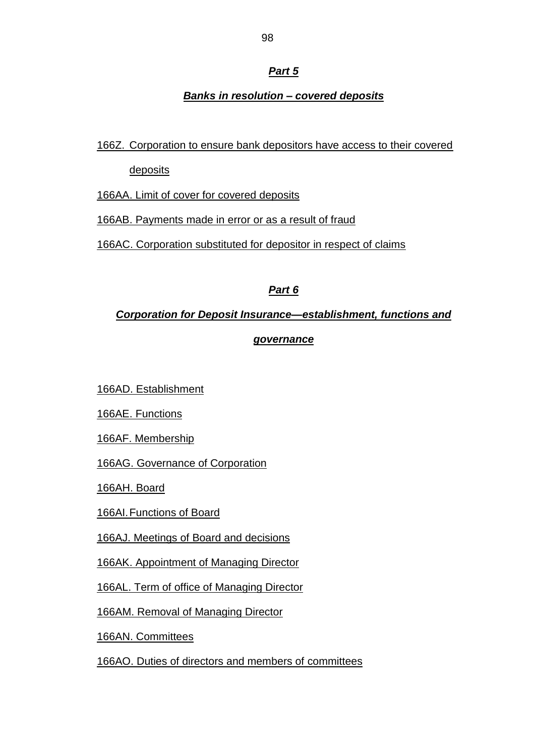# *Part 5*

# *Banks in resolution – covered deposits*

# 166Z. Corporation to ensure bank depositors have access to their covered

**deposits** 

166AA. Limit of cover for covered deposits

166AB. Payments made in error or as a result of fraud

166AC. Corporation substituted for depositor in respect of claims

# *Part 6*

# *Corporation for Deposit Insurance—establishment, functions and*

# *governance*

166AD. Establishment

166AE. Functions

166AF. Membership

166AG. Governance of Corporation

166AH. Board

166AI.Functions of Board

166AJ. Meetings of Board and decisions

166AK. Appointment of Managing Director

166AL. Term of office of Managing Director

166AM. Removal of Managing Director

166AN. Committees

166AO. Duties of directors and members of committees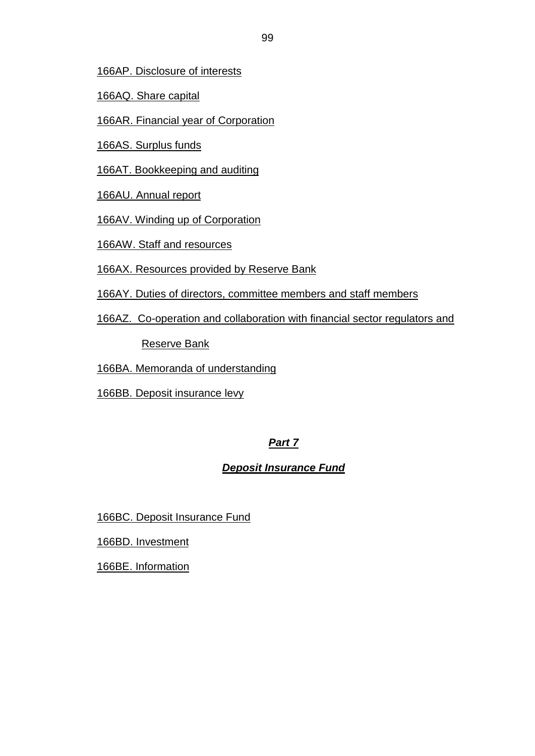166AP. Disclosure of interests

166AQ. Share capital

166AR. Financial year of Corporation

166AS. Surplus funds

166AT. Bookkeeping and auditing

166AU. Annual report

166AV. Winding up of Corporation

166AW. Staff and resources

166AX. Resources provided by Reserve Bank

166AY. Duties of directors, committee members and staff members

166AZ. Co-operation and collaboration with financial sector regulators and

Reserve Bank

166BA. Memoranda of understanding

166BB. Deposit insurance levy

# *Part 7*

# *Deposit Insurance Fund*

166BC. Deposit Insurance Fund

166BD. Investment

166BE. Information